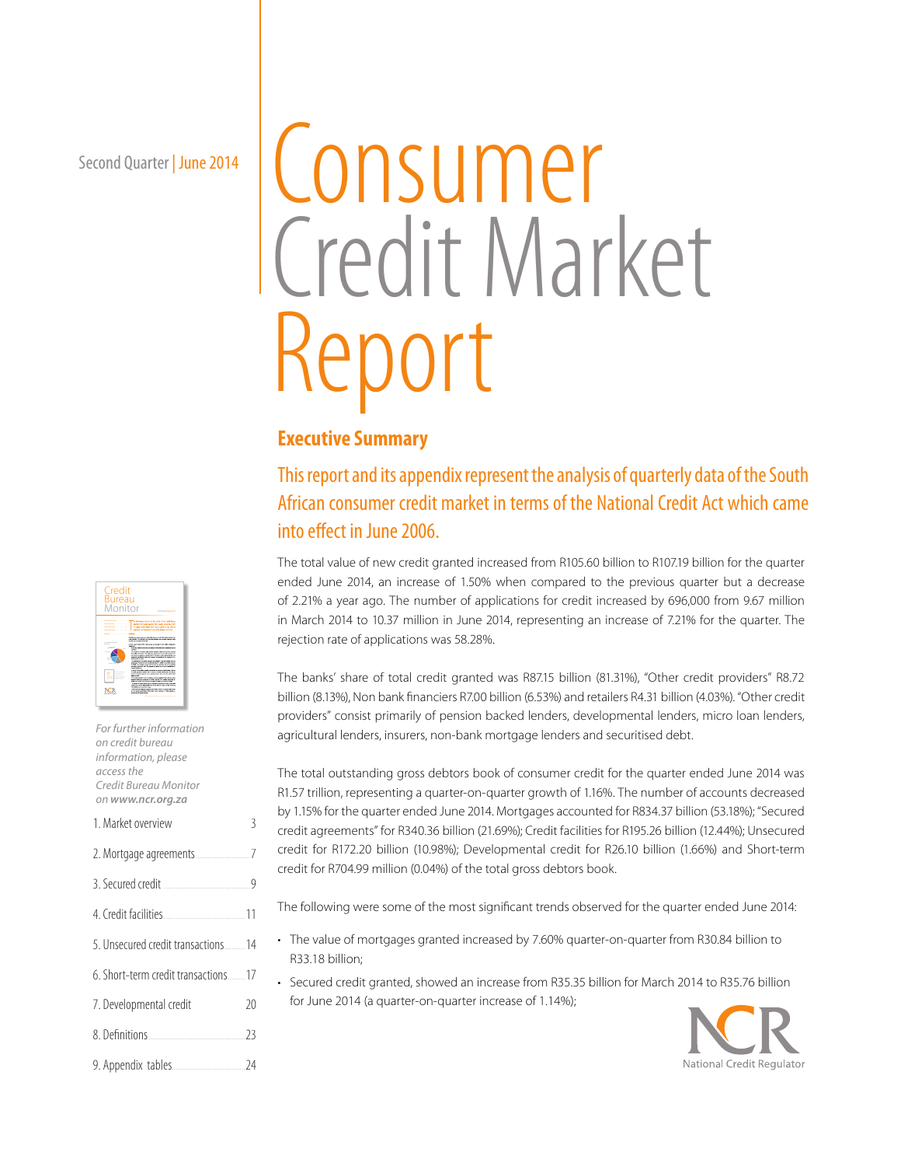Second Quarter | June 2014

# Consumer Credit Market Report

# **Executive Summary**

This report and its appendix represent the analysis of quarterly data of the South African consumer credit market in terms of the National Credit Act which came into effect in June 2006.

The total value of new credit granted increased from R105.60 billion to R107.19 billion for the quarter ended June 2014, an increase of 1.50% when compared to the previous quarter but a decrease of 2.21% a year ago. The number of applications for credit increased by 696,000 from 9.67 million in March 2014 to 10.37 million in June 2014, representing an increase of 7.21% for the quarter. The rejection rate of applications was 58.28%.

The banks' share of total credit granted was R87.15 billion (81.31%), "Other credit providers" R8.72 billion (8.13%), Non bank financiers R7.00 billion (6.53%) and retailers R4.31 billion (4.03%). "Other credit providers" consist primarily of pension backed lenders, developmental lenders, micro loan lenders, agricultural lenders, insurers, non-bank mortgage lenders and securitised debt.

The total outstanding gross debtors book of consumer credit for the quarter ended June 2014 was R1.57 trillion, representing a quarter-on-quarter growth of 1.16%. The number of accounts decreased by 1.15% for the quarter ended June 2014. Mortgages accounted for R834.37 billion (53.18%); "Secured credit agreements" for R340.36 billion (21.69%); Credit facilities for R195.26 billion (12.44%); Unsecured credit for R172.20 billion (10.98%); Developmental credit for R26.10 billion (1.66%) and Short-term credit for R704.99 million (0.04%) of the total gross debtors book.

The following were some of the most significant trends observed for the quarter ended June 2014:

- The value of mortgages granted increased by 7.60% quarter-on-quarter from R30.84 billion to R33.18 billion;
- Secured credit granted, showed an increase from R35.35 billion for March 2014 to R35.76 billion for June 2014 (a quarter-on-quarter increase of 1.14%);





| For further information<br>on credit bureau<br>information, please<br>access the<br>Credit Bureau Monitor<br>on www.ncr.org.za |  |
|--------------------------------------------------------------------------------------------------------------------------------|--|
|                                                                                                                                |  |
|                                                                                                                                |  |
|                                                                                                                                |  |
|                                                                                                                                |  |
| 5. Unsecured credit transactions 14                                                                                            |  |
| 6. Short-term credit transactions 17                                                                                           |  |
| 7. Developmental credit______________ 20                                                                                       |  |
|                                                                                                                                |  |
|                                                                                                                                |  |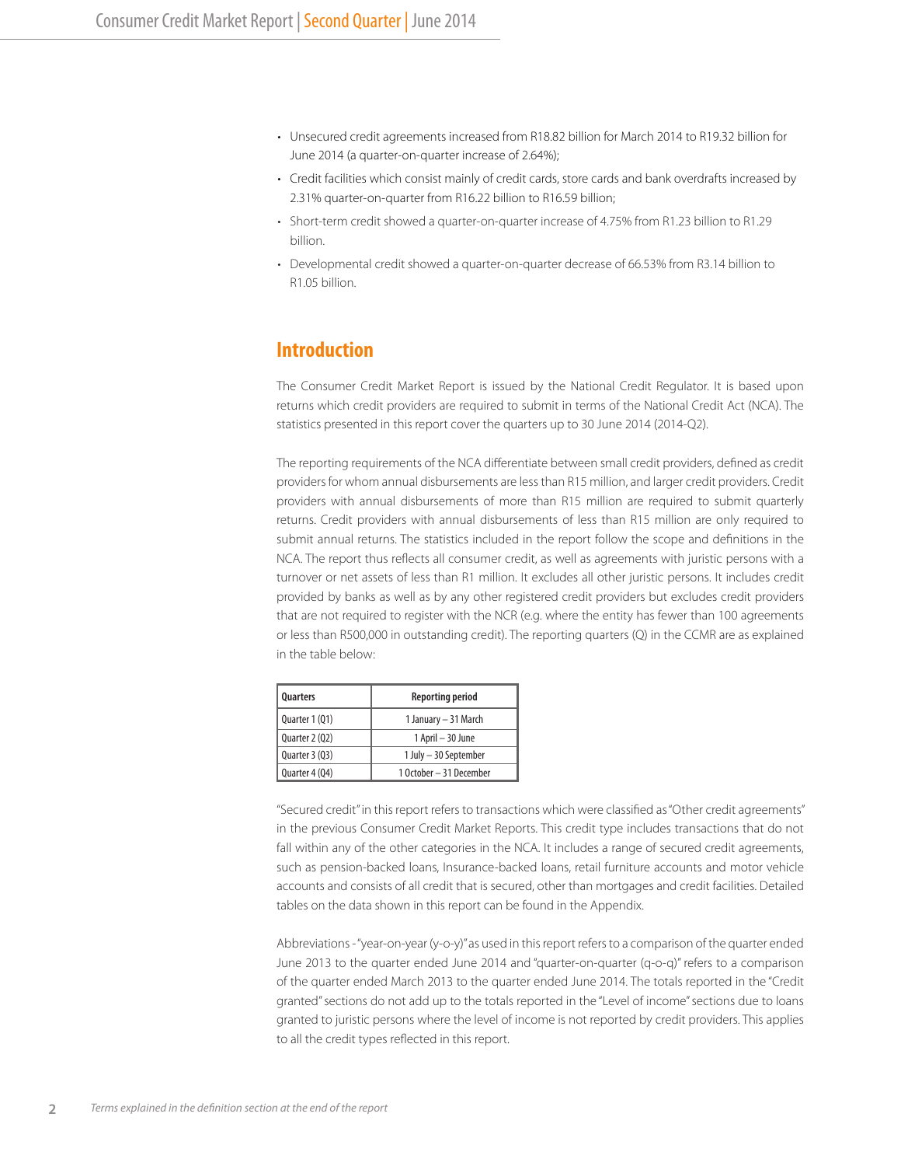- Unsecured credit agreements increased from R18.82 billion for March 2014 to R19.32 billion for June 2014 (a quarter-on-quarter increase of 2.64%);
- Credit facilities which consist mainly of credit cards, store cards and bank overdrafts increased by 2.31% quarter-on-quarter from R16.22 billion to R16.59 billion;
- Short-term credit showed a quarter-on-quarter increase of 4.75% from R1.23 billion to R1.29 billion.
- Developmental credit showed a quarter-on-quarter decrease of 66.53% from R3.14 billion to R1.05 billion.

# **Introduction**

The Consumer Credit Market Report is issued by the National Credit Regulator. It is based upon returns which credit providers are required to submit in terms of the National Credit Act (NCA). The statistics presented in this report cover the quarters up to 30 June 2014 (2014-Q2).

The reporting requirements of the NCA differentiate between small credit providers, defined as credit providers for whom annual disbursements are less than R15 million, and larger credit providers. Credit providers with annual disbursements of more than R15 million are required to submit quarterly returns. Credit providers with annual disbursements of less than R15 million are only required to submit annual returns. The statistics included in the report follow the scope and definitions in the NCA. The report thus reflects all consumer credit, as well as agreements with juristic persons with a turnover or net assets of less than R1 million. It excludes all other juristic persons. It includes credit provided by banks as well as by any other registered credit providers but excludes credit providers that are not required to register with the NCR (e.g. where the entity has fewer than 100 agreements or less than R500,000 in outstanding credit). The reporting quarters (Q) in the CCMR are as explained in the table below:

| Quarters       | <b>Reporting period</b> |
|----------------|-------------------------|
| Quarter 1 (Q1) | 1 January - 31 March    |
| Quarter 2 (Q2) | 1 April - 30 June       |
| Quarter 3 (Q3) | 1 July - 30 September   |
| Quarter 4 (Q4) | 1 October - 31 December |

"Secured credit" in this report refers to transactions which were classified as "Other credit agreements" in the previous Consumer Credit Market Reports. This credit type includes transactions that do not fall within any of the other categories in the NCA. It includes a range of secured credit agreements, such as pension-backed loans, Insurance-backed loans, retail furniture accounts and motor vehicle accounts and consists of all credit that is secured, other than mortgages and credit facilities. Detailed tables on the data shown in this report can be found in the Appendix.

Abbreviations - "year-on-year (y-o-y)" as used in this report refers to a comparison of the quarter ended June 2013 to the quarter ended June 2014 and "quarter-on-quarter (q-o-q)" refers to a comparison of the quarter ended March 2013 to the quarter ended June 2014. The totals reported in the "Credit granted" sections do not add up to the totals reported in the "Level of income" sections due to loans granted to juristic persons where the level of income is not reported by credit providers. This applies to all the credit types reflected in this report.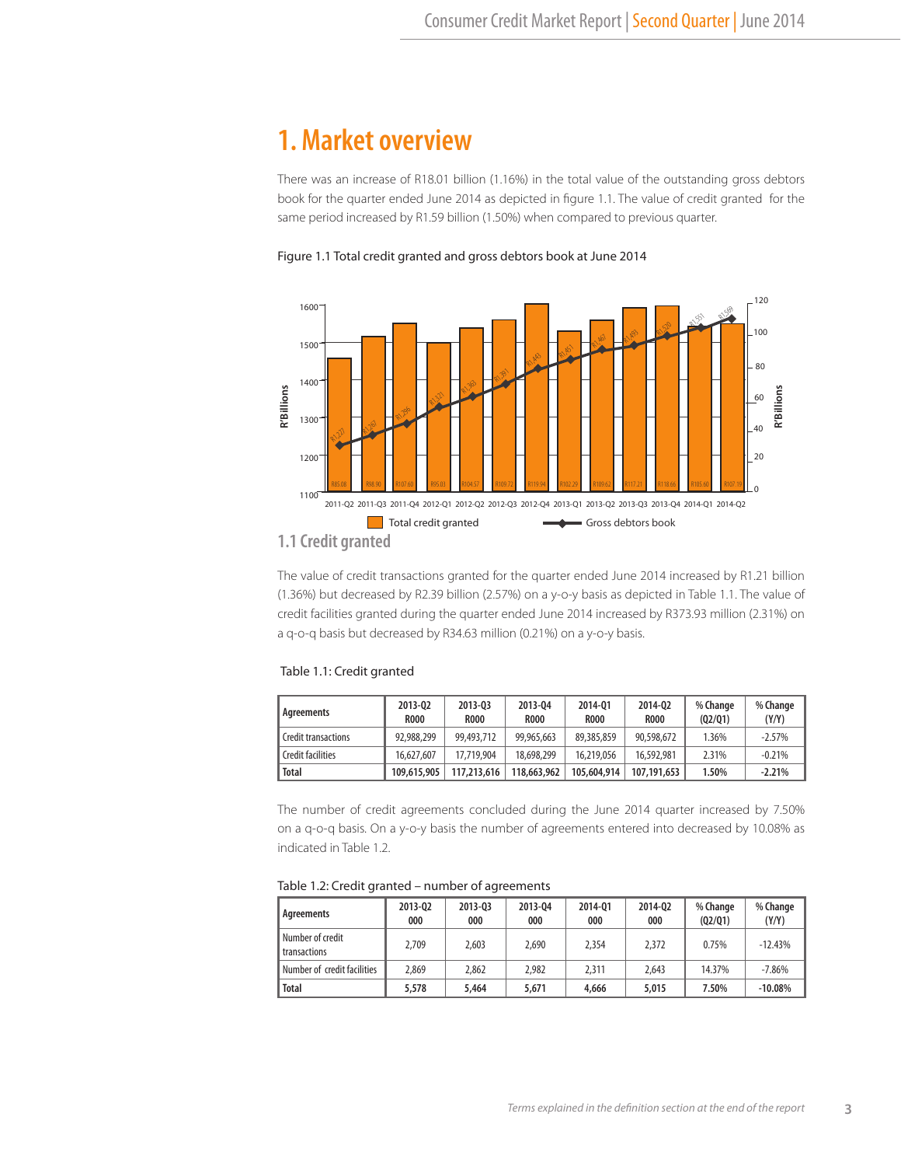# **1. Market overview**

There was an increase of R18.01 billion (1.16%) in the total value of the outstanding gross debtors book for the quarter ended June 2014 as depicted in figure 1.1. The value of credit granted for the same period increased by R1.59 billion (1.50%) when compared to previous quarter.





#### **1.1 Credit granted**

The value of credit transactions granted for the quarter ended June 2014 increased by R1.21 billion (1.36%) but decreased by R2.39 billion (2.57%) on a y-o-y basis as depicted in Table 1.1. The value of credit facilities granted during the quarter ended June 2014 increased by R373.93 million (2.31%) on a q-o-q basis but decreased by R34.63 million (0.21%) on a y-o-y basis.

#### Table 1.1: Credit granted

| Agreements                 | 2013-02<br><b>ROOO</b> | 2013-03<br><b>R000</b> | 2013-04<br><b>ROOO</b> | 2014-01<br><b>R000</b> | 2014-02<br><b>ROOO</b> | % Change<br>(Q2/Q1) | % Change<br>(Y/Y) |
|----------------------------|------------------------|------------------------|------------------------|------------------------|------------------------|---------------------|-------------------|
| <b>Credit transactions</b> | 92.988.299             | 99,493,712             | 99,965,663             | 89,385,859             | 90,598,672             | 1.36%               | $-2.57%$          |
| <b>Credit facilities</b>   | 16.627.607             | 17,719,904             | 18,698,299             | 16,219,056             | 16,592,981             | 2.31%               | $-0.21%$          |
| <b>Total</b>               | 109,615,905            | 117,213,616            | 118,663,962            | 105,604,914            | 107.191.653            | 1.50%               | $-2.21%$          |

The number of credit agreements concluded during the June 2014 quarter increased by 7.50% on a q-o-q basis. On a y-o-y basis the number of agreements entered into decreased by 10.08% as indicated in Table 1.2.

| Agreements                       | 2013-02<br>000 | 2013-03<br>000 | 2013-04<br>000 | 2014-01<br>000 | 2014-02<br>000 | % Change<br>(Q2/Q1) | % Change<br>(Y/Y) |
|----------------------------------|----------------|----------------|----------------|----------------|----------------|---------------------|-------------------|
| Number of credit<br>transactions | 2,709          | 2.603          | 2.690          | 2,354          | 2,372          | 0.75%               | $-12.43%$         |
| Number of credit facilities      | 2,869          | 2.862          | 2.982          | 2.311          | 2.643          | 14.37%              | $-7.86%$          |
| <b>Total</b>                     | 5,578          | 5,464          | 5,671          | 4,666          | 5,015          | 7.50%               | $-10.08%$         |

#### Table 1.2: Credit granted – number of agreements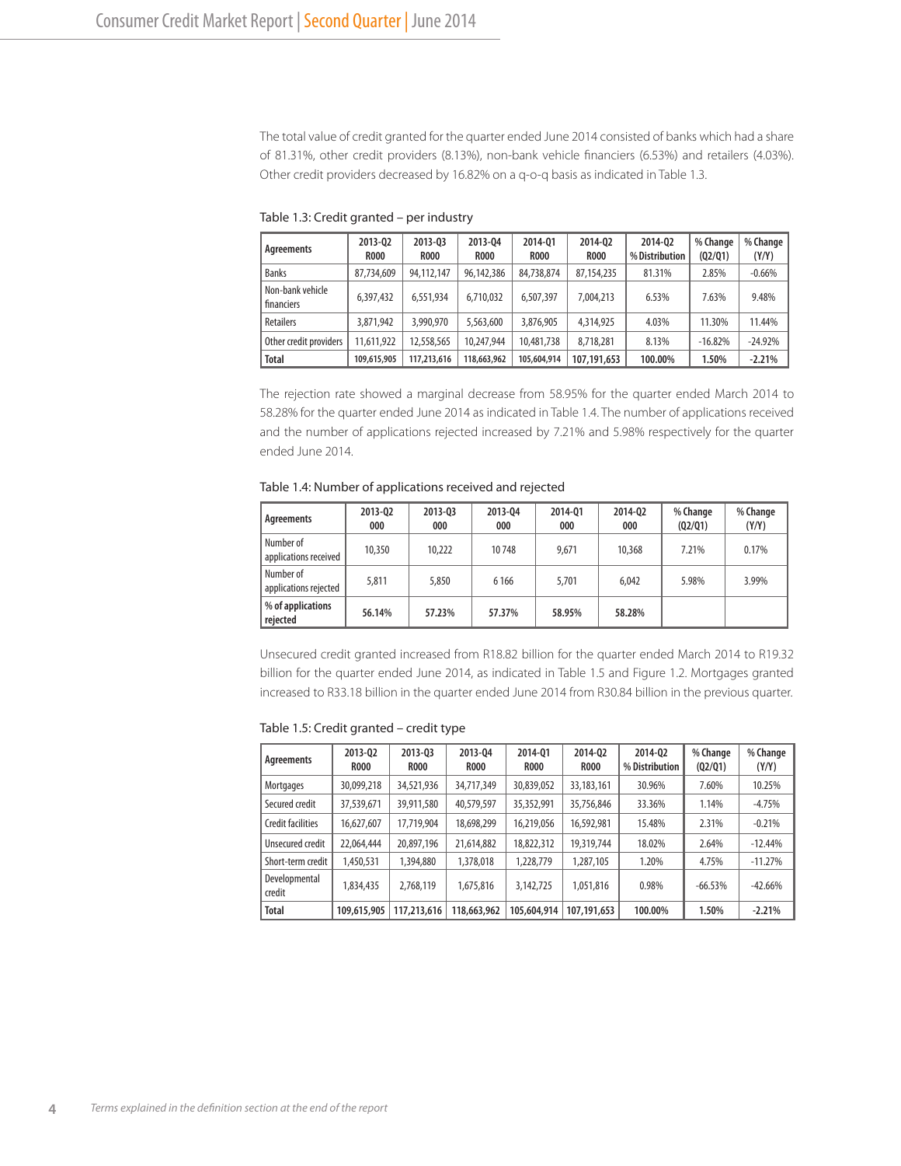The total value of credit granted for the quarter ended June 2014 consisted of banks which had a share of 81.31%, other credit providers (8.13%), non-bank vehicle financiers (6.53%) and retailers (4.03%). Other credit providers decreased by 16.82% on a q-o-q basis as indicated in Table 1.3.

| Agreements                     | 2013-02<br><b>R000</b> | 2013-03<br><b>ROOO</b> | 2013-04<br><b>R000</b> | 2014-01<br><b>R000</b> | 2014-02<br><b>R000</b> | 2014-02<br>% Distribution | % Change<br>(02/01) | % Change<br>(Y/Y) |
|--------------------------------|------------------------|------------------------|------------------------|------------------------|------------------------|---------------------------|---------------------|-------------------|
| <b>Banks</b>                   | 87.734.609             | 94,112,147             | 96,142,386             | 84,738,874             | 87,154,235             | 81.31%                    | 2.85%               | $-0.66%$          |
| Non-bank vehicle<br>financiers | 6,397,432              | 6.551.934              | 6.710.032              | 6.507.397              | 7.004.213              | 6.53%                     | 7.63%               | 9.48%             |
| <b>Retailers</b>               | 3,871,942              | 3,990,970              | 5,563,600              | 3,876,905              | 4,314,925              | 4.03%                     | 11.30%              | 11.44%            |
| Other credit providers         | 11,611,922             | 12,558,565             | 10,247,944             | 10,481,738             | 8,718,281              | 8.13%                     | $-16.82%$           | $-24.92%$         |
| <b>Total</b>                   | 109,615,905            | 117,213,616            | 118,663,962            | 105,604,914            | 107,191,653            | 100.00%                   | 1.50%               | $-2.21%$          |

Table 1.3: Credit granted – per industry

The rejection rate showed a marginal decrease from 58.95% for the quarter ended March 2014 to 58.28% for the quarter ended June 2014 as indicated in Table 1.4. The number of applications received and the number of applications rejected increased by 7.21% and 5.98% respectively for the quarter ended June 2014.

Table 1.4: Number of applications received and rejected

| Agreements                         | 2013-02<br>000 | 2013-03<br>000 | 2013-04<br>000 | 2014-01<br>000 | 2014-02<br>000 | % Change<br>(Q2/Q1) | % Change<br>(Y/Y) |
|------------------------------------|----------------|----------------|----------------|----------------|----------------|---------------------|-------------------|
| Number of<br>applications received | 10,350         | 10,222         | 10748          | 9.671          | 10,368         | 7.21%               | 0.17%             |
| Number of<br>applications rejected | 5,811          | 5,850          | 6 1 6 6        | 5.701          | 6.042          | 5.98%               | 3.99%             |
| % of applications<br>rejected      | 56.14%         | 57.23%         | 57.37%         | 58.95%         | 58.28%         |                     |                   |

Unsecured credit granted increased from R18.82 billion for the quarter ended March 2014 to R19.32 billion for the quarter ended June 2014, as indicated in Table 1.5 and Figure 1.2. Mortgages granted increased to R33.18 billion in the quarter ended June 2014 from R30.84 billion in the previous quarter.

Table 1.5: Credit granted – credit type

| Agreements               | 2013-02<br><b>ROOO</b> | 2013-03<br><b>ROOO</b> | 2013-04<br><b>R000</b> | 2014-01<br><b>ROOO</b> | 2014-02<br><b>R000</b> | 2014-02<br>% Distribution | % Change<br>(02/01) | % Change<br>(Y/Y) |
|--------------------------|------------------------|------------------------|------------------------|------------------------|------------------------|---------------------------|---------------------|-------------------|
| Mortgages                | 30,099,218             | 34,521,936             | 34,717,349             | 30,839,052             | 33, 183, 161           | 30.96%                    | 7.60%               | 10.25%            |
| Secured credit           | 37,539,671             | 39,911,580             | 40,579,597             | 35,352,991             | 35,756,846             | 33.36%                    | 1.14%               | $-4.75%$          |
| <b>Credit facilities</b> | 16,627,607             | 17,719,904             | 18,698,299             | 16,219,056             | 16,592,981             | 15.48%                    | 2.31%               | $-0.21%$          |
| Unsecured credit         | 22,064,444             | 20,897,196             | 21,614,882             | 18,822,312             | 19,319,744             | 18.02%                    | 2.64%               | $-12.44%$         |
| Short-term credit        | 1,450,531              | 1,394,880              | 1,378,018              | 1,228,779              | 1,287,105              | 1.20%                     | 4.75%               | $-11.27%$         |
| Developmental<br>credit  | 1,834,435              | 2,768,119              | 1,675,816              | 3,142,725              | 1,051,816              | 0.98%                     | $-66.53%$           | $-42.66%$         |
| <b>Total</b>             | 109,615,905            | 117,213,616            | 118,663,962            | 105,604,914            | 107.191.653            | 100.00%                   | 1.50%               | $-2.21%$          |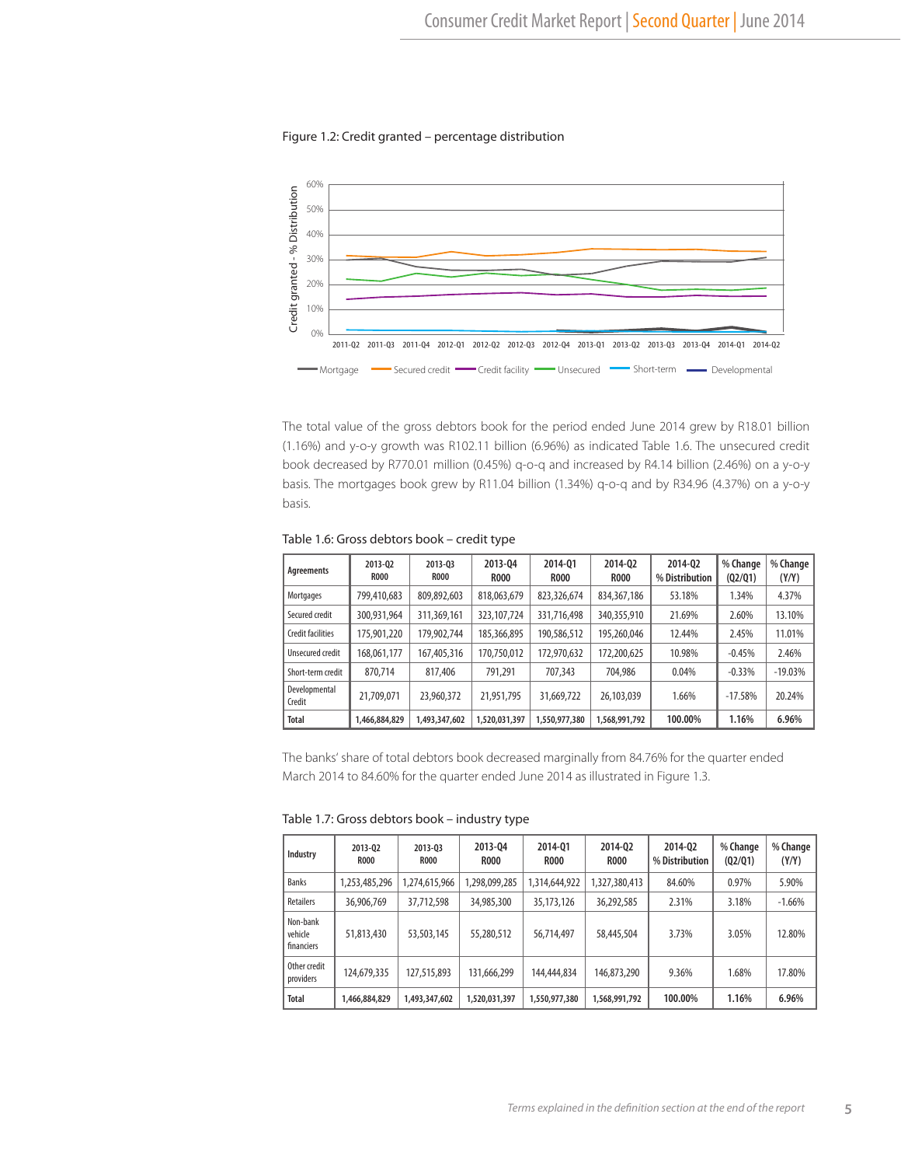#### Figure 1.2: Credit granted – percentage distribution



The total value of the gross debtors book for the period ended June 2014 grew by R18.01 billion (1.16%) and y-o-y growth was R102.11 billion (6.96%) as indicated Table 1.6. The unsecured credit book decreased by R770.01 million (0.45%) q-o-q and increased by R4.14 billion (2.46%) on a y-o-y basis. The mortgages book grew by R11.04 billion (1.34%) q-o-q and by R34.96 (4.37%) on a y-o-y basis.

| Agreements              | 2013-02<br><b>R000</b> | 2013-03<br><b>R000</b> | 2013-04<br><b>ROOO</b> | 2014-01<br><b>R000</b> | 2014-02<br><b>R000</b> | 2014-02<br>% Distribution | % Change<br>(Q2/Q1) | % Change<br>(Y/Y) |
|-------------------------|------------------------|------------------------|------------------------|------------------------|------------------------|---------------------------|---------------------|-------------------|
| Mortgages               | 799,410,683            | 809,892,603            | 818,063,679            | 823,326,674            | 834, 367, 186          | 53.18%                    | 1.34%               | 4.37%             |
| Secured credit          | 300.931.964            | 311,369,161            | 323, 107, 724          | 331,716,498            | 340,355,910            | 21.69%                    | 2.60%               | 13.10%            |
| Credit facilities       | 175,901,220            | 179.902.744            | 185,366,895            | 190,586,512            | 195,260,046            | 12.44%                    | 2.45%               | 11.01%            |
| Unsecured credit        | 168.061.177            | 167,405,316            | 170.750.012            | 172.970.632            | 172,200,625            | 10.98%                    | $-0.45%$            | 2.46%             |
| Short-term credit       | 870.714                | 817,406                | 791.291                | 707.343                | 704,986                | 0.04%                     | $-0.33%$            | $-19.03%$         |
| Developmental<br>Credit | 21.709.071             | 23,960,372             | 21.951.795             | 31,669,722             | 26,103,039             | 1.66%                     | $-17.58%$           | 20.24%            |
| Total                   | 1,466,884,829          | 1,493,347,602          | 1,520,031,397          | 1,550,977,380          | 1,568,991,792          | 100.00%                   | 1.16%               | 6.96%             |

#### Table 1.6: Gross debtors book – credit type

The banks' share of total debtors book decreased marginally from 84.76% for the quarter ended March 2014 to 84.60% for the quarter ended June 2014 as illustrated in Figure 1.3.

Table 1.7: Gross debtors book – industry type

| Industry                          | 2013-02<br><b>R000</b> | 2013-03<br><b>R000</b> | 2013-04<br><b>R000</b> | 2014-01<br><b>R000</b> | 2014-02<br><b>R000</b> | 2014-02<br>% Distribution | % Change<br>(02/01) | % Change<br>(Y/Y) |
|-----------------------------------|------------------------|------------------------|------------------------|------------------------|------------------------|---------------------------|---------------------|-------------------|
| <b>Banks</b>                      | 1,253,485,296          | 1,274,615,966          | ,298,099,285           | 1,314,644,922          | 1,327,380,413          | 84.60%                    | 0.97%               | 5.90%             |
| Retailers                         | 36,906,769             | 37,712,598             | 34,985,300             | 35,173,126             | 36,292,585             | 2.31%                     | 3.18%               | $-1.66%$          |
| Non-bank<br>vehicle<br>financiers | 51,813,430             | 53,503,145             | 55,280,512             | 56,714,497             | 58,445,504             | 3.73%                     | 3.05%               | 12.80%            |
| Other credit<br>providers         | 124,679,335            | 127,515,893            | 131,666,299            | 144,444,834            | 146,873,290            | 9.36%                     | 1.68%               | 17.80%            |
| <b>Total</b>                      | 1,466,884,829          | 1,493,347,602          | 1,520,031,397          | 1,550,977,380          | 1,568,991,792          | 100.00%                   | 1.16%               | 6.96%             |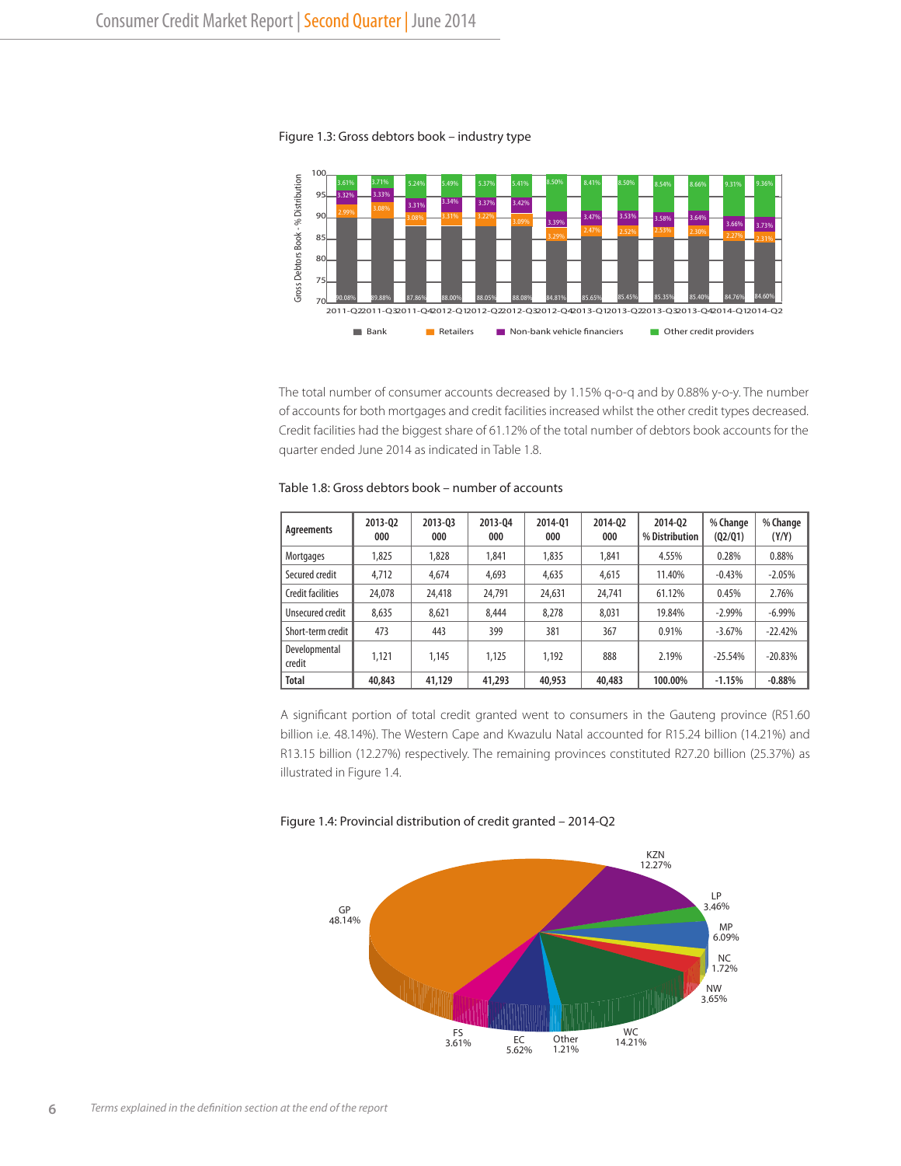

#### Figure 1.3: Gross debtors book – industry type

The total number of consumer accounts decreased by 1.15% q-o-q and by 0.88% y-o-y. The number of accounts for both mortgages and credit facilities increased whilst the other credit types decreased. Credit facilities had the biggest share of 61.12% of the total number of debtors book accounts for the quarter ended June 2014 as indicated in Table 1.8.

| Table 1.8: Gross debtors book – number of accounts |
|----------------------------------------------------|
|----------------------------------------------------|

| Agreements              | 2013-02<br>000 | 2013-03<br>000 | 2013-04<br>000 | 2014-01<br>000 | 2014-02<br>000 | 2014-02<br>% Distribution | % Change<br>(Q2/Q1) | % Change<br>(Y/Y) |
|-------------------------|----------------|----------------|----------------|----------------|----------------|---------------------------|---------------------|-------------------|
| Mortgages               | 1.825          | 1.828          | 1.841          | 1.835          | 1,841          | 4.55%                     | 0.28%               | 0.88%             |
| Secured credit          | 4.712          | 4,674          | 4,693          | 4,635          | 4,615          | 11.40%                    | $-0.43%$            | $-2.05%$          |
| Credit facilities       | 24,078         | 24,418         | 24.791         | 24,631         | 24,741         | 61.12%                    | 0.45%               | 2.76%             |
| Unsecured credit        | 8.635          | 8.621          | 8.444          | 8.278          | 8,031          | 19.84%                    | $-2.99%$            | $-6.99\%$         |
| Short-term credit       | 473            | 443            | 399            | 381            | 367            | 0.91%                     | $-3.67%$            | $-22.42%$         |
| Developmental<br>credit | 1.121          | 1.145          | 1.125          | 1.192          | 888            | 2.19%                     | $-25.54%$           | $-20.83%$         |
| <b>Total</b>            | 40,843         | 41,129         | 41,293         | 40,953         | 40,483         | 100.00%                   | $-1.15%$            | $-0.88%$          |

A significant portion of total credit granted went to consumers in the Gauteng province (R51.60 billion i.e. 48.14%). The Western Cape and Kwazulu Natal accounted for R15.24 billion (14.21%) and R13.15 billion (12.27%) respectively. The remaining provinces constituted R27.20 billion (25.37%) as illustrated in Figure 1.4.



#### Figure 1.4: Provincial distribution of credit granted – 2014-Q2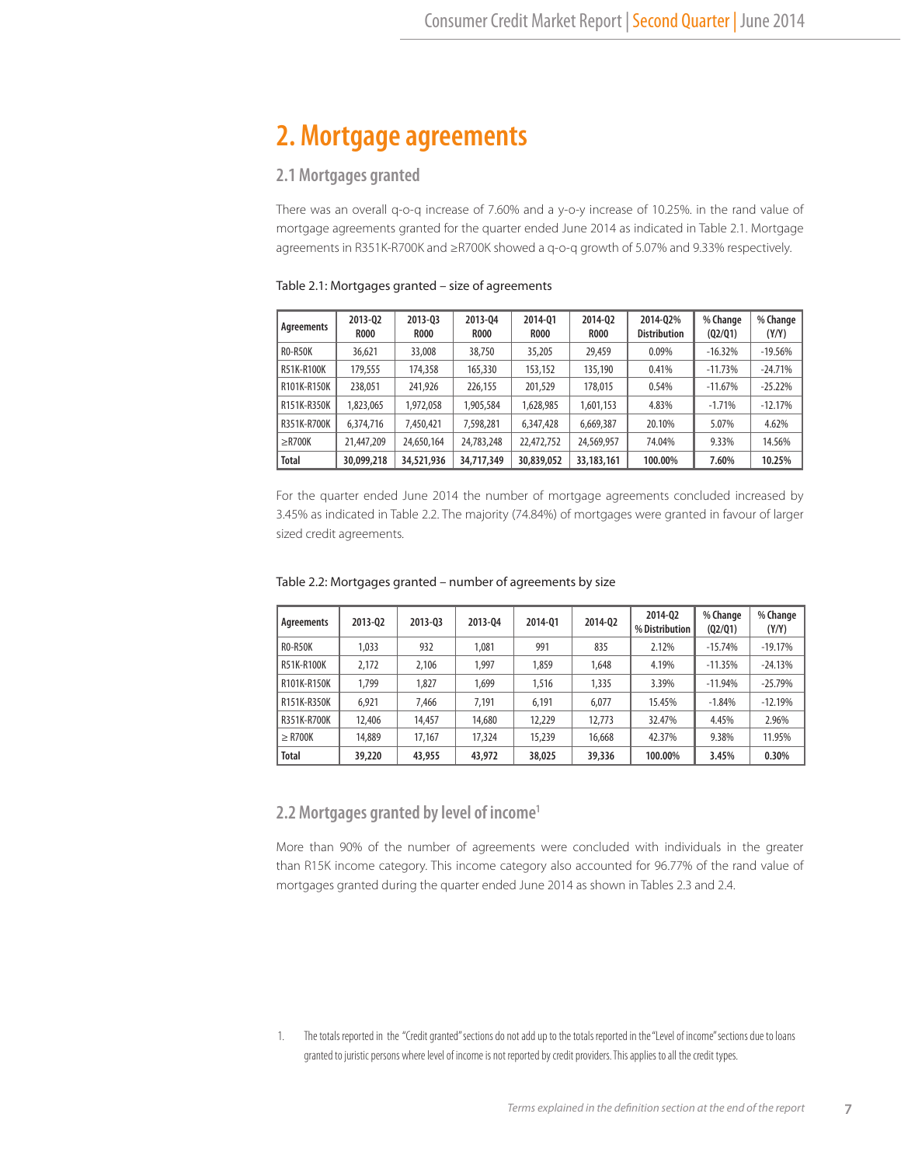# **2. Mortgage agreements**

## **2.1 Mortgages granted**

There was an overall q-o-q increase of 7.60% and a y-o-y increase of 10.25%. in the rand value of mortgage agreements granted for the quarter ended June 2014 as indicated in Table 2.1. Mortgage agreements in R351K-R700K and ≥R700K showed a q-o-q growth of 5.07% and 9.33% respectively.

| Agreements     | 2013-02<br><b>R000</b> | 2013-03<br><b>ROOO</b> | 2013-04<br><b>R000</b> | 2014-01<br><b>R000</b> | 2014-02<br><b>ROOO</b> | 2014-02%<br><b>Distribution</b> | % Change<br>(02/01) | % Change<br>(Y/Y) |
|----------------|------------------------|------------------------|------------------------|------------------------|------------------------|---------------------------------|---------------------|-------------------|
| <b>RO-R50K</b> | 36,621                 | 33,008                 | 38,750                 | 35,205                 | 29,459                 | 0.09%                           | $-16.32%$           | $-19.56%$         |
| R51K-R100K     | 179,555                | 174,358                | 165,330                | 153,152                | 135,190                | 0.41%                           | $-11.73%$           | $-24.71%$         |
| R101K-R150K    | 238.051                | 241,926                | 226,155                | 201,529                | 178,015                | 0.54%                           | $-11.67%$           | $-25.22%$         |
| R151K-R350K    | 1,823,065              | 1,972,058              | 1,905,584              | 1,628,985              | 1,601,153              | 4.83%                           | $-1.71%$            | $-12.17%$         |
| R351K-R700K    | 6,374,716              | 7,450,421              | 7,598,281              | 6,347,428              | 6,669,387              | 20.10%                          | 5.07%               | 4.62%             |
| $\geq$ R700K   | 21,447,209             | 24,650,164             | 24,783,248             | 22,472,752             | 24,569,957             | 74.04%                          | 9.33%               | 14.56%            |
| <b>Total</b>   | 30,099,218             | 34,521,936             | 34,717,349             | 30,839,052             | 33, 183, 161           | 100.00%                         | 7.60%               | 10.25%            |

#### Table 2.1: Mortgages granted – size of agreements

For the quarter ended June 2014 the number of mortgage agreements concluded increased by 3.45% as indicated in Table 2.2. The majority (74.84%) of mortgages were granted in favour of larger sized credit agreements.

| Agreements     | 2013-02 | 2013-03 | 2013-04 | 2014-01 | 2014-02 | 2014-02<br>% Distribution | % Change<br>(02/01) | % Change<br>(Y/Y) |
|----------------|---------|---------|---------|---------|---------|---------------------------|---------------------|-------------------|
| <b>RO-R50K</b> | 1.033   | 932     | 1.081   | 991     | 835     | 2.12%                     | $-15.74%$           | $-19.17%$         |
| R51K-R100K     | 2.172   | 2,106   | 1.997   | 1.859   | 1.648   | 4.19%                     | $-11.35%$           | $-24.13%$         |
| R101K-R150K    | 1.799   | 1.827   | 1.699   | 1,516   | 1,335   | 3.39%                     | $-11.94%$           | $-25.79%$         |
| R151K-R350K    | 6.921   | 7.466   | 7.191   | 6.191   | 6.077   | 15.45%                    | $-1.84%$            | $-12.19%$         |
| R351K-R700K    | 12,406  | 14,457  | 14,680  | 12,229  | 12.773  | 32.47%                    | 4.45%               | 2.96%             |
| $>$ R700K      | 14,889  | 17.167  | 17,324  | 15,239  | 16,668  | 42.37%                    | 9.38%               | 11.95%            |
| <b>Total</b>   | 39,220  | 43,955  | 43,972  | 38,025  | 39,336  | 100.00%                   | 3.45%               | 0.30%             |

#### Table 2.2: Mortgages granted – number of agreements by size

## **2.2 Mortgages granted by level of income1**

More than 90% of the number of agreements were concluded with individuals in the greater than R15K income category. This income category also accounted for 96.77% of the rand value of mortgages granted during the quarter ended June 2014 as shown in Tables 2.3 and 2.4.

1. The totals reported in the "Credit granted" sections do not add up to the totals reported in the "Level of income" sections due to loans granted to juristic persons where level of income is not reported by credit providers. This applies to all the credit types.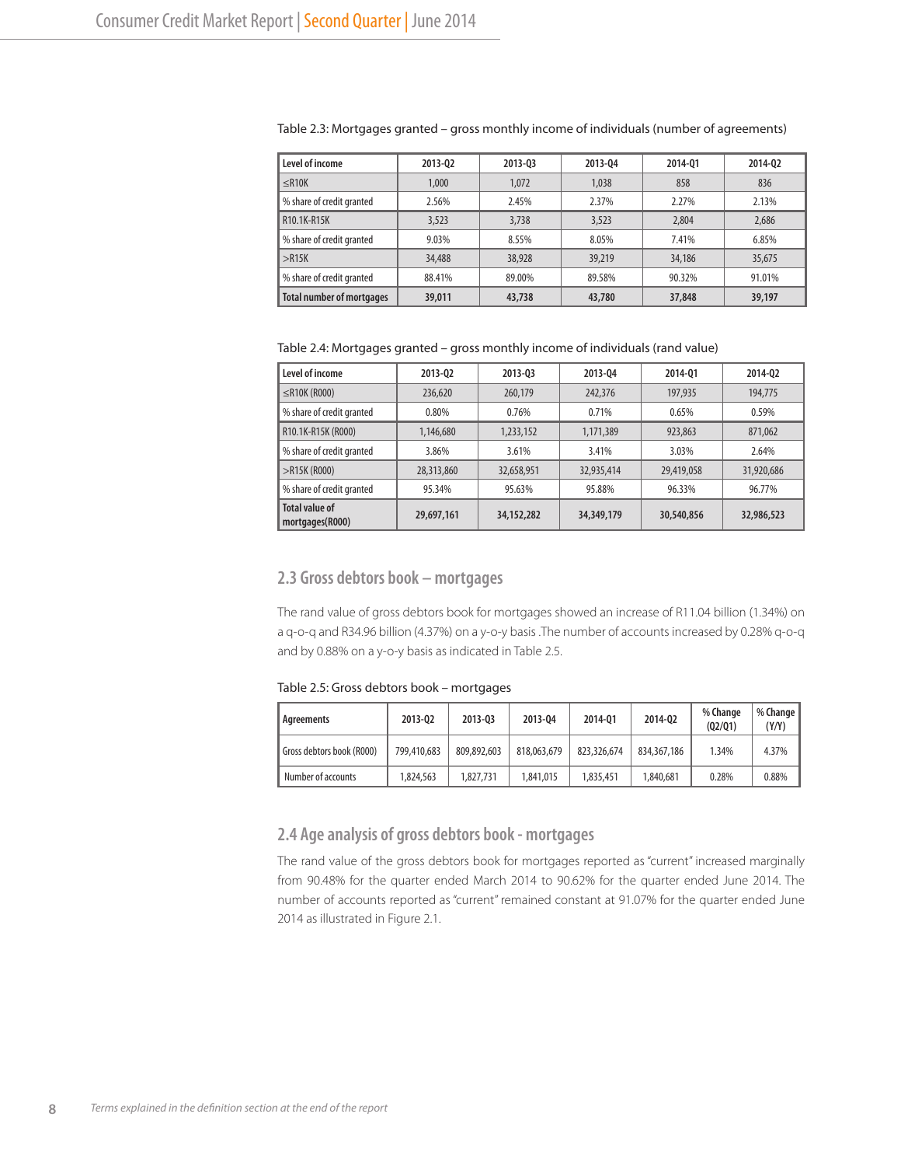| Level of income                  | 2013-02 | 2013-03 | 2013-04 | 2014-01 | 2014-02 |
|----------------------------------|---------|---------|---------|---------|---------|
| $\leq$ R10K                      | 1,000   | 1.072   | 1.038   | 858     | 836     |
| % share of credit granted        | 2.56%   | 2.45%   | 2.37%   | 2.27%   | 2.13%   |
| R10.1K-R15K                      | 3,523   | 3,738   | 3,523   | 2,804   | 2.686   |
| % share of credit granted        | 9.03%   | 8.55%   | 8.05%   | 7.41%   | 6.85%   |
| >R15K                            | 34,488  | 38,928  | 39,219  | 34,186  | 35,675  |
| % share of credit granted        | 88.41%  | 89.00%  | 89.58%  | 90.32%  | 91.01%  |
| <b>Total number of mortgages</b> | 39,011  | 43,738  | 43,780  | 37,848  | 39,197  |

#### Table 2.3: Mortgages granted – gross monthly income of individuals (number of agreements)

Table 2.4: Mortgages granted – gross monthly income of individuals (rand value)

| Level of income                          | 2013-02    | 2013-03      | 2013-04    | 2014-01    | 2014-02    |
|------------------------------------------|------------|--------------|------------|------------|------------|
| $\leq$ R10K (R000)                       | 236,620    | 260,179      | 242,376    | 197,935    | 194,775    |
| % share of credit granted                | 0.80%      | 0.76%        | 0.71%      | 0.65%      | 0.59%      |
| R10.1K-R15K (R000)                       | 1,146,680  | 1,233,152    | 1,171,389  | 923,863    | 871,062    |
| % share of credit granted                | 3.86%      | 3.61%        | 3.41%      | 3.03%      | 2.64%      |
| $>$ R15K (R000)                          | 28,313,860 | 32,658,951   | 32,935,414 | 29,419,058 | 31,920,686 |
| % share of credit granted                | 95.34%     | 95.63%       | 95.88%     | 96.33%     | 96.77%     |
| <b>Total value of</b><br>mortgages(R000) | 29,697,161 | 34, 152, 282 | 34,349,179 | 30,540,856 | 32,986,523 |

# **2.3 Gross debtors book – mortgages**

The rand value of gross debtors book for mortgages showed an increase of R11.04 billion (1.34%) on a q-o-q and R34.96 billion (4.37%) on a y-o-y basis .The number of accounts increased by 0.28% q-o-q and by 0.88% on a y-o-y basis as indicated in Table 2.5.

Table 2.5: Gross debtors book – mortgages

| Agreements                | 2013-02     | 2013-03     | 2013-04     | 2014-01     | 2014-02     | % Change<br>(02/01) | % Change<br>(Y/Y) |
|---------------------------|-------------|-------------|-------------|-------------|-------------|---------------------|-------------------|
| Gross debtors book (R000) | 799,410,683 | 809,892,603 | 818,063,679 | 823,326,674 | 834,367,186 | 1.34%               | 4.37%             |
| Number of accounts        | 1.824.563   | 1,827,731   | 1,841,015   | 1,835,451   | 840.681.    | 0.28%               | 0.88%             |

## **2.4 Age analysis of gross debtors book - mortgages**

The rand value of the gross debtors book for mortgages reported as "current" increased marginally from 90.48% for the quarter ended March 2014 to 90.62% for the quarter ended June 2014. The number of accounts reported as "current" remained constant at 91.07% for the quarter ended June 2014 as illustrated in Figure 2.1.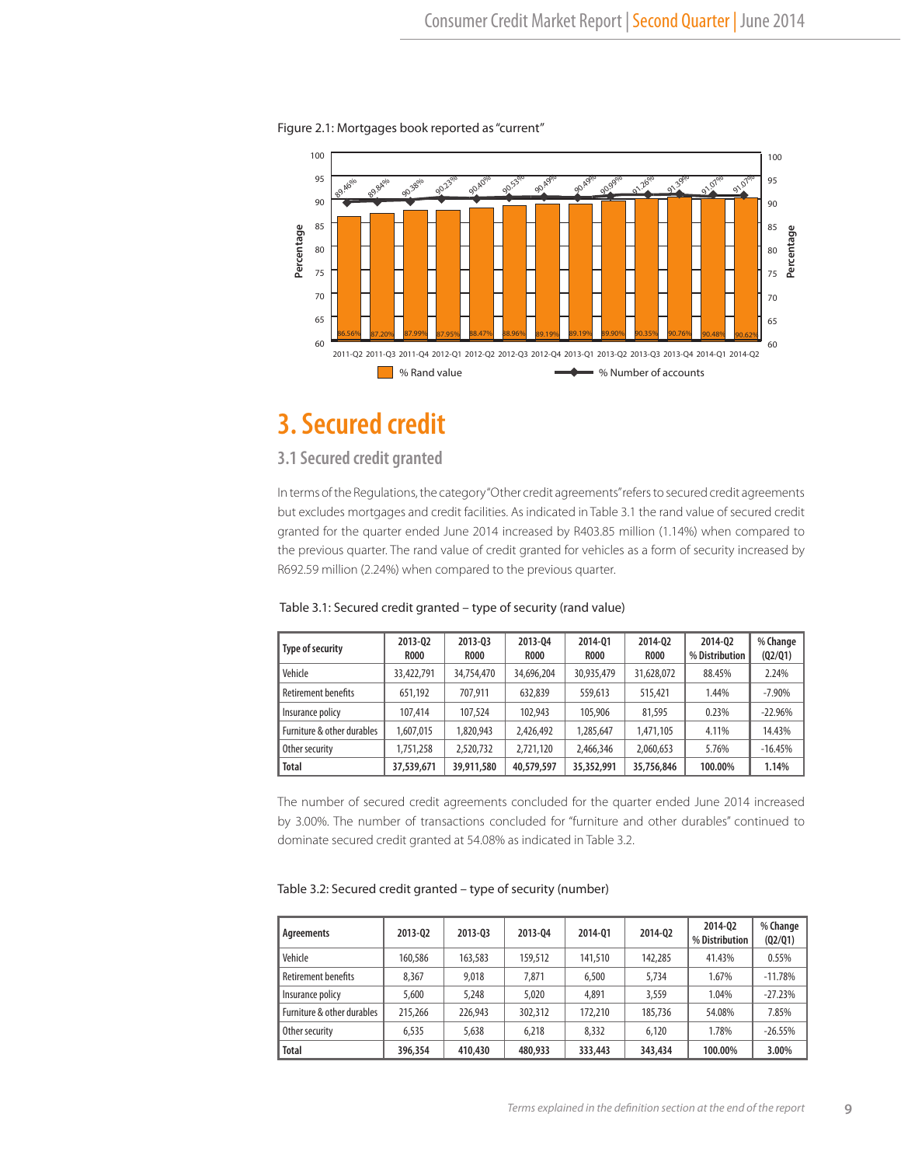Figure 2.1: Mortgages book reported as "current"



# **3. Secured credit**

# **3.1 Secured credit granted**

In terms of the Regulations, the category "Other credit agreements" refers to secured credit agreements but excludes mortgages and credit facilities. As indicated in Table 3.1 the rand value of secured credit granted for the quarter ended June 2014 increased by R403.85 million (1.14%) when compared to the previous quarter. The rand value of credit granted for vehicles as a form of security increased by R692.59 million (2.24%) when compared to the previous quarter. 

| Type of security           | 2013-02<br><b>ROOO</b> | 2013-03<br><b>ROOO</b> | 2013-04<br><b>R000</b> | 2014-01<br><b>R000</b> | 2014-02<br><b>R000</b> | 2014-02<br>% Distribution | % Change<br>(Q2/Q1) |
|----------------------------|------------------------|------------------------|------------------------|------------------------|------------------------|---------------------------|---------------------|
| Vehicle                    | 33.422.791             | 34,754,470             | 34,696,204             | 30,935,479             | 31,628,072             | 88.45%                    | 2.24%               |
| Retirement benefits        | 651.192                | 707.911                | 632,839                | 559,613                | 515,421                | 1.44%                     | $-7.90%$            |
| Insurance policy           | 107,414                | 107,524                | 102,943                | 105,906                | 81,595                 | 0.23%                     | $-22.96%$           |
| Furniture & other durables | 1,607,015              | 1,820,943              | 2.426.492              | 1,285,647              | 1,471,105              | 4.11%                     | 14.43%              |
| Other security             | 1,751,258              | 2,520,732              | 2,721,120              | 2,466,346              | 2,060,653              | 5.76%                     | $-16.45%$           |
| <b>Total</b>               | 37,539,671             | 39,911,580             | 40,579,597             | 35,352,991             | 35,756,846             | 100.00%                   | 1.14%               |

Table 3.1: Secured credit granted – type of security (rand value)

The number of secured credit agreements concluded for the quarter ended June 2014 increased by 3.00%. The number of transactions concluded for "furniture and other durables" continued to dominate secured credit granted at 54.08% as indicated in Table 3.2.

| Agreements                 | 2013-02 | 2013-03 | 2013-04 | 2014-01 | 2014-02 | 2014-02<br>% Distribution | % Change<br>(02/01) |
|----------------------------|---------|---------|---------|---------|---------|---------------------------|---------------------|
| Vehicle                    | 160,586 | 163,583 | 159,512 | 141,510 | 142,285 | 41.43%                    | 0.55%               |
| Retirement benefits        | 8.367   | 9,018   | 7.871   | 6,500   | 5.734   | 1.67%                     | $-11.78%$           |
| Insurance policy           | 5,600   | 5,248   | 5,020   | 4,891   | 3,559   | 1.04%                     | $-27.23%$           |
| Furniture & other durables | 215,266 | 226,943 | 302,312 | 172,210 | 185.736 | 54.08%                    | 7.85%               |
| Other security             | 6,535   | 5,638   | 6.218   | 8.332   | 6.120   | 1.78%                     | $-26.55\%$          |
| <b>Total</b>               | 396,354 | 410,430 | 480,933 | 333,443 | 343,434 | 100.00%                   | 3.00%               |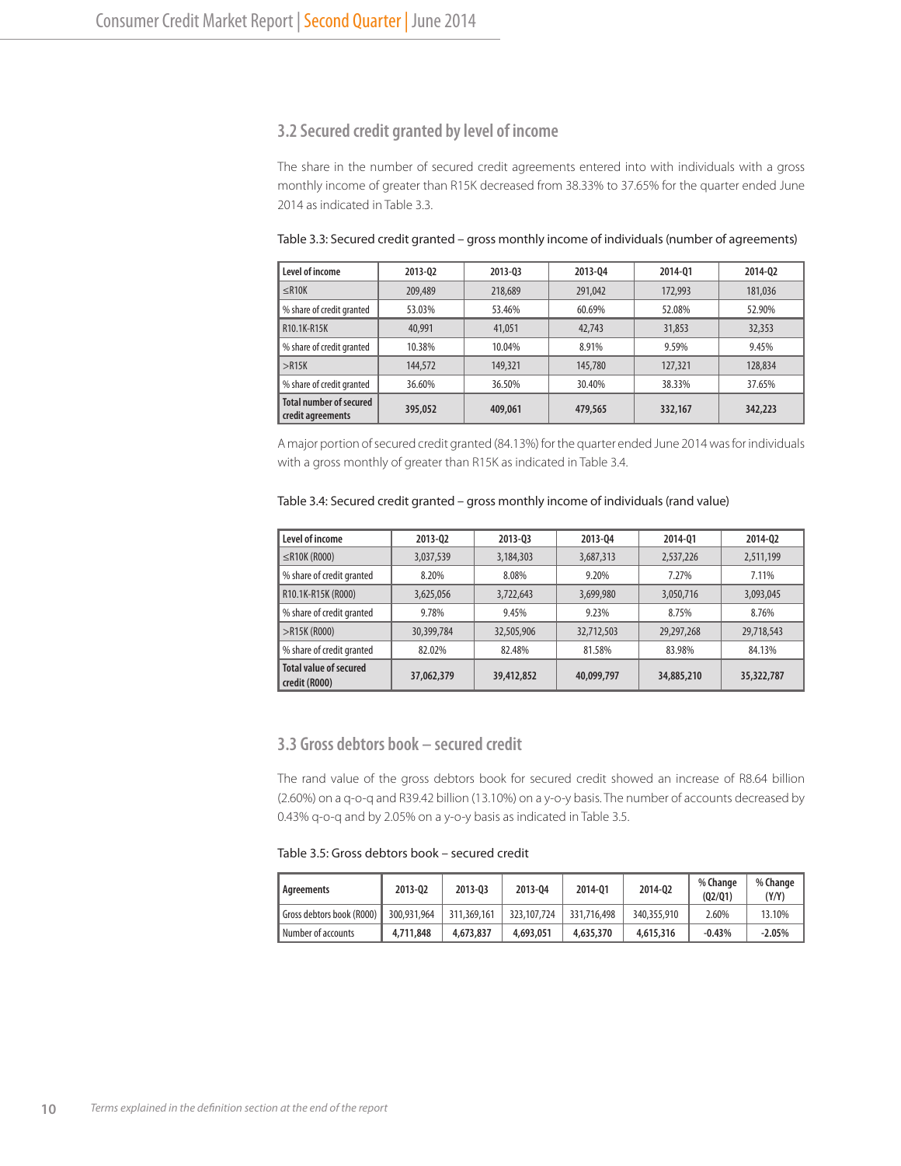## **3.2 Secured credit granted by level of income**

The share in the number of secured credit agreements entered into with individuals with a gross monthly income of greater than R15K decreased from 38.33% to 37.65% for the quarter ended June 2014 as indicated in Table 3.3.

| Level of income                                     | 2013-02 | 2013-03 | 2013-04 | 2014-01 | 2014-02 |
|-----------------------------------------------------|---------|---------|---------|---------|---------|
| $\leq$ R10K                                         | 209,489 | 218,689 | 291,042 | 172,993 | 181,036 |
| % share of credit granted                           | 53.03%  | 53.46%  | 60.69%  | 52.08%  | 52.90%  |
| R10.1K-R15K                                         | 40,991  | 41,051  | 42.743  | 31,853  | 32,353  |
| % share of credit granted                           | 10.38%  | 10.04%  | 8.91%   | 9.59%   | 9.45%   |
| >R15K                                               | 144,572 | 149,321 | 145,780 | 127,321 | 128,834 |
| % share of credit granted                           | 36.60%  | 36.50%  | 30.40%  | 38.33%  | 37.65%  |
| <b>Total number of secured</b><br>credit agreements | 395,052 | 409,061 | 479,565 | 332,167 | 342,223 |

Table 3.3: Secured credit granted – gross monthly income of individuals (number of agreements)

A major portion of secured credit granted (84.13%) for the quarter ended June 2014 was for individuals with a gross monthly of greater than R15K as indicated in Table 3.4.

#### Table 3.4: Secured credit granted – gross monthly income of individuals (rand value)

| Level of income                                | 2013-02    | 2013-03    | 2013-04    | 2014-01    | 2014-02    |
|------------------------------------------------|------------|------------|------------|------------|------------|
| $\leq$ R10K (R000)                             | 3,037,539  | 3,184,303  | 3,687,313  | 2,537,226  | 2,511,199  |
| % share of credit granted                      | 8.20%      | 8.08%      | 9.20%      | 7.27%      | 7.11%      |
| R10.1K-R15K (R000)                             | 3,625,056  | 3,722,643  | 3,699,980  | 3,050,716  | 3,093,045  |
| % share of credit granted                      | 9.78%      | 9.45%      | 9.23%      | 8.75%      | 8.76%      |
| $>$ R15K (R000)                                | 30,399,784 | 32,505,906 | 32,712,503 | 29,297,268 | 29,718,543 |
| % share of credit granted                      | 82.02%     | 82.48%     | 81.58%     | 83.98%     | 84.13%     |
| <b>Total value of secured</b><br>credit (R000) | 37,062,379 | 39,412,852 | 40,099,797 | 34,885,210 | 35,322,787 |

#### **3.3 Gross debtors book – secured credit**

The rand value of the gross debtors book for secured credit showed an increase of R8.64 billion (2.60%) on a q-o-q and R39.42 billion (13.10%) on a y-o-y basis. The number of accounts decreased by 0.43% q-o-q and by 2.05% on a y-o-y basis as indicated in Table 3.5.

Table 3.5: Gross debtors book – secured credit

| Agreements                | 2013-02     | 2013-03     | 2013-04     | 2014-01     | 2014-02     | % Change<br>(02/01) | % Change<br>(Y/Y) |
|---------------------------|-------------|-------------|-------------|-------------|-------------|---------------------|-------------------|
| Gross debtors book (R000) | 300.931.964 | 311,369,161 | 323,107,724 | 331,716,498 | 340,355,910 | 2.60%               | 13.10%            |
| Number of accounts        | 4,711,848   | 4,673,837   | 4,693,051   | 4,635,370   | 4,615,316   | $-0.43%$            | $-2.05%$          |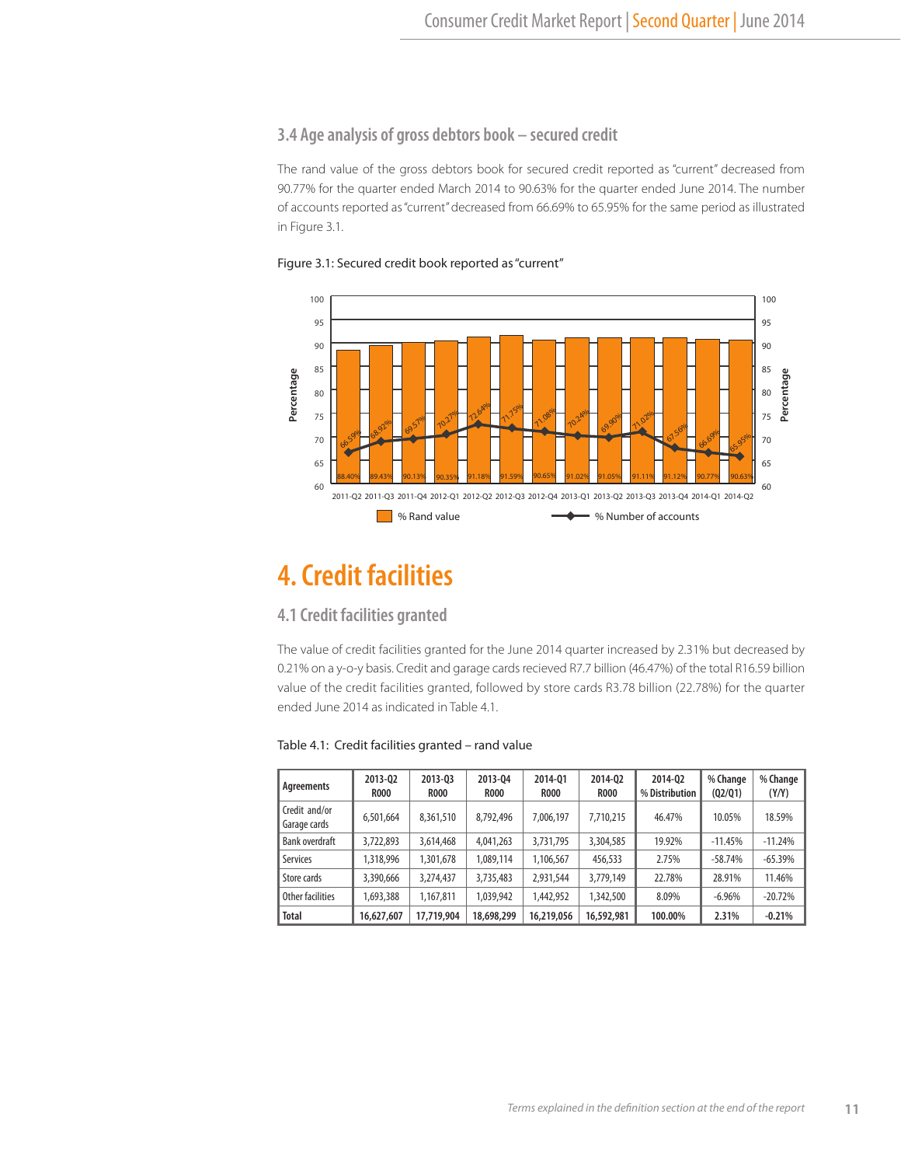# **3.4 Age analysis of gross debtors book – secured credit**

The rand value of the gross debtors book for secured credit reported as "current" decreased from 90.77% for the quarter ended March 2014 to 90.63% for the quarter ended June 2014. The number of accounts reported as "current" decreased from 66.69% to 65.95% for the same period as illustrated in Figure 3.1.





# **4. Credit facilities**

## **4.1 Credit facilities granted**

The value of credit facilities granted for the June 2014 quarter increased by 2.31% but decreased by 0.21% on a y-o-y basis. Credit and garage cards recieved R7.7 billion (46.47%) of the total R16.59 billion value of the credit facilities granted, followed by store cards R3.78 billion (22.78%) for the quarter ended June 2014 as indicated in Table 4.1.

#### Table 4.1: Credit facilities granted – rand value

| Agreements                    | 2013-02<br><b>R000</b> | 2013-03<br><b>ROOO</b> | 2013-04<br><b>ROOO</b> | 2014-01<br><b>R000</b> | 2014-02<br><b>R000</b> | 2014-02<br>% Distribution | % Change<br>(02/01) | % Change<br>(Y/Y) |
|-------------------------------|------------------------|------------------------|------------------------|------------------------|------------------------|---------------------------|---------------------|-------------------|
| Credit and/or<br>Garage cards | 6,501,664              | 8,361,510              | 8.792.496              | 7,006,197              | 7,710,215              | 46.47%                    | 10.05%              | 18.59%            |
| Bank overdraft                | 3,722,893              | 3,614,468              | 4,041,263              | 3,731,795              | 3,304,585              | 19.92%                    | $-11.45%$           | $-11.24%$         |
| Services                      | 1,318,996              | 1,301,678              | 1,089,114              | 1,106,567              | 456,533                | 2.75%                     | $-58.74%$           | $-65.39%$         |
| Store cards                   | 3,390,666              | 3.274.437              | 3,735,483              | 2,931,544              | 3.779.149              | 22.78%                    | 28.91%              | 11.46%            |
| Other facilities              | 1,693,388              | 1.167.811              | 1,039,942              | 1,442,952              | 1,342,500              | 8.09%                     | $-6.96%$            | $-20.72%$         |
| <b>Total</b>                  | 16,627,607             | 17,719,904             | 18,698,299             | 16,219,056             | 16,592,981             | 100.00%                   | 2.31%               | $-0.21%$          |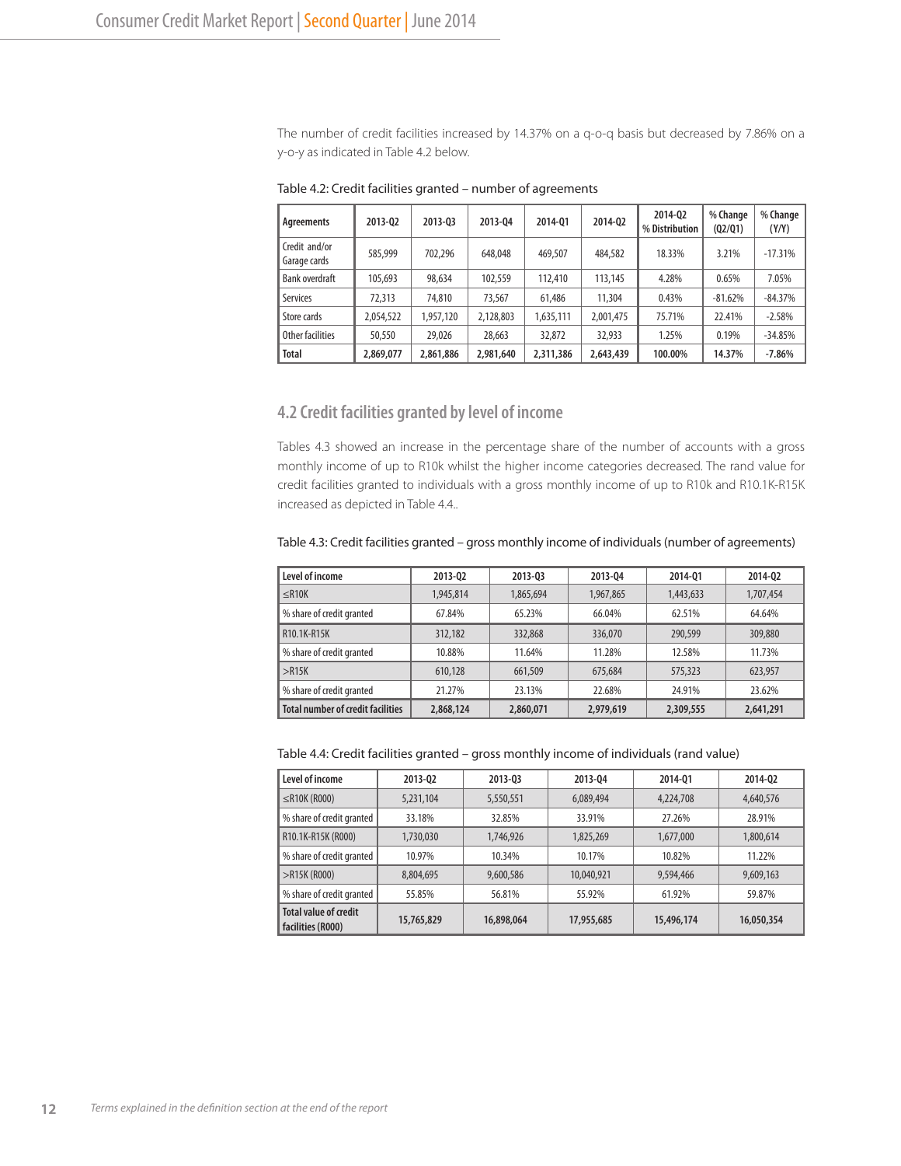The number of credit facilities increased by 14.37% on a q-o-q basis but decreased by 7.86% on a y-o-y as indicated in Table 4.2 below.

| Agreements                    | 2013-02   | 2013-03   | 2013-04   | 2014-01   | 2014-02   | 2014-02<br>% Distribution | % Change<br>(02/01) | % Change<br>(Y/Y) |
|-------------------------------|-----------|-----------|-----------|-----------|-----------|---------------------------|---------------------|-------------------|
| Credit and/or<br>Garage cards | 585,999   | 702.296   | 648,048   | 469,507   | 484,582   | 18.33%                    | 3.21%               | $-17.31%$         |
| Bank overdraft                | 105,693   | 98,634    | 102,559   | 112,410   | 113,145   | 4.28%                     | 0.65%               | 7.05%             |
| <b>Services</b>               | 72,313    | 74,810    | 73,567    | 61,486    | 11,304    | 0.43%                     | $-81.62%$           | $-84.37%$         |
| Store cards                   | 2,054,522 | 1,957,120 | 2,128,803 | 1,635,111 | 2,001,475 | 75.71%                    | 22.41%              | $-2.58%$          |
| Other facilities              | 50,550    | 29,026    | 28,663    | 32,872    | 32,933    | 1.25%                     | 0.19%               | $-34.85%$         |
| <b>Total</b>                  | 2,869,077 | 2,861,886 | 2,981,640 | 2,311,386 | 2,643,439 | 100.00%                   | 14.37%              | $-7.86%$          |

Table 4.2: Credit facilities granted – number of agreements

#### **4.2 Credit facilities granted by level of income**

Tables 4.3 showed an increase in the percentage share of the number of accounts with a gross monthly income of up to R10k whilst the higher income categories decreased. The rand value for credit facilities granted to individuals with a gross monthly income of up to R10k and R10.1K-R15K increased as depicted in Table 4.4..

| Level of income                          | 2013-02   | 2013-03   | 2013-04   | 2014-01   | 2014-02   |
|------------------------------------------|-----------|-----------|-----------|-----------|-----------|
| $<$ R10K                                 | 1,945,814 | 1,865,694 | 1,967,865 | 1,443,633 | 1,707,454 |
| % share of credit granted                | 67.84%    | 65.23%    | 66.04%    | 62.51%    | 64.64%    |
| R10.1K-R15K                              | 312,182   | 332,868   | 336,070   | 290,599   | 309,880   |
| % share of credit granted                | 10.88%    | 11.64%    | 11.28%    | 12.58%    | 11.73%    |
| >R15K                                    | 610.128   | 661,509   | 675,684   | 575,323   | 623.957   |
| % share of credit granted                | 21.27%    | 23.13%    | 22.68%    | 24.91%    | 23.62%    |
| <b>Total number of credit facilities</b> | 2,868,124 | 2,860,071 | 2,979,619 | 2,309,555 | 2,641,291 |

Table 4.3: Credit facilities granted – gross monthly income of individuals (number of agreements)

Table 4.4: Credit facilities granted – gross monthly income of individuals (rand value)

| Level of income                                   | 2013-02    | 2013-03    | 2013-04    | 2014-01    | 2014-02    |
|---------------------------------------------------|------------|------------|------------|------------|------------|
| $\leq$ R10K (R000)                                | 5,231,104  | 5,550,551  | 6,089,494  | 4,224,708  | 4,640,576  |
| % share of credit granted                         | 33.18%     | 32.85%     | 33.91%     | 27.26%     | 28.91%     |
| R10.1K-R15K (R000)                                | 1,730,030  | 1,746,926  | 1,825,269  | 1,677,000  | 1,800,614  |
| % share of credit granted                         | 10.97%     | 10.34%     | 10.17%     | 10.82%     | 11.22%     |
| $>$ R15K (R000)                                   | 8,804,695  | 9,600,586  | 10,040,921 | 9,594,466  | 9,609,163  |
| % share of credit granted                         | 55.85%     | 56.81%     | 55.92%     | 61.92%     | 59.87%     |
| <b>Total value of credit</b><br>facilities (R000) | 15,765,829 | 16,898,064 | 17,955,685 | 15,496,174 | 16,050,354 |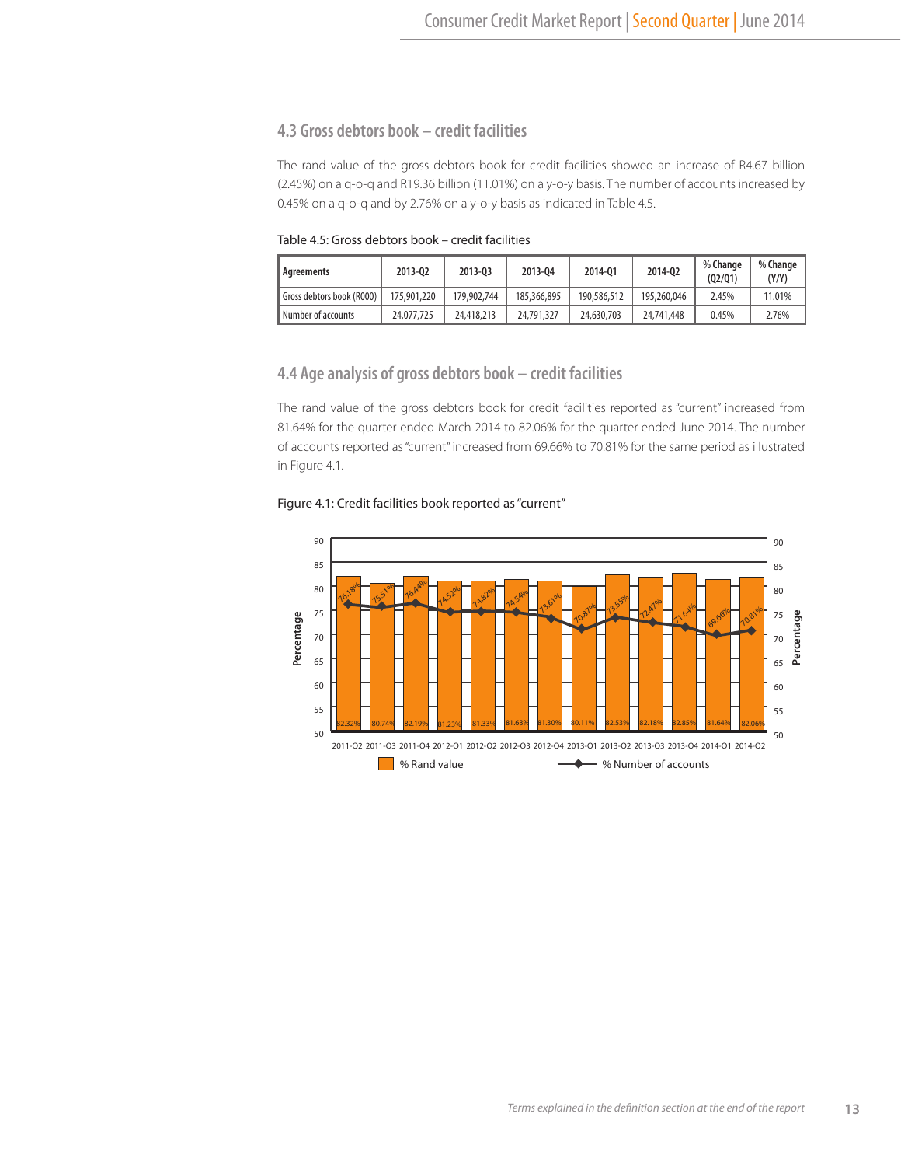# **4.3 Gross debtors book – credit facilities**

The rand value of the gross debtors book for credit facilities showed an increase of R4.67 billion (2.45%) on a q-o-q and R19.36 billion (11.01%) on a y-o-y basis. The number of accounts increased by 0.45% on a q-o-q and by 2.76% on a y-o-y basis as indicated in Table 4.5.

Table 4.5: Gross debtors book – credit facilities

| Agreements                | 2013-02     | 2013-03     | 2013-04     | 2014-01     | 2014-02     | % Change<br>(02/01) | % Change<br>(Y/Y) |
|---------------------------|-------------|-------------|-------------|-------------|-------------|---------------------|-------------------|
| Gross debtors book (R000) | 175,901,220 | 179,902,744 | 185,366,895 | 190,586,512 | 195,260,046 | 2.45%               | 11.01%            |
| Number of accounts        | 24,077,725  | 24,418,213  | 24,791,327  | 24,630,703  | 24,741,448  | 0.45%               | 2.76%             |

#### **4.4 Age analysis of gross debtors book – credit facilities**

The rand value of the gross debtors book for credit facilities reported as "current" increased from 81.64% for the quarter ended March 2014 to 82.06% for the quarter ended June 2014. The number of accounts reported as "current" increased from 69.66% to 70.81% for the same period as illustrated in Figure 4.1.

#### Figure 4.1: Credit facilities book reported as "current"

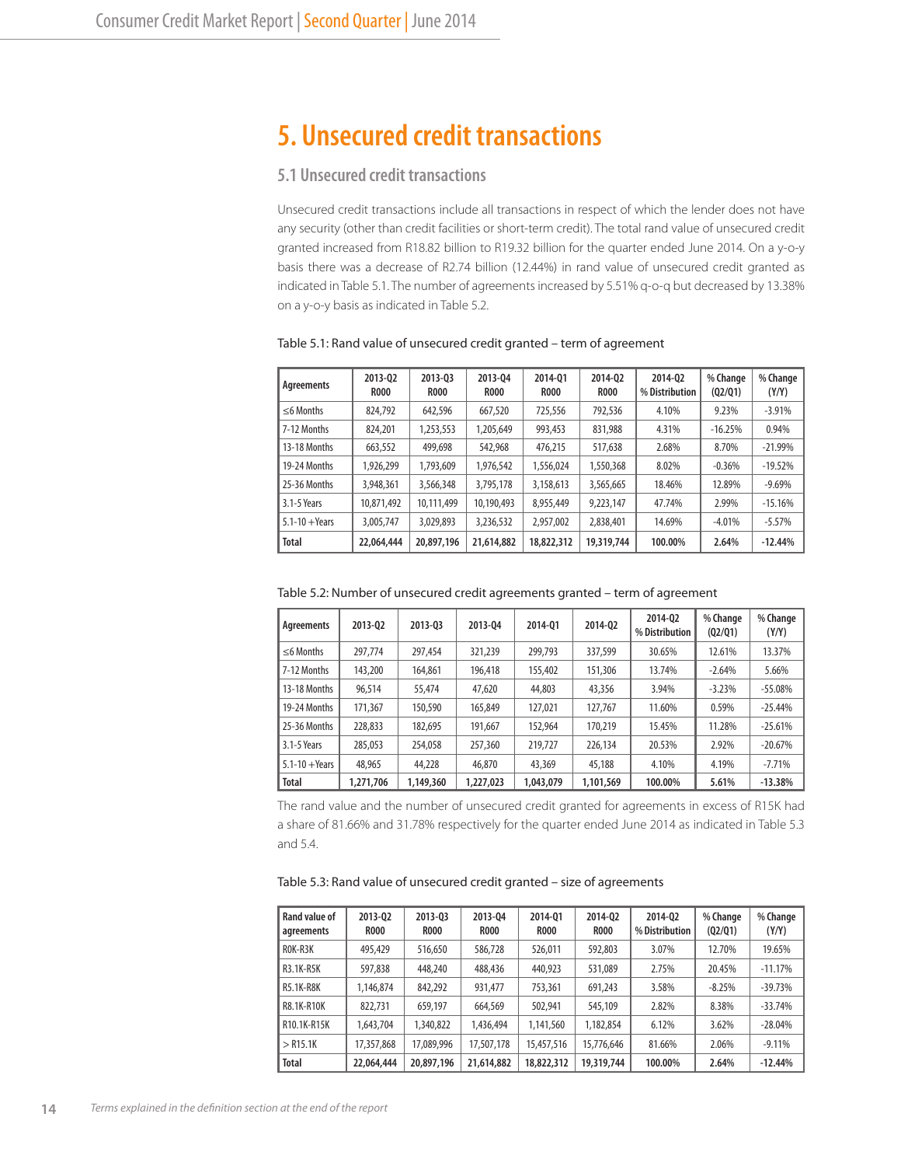# **5. Unsecured credit transactions**

# **5.1 Unsecured credit transactions**

Unsecured credit transactions include all transactions in respect of which the lender does not have any security (other than credit facilities or short-term credit). The total rand value of unsecured credit granted increased from R18.82 billion to R19.32 billion for the quarter ended June 2014. On a y-o-y basis there was a decrease of R2.74 billion (12.44%) in rand value of unsecured credit granted as indicated in Table 5.1. The number of agreements increased by 5.51% q-o-q but decreased by 13.38% on a y-o-y basis as indicated in Table 5.2.

| Agreements         | 2013-02<br><b>R000</b> | 2013-03<br><b>ROOO</b> | 2013-04<br><b>ROOO</b> | 2014-01<br><b>R000</b> | 2014-02<br><b>R000</b> | 2014-02<br>% Distribution | % Change<br>(02/01) | % Change<br>(Y/Y) |
|--------------------|------------------------|------------------------|------------------------|------------------------|------------------------|---------------------------|---------------------|-------------------|
| $\leq$ 6 Months    | 824.792                | 642.596                | 667.520                | 725.556                | 792.536                | 4.10%                     | 9.23%               | $-3.91%$          |
| 7-12 Months        | 824,201                | 1,253,553              | 1.205.649              | 993,453                | 831,988                | 4.31%                     | $-16.25%$           | 0.94%             |
| 13-18 Months       | 663,552                | 499,698                | 542,968                | 476.215                | 517,638                | 2.68%                     | 8.70%               | $-21.99%$         |
| 19-24 Months       | 1.926.299              | 1.793.609              | 1,976,542              | 1,556,024              | 1,550,368              | 8.02%                     | $-0.36%$            | $-19.52%$         |
| 25-36 Months       | 3,948,361              | 3,566,348              | 3,795,178              | 3.158.613              | 3,565,665              | 18.46%                    | 12.89%              | $-9.69%$          |
| 3.1-5 Years        | 10.871.492             | 10.111.499             | 10.190.493             | 8.955.449              | 9.223.147              | 47.74%                    | 2.99%               | $-15.16%$         |
| $5.1 - 10 + Years$ | 3,005,747              | 3.029.893              | 3,236,532              | 2.957.002              | 2,838,401              | 14.69%                    | $-4.01%$            | $-5.57%$          |
| <b>Total</b>       | 22,064,444             | 20,897,196             | 21,614,882             | 18,822,312             | 19,319,744             | 100.00%                   | 2.64%               | $-12.44%$         |

Table 5.1: Rand value of unsecured credit granted – term of agreement

|  | Table 5.2: Number of unsecured credit agreements granted – term of agreement |  |  |  |  |
|--|------------------------------------------------------------------------------|--|--|--|--|
|--|------------------------------------------------------------------------------|--|--|--|--|

| Agreements         | 2013-02   | 2013-03   | 2013-04   | 2014-01   | 2014-02   | 2014-02<br>% Distribution | % Change<br>(02/01) | % Change<br>(Y/Y) |
|--------------------|-----------|-----------|-----------|-----------|-----------|---------------------------|---------------------|-------------------|
| $\leq$ 6 Months    | 297.774   | 297,454   | 321,239   | 299.793   | 337,599   | 30.65%                    | 12.61%              | 13.37%            |
| 7-12 Months        | 143,200   | 164,861   | 196,418   | 155,402   | 151,306   | 13.74%                    | $-2.64%$            | 5.66%             |
| 13-18 Months       | 96.514    | 55,474    | 47,620    | 44,803    | 43,356    | 3.94%                     | $-3.23%$            | $-55.08%$         |
| 19-24 Months       | 171,367   | 150,590   | 165,849   | 127,021   | 127,767   | 11.60%                    | 0.59%               | $-25.44%$         |
| 25-36 Months       | 228,833   | 182,695   | 191.667   | 152,964   | 170,219   | 15.45%                    | 11.28%              | $-25.61%$         |
| 3.1-5 Years        | 285,053   | 254,058   | 257,360   | 219,727   | 226.134   | 20.53%                    | 2.92%               | $-20.67%$         |
| $5.1 - 10 + Years$ | 48,965    | 44,228    | 46,870    | 43,369    | 45,188    | 4.10%                     | 4.19%               | $-7.71%$          |
| <b>Total</b>       | 1,271,706 | 1.149.360 | 1,227,023 | 1.043.079 | 1.101.569 | 100.00%                   | 5.61%               | $-13.38%$         |

The rand value and the number of unsecured credit granted for agreements in excess of R15K had a share of 81.66% and 31.78% respectively for the quarter ended June 2014 as indicated in Table 5.3 and 5.4.

| Table 5.3: Rand value of unsecured credit granted - size of agreements |  |  |
|------------------------------------------------------------------------|--|--|
|                                                                        |  |  |

| Rand value of<br>agreements | 2013-02<br><b>ROOO</b> | 2013-03<br><b>ROOO</b> | 2013-04<br><b>R000</b> | 2014-01<br><b>ROOO</b> | 2014-02<br><b>R000</b> | 2014-02<br>% Distribution | % Change<br>(02/01) | % Change<br>(Y/Y) |
|-----------------------------|------------------------|------------------------|------------------------|------------------------|------------------------|---------------------------|---------------------|-------------------|
| ROK-R3K                     | 495,429                | 516,650                | 586.728                | 526.011                | 592,803                | 3.07%                     | 12.70%              | 19.65%            |
| R3.1K-R5K                   | 597,838                | 448,240                | 488,436                | 440,923                | 531,089                | 2.75%                     | 20.45%              | $-11.17%$         |
| <b>R5.1K-R8K</b>            | 1.146.874              | 842,292                | 931.477                | 753,361                | 691,243                | 3.58%                     | $-8.25%$            | $-39.73%$         |
| R8.1K-R10K                  | 822.731                | 659,197                | 664,569                | 502.941                | 545,109                | 2.82%                     | 8.38%               | $-33.74%$         |
| R10.1K-R15K                 | 1,643,704              | 1,340,822              | 1,436,494              | 1,141,560              | 1,182,854              | 6.12%                     | 3.62%               | $-28.04%$         |
| $>$ R15.1K                  | 17,357,868             | 17,089,996             | 17,507,178             | 15,457,516             | 15,776,646             | 81.66%                    | 2.06%               | $-9.11%$          |
| <b>Total</b>                | 22,064,444             | 20,897,196             | 21,614,882             | 18,822,312             | 19,319,744             | 100.00%                   | 2.64%               | $-12.44%$         |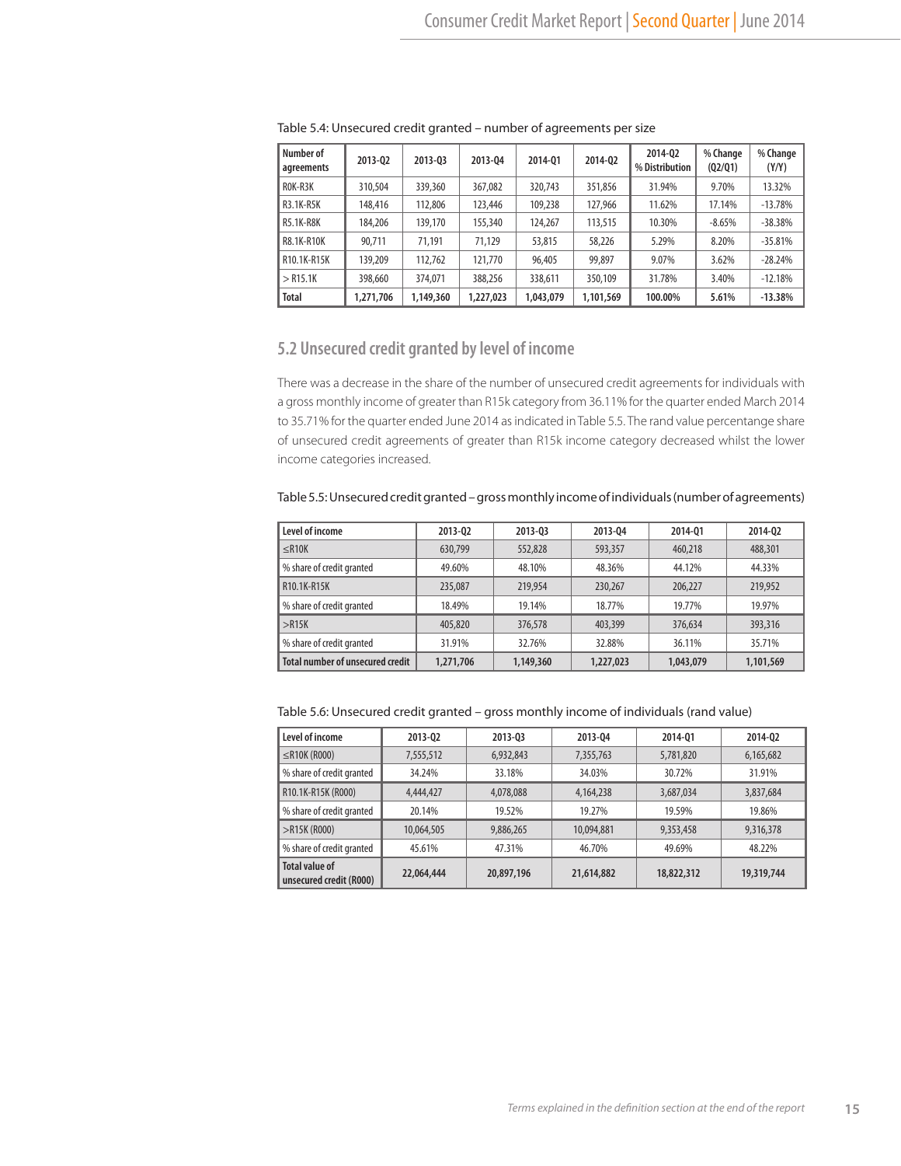| Number of<br>agreements | 2013-02   | 2013-03   | 2013-04   | 2014-01   | 2014-02   | 2014-02<br>% Distribution | % Change<br>(02/01) | % Change<br>(Y/Y) |
|-------------------------|-----------|-----------|-----------|-----------|-----------|---------------------------|---------------------|-------------------|
| ROK-R3K                 | 310,504   | 339,360   | 367,082   | 320.743   | 351,856   | 31.94%                    | 9.70%               | 13.32%            |
| R3.1K-R5K               | 148,416   | 112,806   | 123,446   | 109,238   | 127,966   | 11.62%                    | 17.14%              | $-13.78%$         |
| <b>R5.1K-R8K</b>        | 184,206   | 139,170   | 155,340   | 124,267   | 113,515   | 10.30%                    | $-8.65%$            | $-38.38%$         |
| R8.1K-R10K              | 90.711    | 71.191    | 71.129    | 53,815    | 58,226    | 5.29%                     | 8.20%               | $-35.81%$         |
| R10.1K-R15K             | 139,209   | 112.762   | 121,770   | 96,405    | 99,897    | 9.07%                     | 3.62%               | $-28.24%$         |
| $>$ R15.1K              | 398,660   | 374,071   | 388,256   | 338,611   | 350,109   | 31.78%                    | 3.40%               | $-12.18%$         |
| <b>Total</b>            | 1,271,706 | 1,149,360 | 1,227,023 | 1,043,079 | 1,101,569 | 100.00%                   | 5.61%               | $-13.38%$         |

Table 5.4: Unsecured credit granted – number of agreements per size

# **5.2 Unsecured credit granted by level of income**

There was a decrease in the share of the number of unsecured credit agreements for individuals with a gross monthly income of greater than R15k category from 36.11% for the quarter ended March 2014 to 35.71% for the quarter ended June 2014 as indicated in Table 5.5. The rand value percentange share of unsecured credit agreements of greater than R15k income category decreased whilst the lower income categories increased.

Table 5.5: Unsecured credit granted – gross monthly income of individuals (number of agreements)

| Level of income                         | 2013-02   | 2013-03   | 2013-04   | 2014-01   | 2014-02   |
|-----------------------------------------|-----------|-----------|-----------|-----------|-----------|
| $\leq$ R10K                             | 630.799   | 552,828   | 593,357   | 460,218   | 488,301   |
| % share of credit granted               | 49.60%    | 48.10%    | 48.36%    | 44.12%    | 44.33%    |
| R10.1K-R15K                             | 235,087   | 219,954   | 230,267   | 206,227   | 219,952   |
| % share of credit granted               | 18.49%    | 19.14%    | 18.77%    | 19.77%    | 19.97%    |
| $>$ R15K                                | 405,820   | 376,578   | 403,399   | 376,634   | 393,316   |
| % share of credit granted               | 31.91%    | 32.76%    | 32.88%    | 36.11%    | 35.71%    |
| <b>Total number of unsecured credit</b> | 1,271,706 | 1,149,360 | 1,227,023 | 1,043,079 | 1,101,569 |

Table 5.6: Unsecured credit granted – gross monthly income of individuals (rand value)

| Level of income                                  | 2013-02    | 2013-03    | 2013-04    | 2014-01    | 2014-02    |
|--------------------------------------------------|------------|------------|------------|------------|------------|
| $\leq$ R10K (R000)                               | 7,555,512  | 6,932,843  | 7,355,763  | 5,781,820  | 6,165,682  |
| % share of credit granted                        | 34.24%     | 33.18%     | 34.03%     | 30.72%     | 31.91%     |
| R10.1K-R15K (R000)                               | 4,444,427  | 4,078,088  | 4,164,238  | 3,687,034  | 3,837,684  |
| % share of credit granted                        | 20.14%     | 19.52%     | 19.27%     | 19.59%     | 19.86%     |
| $>$ R15K (R000)                                  | 10,064,505 | 9,886,265  | 10,094,881 | 9,353,458  | 9,316,378  |
| % share of credit granted                        | 45.61%     | 47.31%     | 46.70%     | 49.69%     | 48.22%     |
| <b>Total value of</b><br>unsecured credit (R000) | 22,064,444 | 20,897,196 | 21,614,882 | 18,822,312 | 19,319,744 |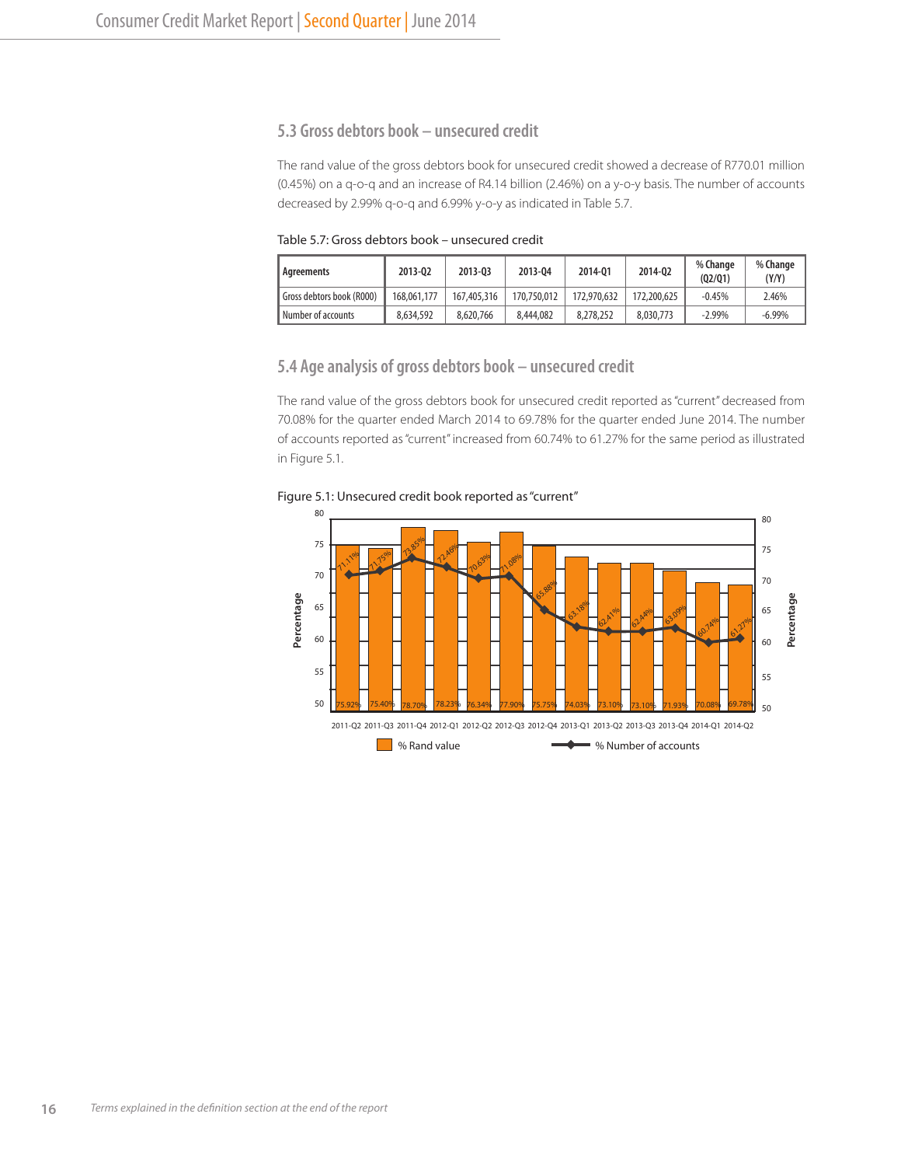# **5.3 Gross debtors book – unsecured credit**

The rand value of the gross debtors book for unsecured credit showed a decrease of R770.01 million (0.45%) on a q-o-q and an increase of R4.14 billion (2.46%) on a y-o-y basis. The number of accounts decreased by 2.99% q-o-q and 6.99% y-o-y as indicated in Table 5.7.

Table 5.7: Gross debtors book – unsecured credit

| Agreements                | 2013-02     | 2013-03     | 2013-04     | 2014-01     | 2014-02     | % Change<br>(02/01) | % Change<br>(Y/Y) |
|---------------------------|-------------|-------------|-------------|-------------|-------------|---------------------|-------------------|
| Gross debtors book (R000) | 168.061.177 | 167,405,316 | 170,750,012 | 172,970,632 | 172,200,625 | $-0.45%$            | 2.46%             |
| Number of accounts        | 8.634.592   | 8,620,766   | 8,444,082   | 8,278,252   | 8.030.773   | $-2.99\%$           | $-6.99\%$         |

## **5.4 Age analysis of gross debtors book – unsecured credit**

The rand value of the gross debtors book for unsecured credit reported as "current" decreased from 70.08% for the quarter ended March 2014 to 69.78% for the quarter ended June 2014. The number of accounts reported as "current" increased from 60.74% to 61.27% for the same period as illustrated in Figure 5.1.

Figure 5.1: Unsecured credit book reported as "current"

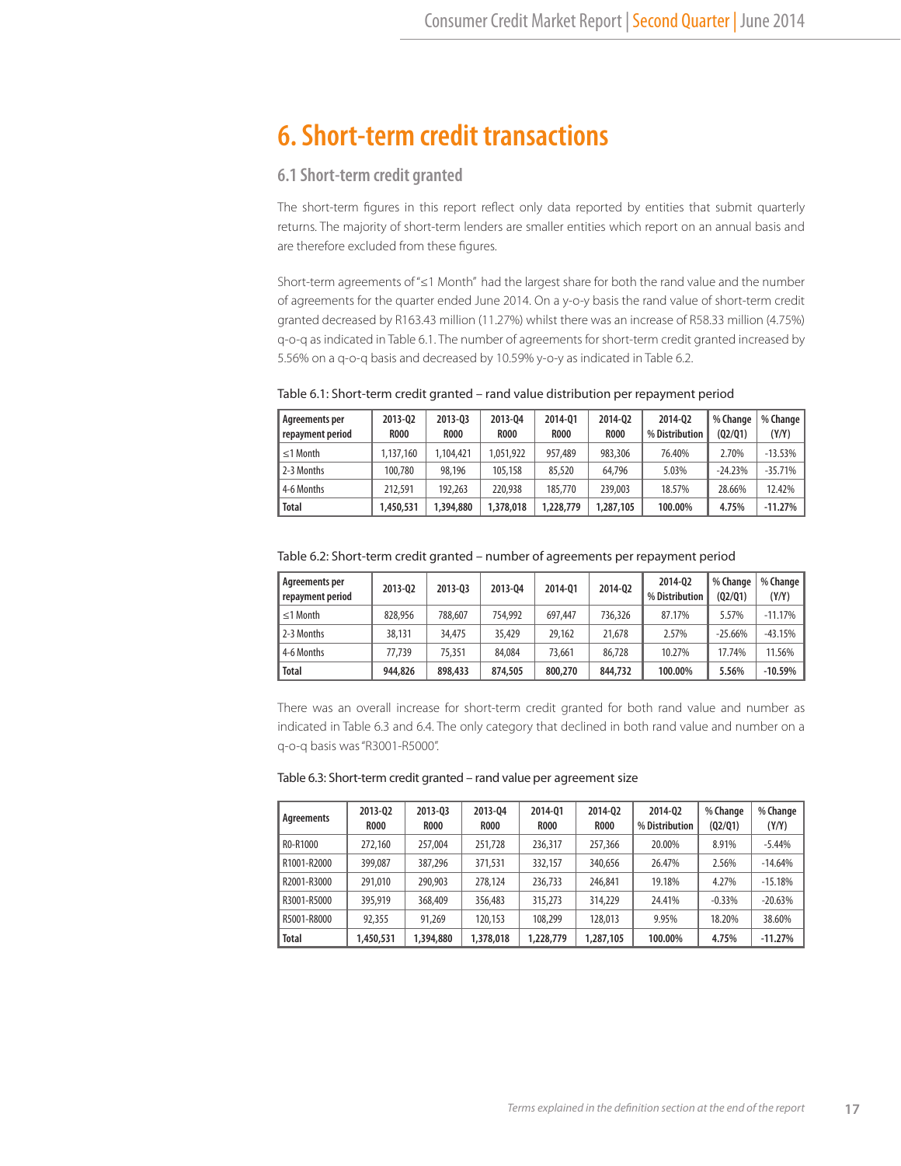# **6. Short-term credit transactions**

## **6.1 Short-term credit granted**

The short-term figures in this report reflect only data reported by entities that submit quarterly returns. The majority of short-term lenders are smaller entities which report on an annual basis and are therefore excluded from these figures.

Short-term agreements of "≤1 Month" had the largest share for both the rand value and the number of agreements for the quarter ended June 2014. On a y-o-y basis the rand value of short-term credit granted decreased by R163.43 million (11.27%) whilst there was an increase of R58.33 million (4.75%) q-o-q as indicated in Table 6.1. The number of agreements for short-term credit granted increased by 5.56% on a q-o-q basis and decreased by 10.59% y-o-y as indicated in Table 6.2.

| Agreements per<br>repayment period | 2013-02<br><b>ROOO</b> | 2013-03<br><b>R000</b> | 2013-04<br><b>R000</b> | 2014-01<br><b>R000</b> | 2014-02<br><b>R000</b> | 2014-02<br>% Distribution | % Change<br>(Q2/Q1) | % Change<br>(Y/Y) |
|------------------------------------|------------------------|------------------------|------------------------|------------------------|------------------------|---------------------------|---------------------|-------------------|
| $\leq$ 1 Month                     | 1.137.160              | 1.104.421              | 1.051.922              | 957,489                | 983,306                | 76.40%                    | 2.70%               | $-13.53%$         |
| 2-3 Months                         | 100.780                | 98,196                 | 105,158                | 85,520                 | 64.796                 | 5.03%                     | $-24.23%$           | $-35.71%$         |
| 4-6 Months                         | 212,591                | 192,263                | 220,938                | 185,770                | 239,003                | 18.57%                    | 28.66%              | 12.42%            |
| <b>Total</b>                       | 1,450,531              | 1,394,880              | 1,378,018              | 1,228,779              | 1,287,105              | 100.00%                   | 4.75%               | $-11.27%$         |

| Agreements per<br>repayment period | 2013-02 | 2013-03 | 2013-04 | 2014-01 | 2014-02 | 2014-02<br>% Distribution | % Change<br>(02/01) | % Change<br>(Y/Y) |
|------------------------------------|---------|---------|---------|---------|---------|---------------------------|---------------------|-------------------|
| $\leq$ 1 Month                     | 828,956 | 788,607 | 754.992 | 697.447 | 736.326 | 87.17%                    | 5.57%               | $-11.17%$         |
| 2-3 Months                         | 38,131  | 34,475  | 35,429  | 29,162  | 21,678  | 2.57%                     | $-25.66%$           | $-43.15%$         |
| 4-6 Months                         | 77.739  | 75,351  | 84,084  | 73,661  | 86.728  | 10.27%                    | 17.74%              | 11.56%            |
| <b>Total</b>                       | 944,826 | 898,433 | 874,505 | 800,270 | 844,732 | 100.00%                   | 5.56%               | $-10.59%$         |

There was an overall increase for short-term credit granted for both rand value and number as indicated in Table 6.3 and 6.4. The only category that declined in both rand value and number on a q-o-q basis was "R3001-R5000".

#### Table 6.3: Short-term credit granted – rand value per agreement size

| Agreements   | 2013-02<br><b>ROOO</b> | 2013-03<br><b>ROOO</b> | 2013-04<br><b>R000</b> | 2014-01<br><b>R000</b> | 2014-02<br><b>ROOO</b> | 2014-02<br>% Distribution | % Change<br>(Q2/Q1) | % Change<br>(Y/Y) |
|--------------|------------------------|------------------------|------------------------|------------------------|------------------------|---------------------------|---------------------|-------------------|
| R0-R1000     | 272,160                | 257,004                | 251,728                | 236,317                | 257,366                | 20.00%                    | 8.91%               | $-5.44%$          |
| R1001-R2000  | 399,087                | 387.296                | 371,531                | 332,157                | 340,656                | 26.47%                    | 2.56%               | $-14.64%$         |
| R2001-R3000  | 291,010                | 290,903                | 278,124                | 236.733                | 246,841                | 19.18%                    | 4.27%               | $-15.18%$         |
| R3001-R5000  | 395,919                | 368,409                | 356,483                | 315,273                | 314,229                | 24.41%                    | $-0.33%$            | $-20.63%$         |
| R5001-R8000  | 92,355                 | 91,269                 | 120.153                | 108,299                | 128,013                | 9.95%                     | 18.20%              | 38.60%            |
| <b>Total</b> | 1,450,531              | 1,394,880              | 1,378,018              | 1,228,779              | 1,287,105              | 100.00%                   | 4.75%               | $-11.27%$         |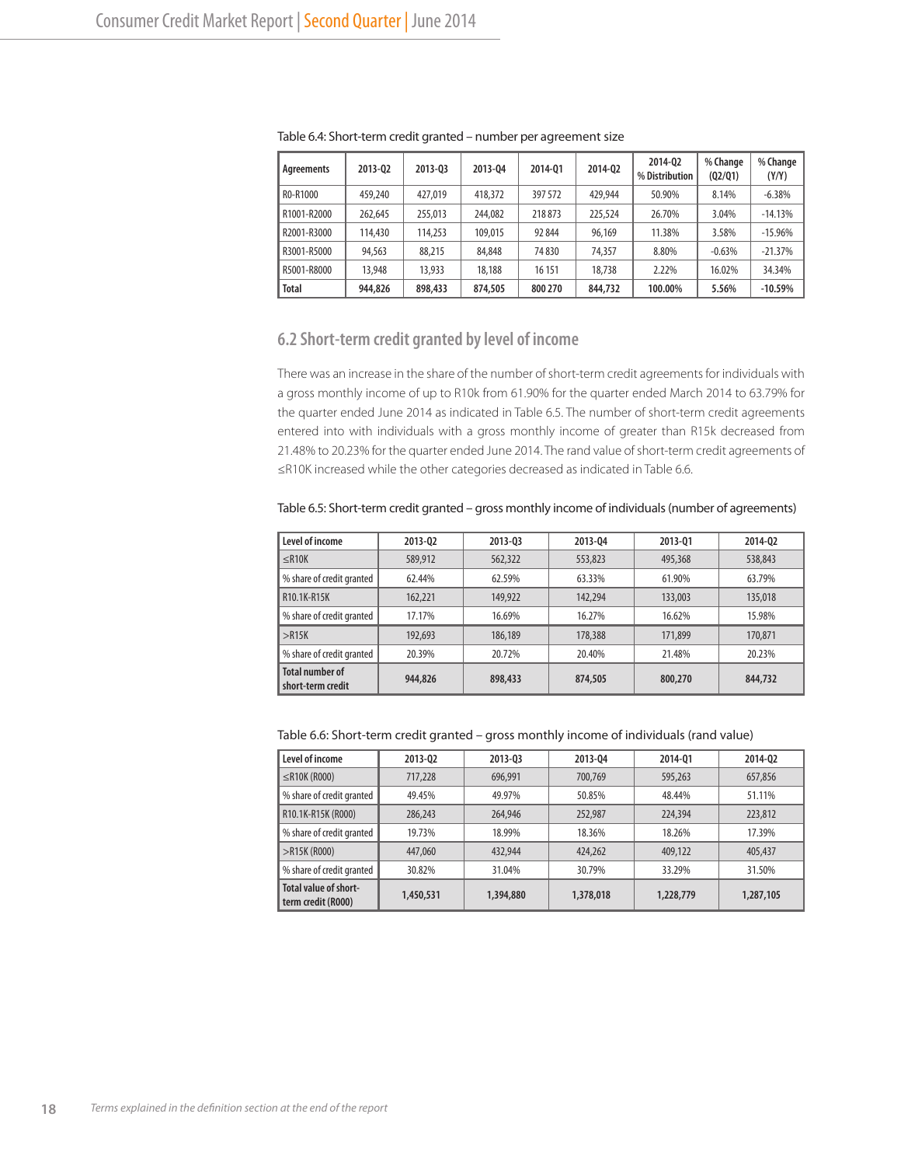| Agreements   | 2013-02 | 2013-03 | 2013-04 | 2014-01 | 2014-02 | 2014-02<br>% Distribution | % Change<br>(02/01) | % Change<br>(Y/Y) |
|--------------|---------|---------|---------|---------|---------|---------------------------|---------------------|-------------------|
| RO-R1000     | 459,240 | 427,019 | 418,372 | 397 572 | 429,944 | 50.90%                    | 8.14%               | $-6.38%$          |
| R1001-R2000  | 262,645 | 255,013 | 244,082 | 218873  | 225,524 | 26.70%                    | 3.04%               | $-14.13%$         |
| R2001-R3000  | 114,430 | 114,253 | 109,015 | 92 844  | 96.169  | 11.38%                    | 3.58%               | $-15.96\%$        |
| R3001-R5000  | 94,563  | 88,215  | 84,848  | 74830   | 74,357  | 8.80%                     | $-0.63%$            | $-21.37%$         |
| R5001-R8000  | 13,948  | 13,933  | 18,188  | 16 15 1 | 18,738  | 2.22%                     | 16.02%              | 34.34%            |
| <b>Total</b> | 944,826 | 898,433 | 874,505 | 800 270 | 844,732 | 100.00%                   | 5.56%               | $-10.59%$         |

Table 6.4: Short-term credit granted – number per agreement size

## **6.2 Short-term credit granted by level of income**

There was an increase in the share of the number of short-term credit agreements for individuals with a gross monthly income of up to R10k from 61.90% for the quarter ended March 2014 to 63.79% for the quarter ended June 2014 as indicated in Table 6.5. The number of short-term credit agreements entered into with individuals with a gross monthly income of greater than R15k decreased from 21.48% to 20.23% for the quarter ended June 2014. The rand value of short-term credit agreements of ≤R10K increased while the other categories decreased as indicated in Table 6.6.

Table 6.5: Short-term credit granted – gross monthly income of individuals (number of agreements)

| Level of income                             | 2013-02 | 2013-03 | 2013-04 | 2013-01 | 2014-02 |
|---------------------------------------------|---------|---------|---------|---------|---------|
| $\leq$ R10K                                 | 589,912 | 562,322 | 553,823 | 495,368 | 538,843 |
| % share of credit granted                   | 62.44%  | 62.59%  | 63.33%  | 61.90%  | 63.79%  |
| R10.1K-R15K                                 | 162,221 | 149,922 | 142.294 | 133,003 | 135,018 |
| % share of credit granted                   | 17.17%  | 16.69%  | 16.27%  | 16.62%  | 15.98%  |
| >R15K                                       | 192,693 | 186,189 | 178,388 | 171.899 | 170.871 |
| % share of credit granted                   | 20.39%  | 20.72%  | 20.40%  | 21.48%  | 20.23%  |
| <b>Total number of</b><br>short-term credit | 944,826 | 898,433 | 874,505 | 800,270 | 844,732 |

Table 6.6: Short-term credit granted – gross monthly income of individuals (rand value)

| Level of income                             | 2013-02   | 2013-03   | 2013-04   | 2014-01   | 2014-02   |
|---------------------------------------------|-----------|-----------|-----------|-----------|-----------|
| $\leq$ R10K (R000)                          | 717,228   | 696,991   | 700.769   | 595,263   | 657,856   |
| % share of credit granted                   | 49.45%    | 49.97%    | 50.85%    | 48.44%    | 51.11%    |
| R10.1K-R15K (R000)                          | 286,243   | 264,946   | 252,987   | 224,394   | 223,812   |
| % share of credit granted                   | 19.73%    | 18.99%    | 18.36%    | 18.26%    | 17.39%    |
| $>$ R15K (R000)                             | 447,060   | 432,944   | 424,262   | 409,122   | 405,437   |
| % share of credit granted                   | 30.82%    | 31.04%    | 30.79%    | 33.29%    | 31.50%    |
| Total value of short-<br>term credit (R000) | 1,450,531 | 1,394,880 | 1,378,018 | 1,228,779 | 1,287,105 |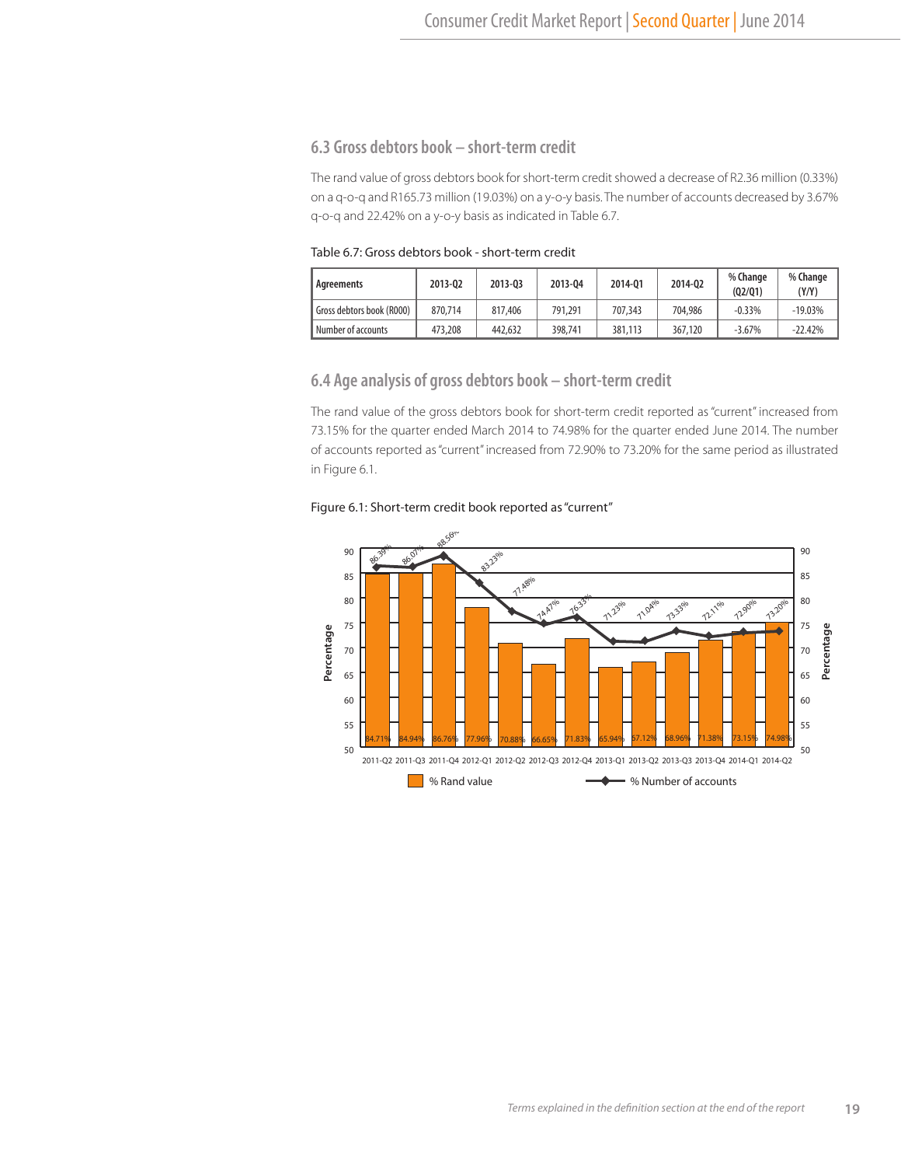# **6.3 Gross debtors book – short-term credit**

The rand value of gross debtors book for short-term credit showed a decrease of R2.36 million (0.33%) on a q-o-q and R165.73 million (19.03%) on a y-o-y basis. The number of accounts decreased by 3.67% q-o-q and 22.42% on a y-o-y basis as indicated in Table 6.7.

Table 6.7: Gross debtors book - short-term credit

| Agreements                | 2013-02 | 2013-03 | 2013-04 | 2014-01 | 2014-02 | % Change<br>(02/01) | % Change<br>(Y/Y) |
|---------------------------|---------|---------|---------|---------|---------|---------------------|-------------------|
| Gross debtors book (R000) | 870.714 | 817,406 | 791.291 | 707.343 | 704,986 | $-0.33%$            | $-19.03%$         |
| Number of accounts        | 473,208 | 442,632 | 398,741 | 381,113 | 367,120 | $-3.67%$            | $-22.42%$         |

## **6.4 Age analysis of gross debtors book – short-term credit**

The rand value of the gross debtors book for short-term credit reported as "current" increased from 73.15% for the quarter ended March 2014 to 74.98% for the quarter ended June 2014. The number of accounts reported as "current" increased from 72.90% to 73.20% for the same period as illustrated in Figure 6.1.

#### Figure 6.1: Short-term credit book reported as "current"

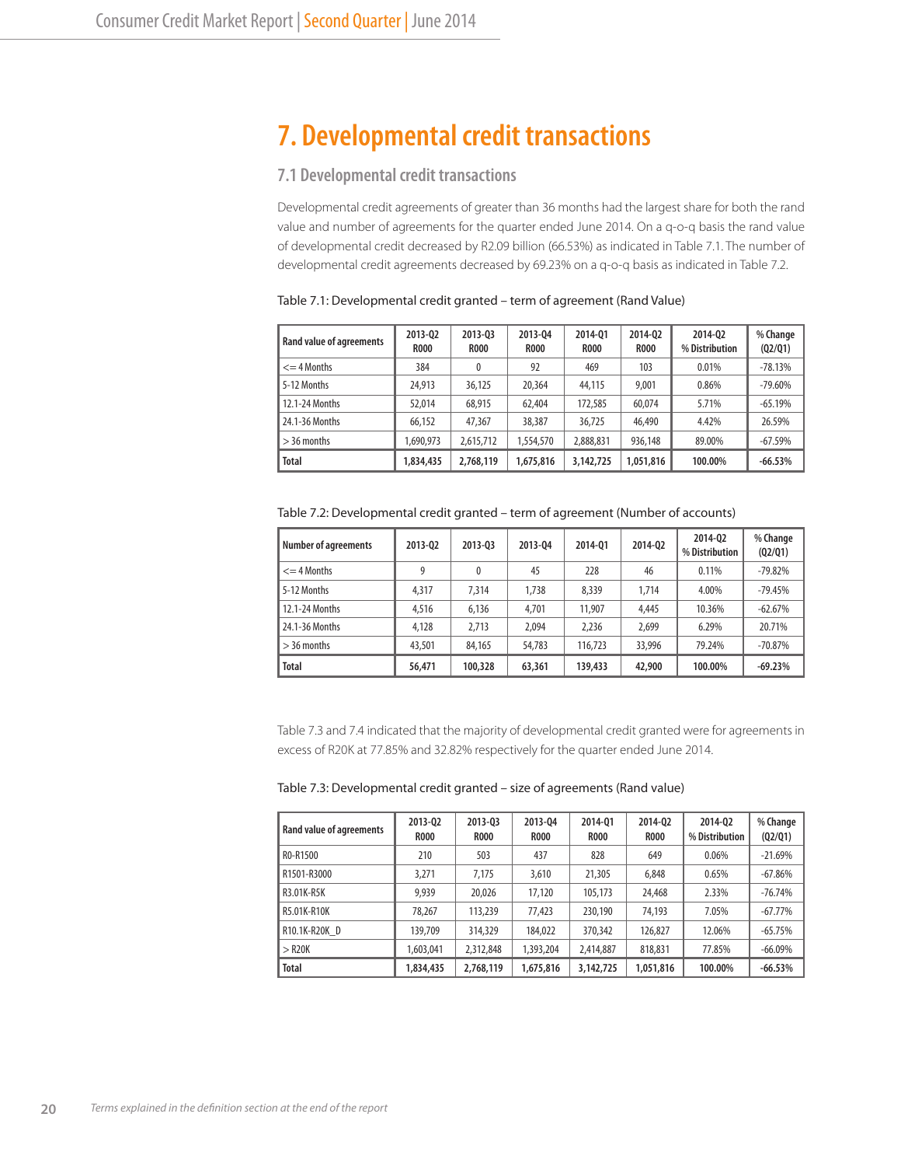# **7. Developmental credit transactions**

# **7.1 Developmental credit transactions**

Developmental credit agreements of greater than 36 months had the largest share for both the rand value and number of agreements for the quarter ended June 2014. On a q-o-q basis the rand value of developmental credit decreased by R2.09 billion (66.53%) as indicated in Table 7.1. The number of developmental credit agreements decreased by 69.23% on a q-o-q basis as indicated in Table 7.2.

| <b>Rand value of agreements</b> | 2013-02<br><b>R000</b> | 2013-03<br><b>R000</b> | 2013-04<br><b>R000</b> | 2014-01<br><b>R000</b> | 2014-02<br><b>R000</b> | 2014-02<br>% Distribution | % Change<br>(02/01) |
|---------------------------------|------------------------|------------------------|------------------------|------------------------|------------------------|---------------------------|---------------------|
| $\leq$ 4 Months                 | 384                    | 0                      | 92                     | 469                    | 103                    | 0.01%                     | $-78.13%$           |
| 5-12 Months                     | 24,913                 | 36,125                 | 20,364                 | 44,115                 | 9,001                  | 0.86%                     | $-79.60%$           |
| 12.1-24 Months                  | 52,014                 | 68,915                 | 62,404                 | 172,585                | 60,074                 | 5.71%                     | $-65.19%$           |
| 24.1-36 Months                  | 66,152                 | 47,367                 | 38,387                 | 36.725                 | 46,490                 | 4.42%                     | 26.59%              |
| $>$ 36 months                   | ,690,973               | 2,615,712              | 1,554,570              | 2,888,831              | 936,148                | 89.00%                    | $-67.59%$           |
| <b>Total</b>                    | 1,834,435              | 2,768,119              | 1,675,816              | 3,142,725              | 1,051,816              | 100.00%                   | $-66.53%$           |

Table 7.1: Developmental credit granted – term of agreement (Rand Value)

Table 7.2: Developmental credit granted – term of agreement (Number of accounts)

| <b>Number of agreements</b> | 2013-02 | 2013-03 | 2013-04 | 2014-01 | 2014-02 | 2014-02<br>% Distribution | % Change<br>(02/01) |
|-----------------------------|---------|---------|---------|---------|---------|---------------------------|---------------------|
| $\leq$ 4 Months             | 9       | 0       | 45      | 228     | 46      | 0.11%                     | $-79.82%$           |
| 5-12 Months                 | 4,317   | 7.314   | 1,738   | 8.339   | 1.714   | 4.00%                     | $-79.45%$           |
| 12.1-24 Months              | 4,516   | 6.136   | 4,701   | 11,907  | 4.445   | 10.36%                    | $-62.67%$           |
| 24.1-36 Months              | 4.128   | 2.713   | 2.094   | 2.236   | 2,699   | 6.29%                     | 20.71%              |
| $>$ 36 months               | 43,501  | 84.165  | 54,783  | 116.723 | 33,996  | 79.24%                    | $-70.87\%$          |
| <b>Total</b>                | 56,471  | 100,328 | 63,361  | 139,433 | 42,900  | 100.00%                   | $-69.23%$           |

Table 7.3 and 7.4 indicated that the majority of developmental credit granted were for agreements in excess of R20K at 77.85% and 32.82% respectively for the quarter ended June 2014.

| Table 7.3: Developmental credit granted – size of agreements (Rand value) |  |  |  |
|---------------------------------------------------------------------------|--|--|--|
|---------------------------------------------------------------------------|--|--|--|

| <b>Rand value of agreements</b> | 2013-02<br><b>R000</b> | 2013-03<br><b>R000</b> | 2013-04<br><b>ROOO</b> | 2014-01<br><b>ROOO</b> | 2014-02<br><b>ROOO</b> | 2014-02<br>% Distribution | % Change<br>(Q2/Q1) |
|---------------------------------|------------------------|------------------------|------------------------|------------------------|------------------------|---------------------------|---------------------|
| R0-R1500                        | 210                    | 503                    | 437                    | 828                    | 649                    | 0.06%                     | $-21.69%$           |
| R1501-R3000                     | 3,271                  | 7,175                  | 3,610                  | 21,305                 | 6,848                  | 0.65%                     | $-67.86%$           |
| R3.01K-R5K                      | 9.939                  | 20,026                 | 17,120                 | 105,173                | 24,468                 | 2.33%                     | $-76.74%$           |
| R5.01K-R10K                     | 78,267                 | 113,239                | 77,423                 | 230,190                | 74,193                 | 7.05%                     | $-67.77%$           |
| R10.1K-R20K D                   | 139,709                | 314,329                | 184,022                | 370,342                | 126,827                | 12.06%                    | $-65.75%$           |
| $>$ R20K                        | 1,603,041              | 2,312,848              | 1,393,204              | 2,414,887              | 818,831                | 77.85%                    | $-66.09%$           |
| <b>Total</b>                    | 1,834,435              | 2,768,119              | 1,675,816              | 3,142,725              | 1,051,816              | 100.00%                   | $-66.53%$           |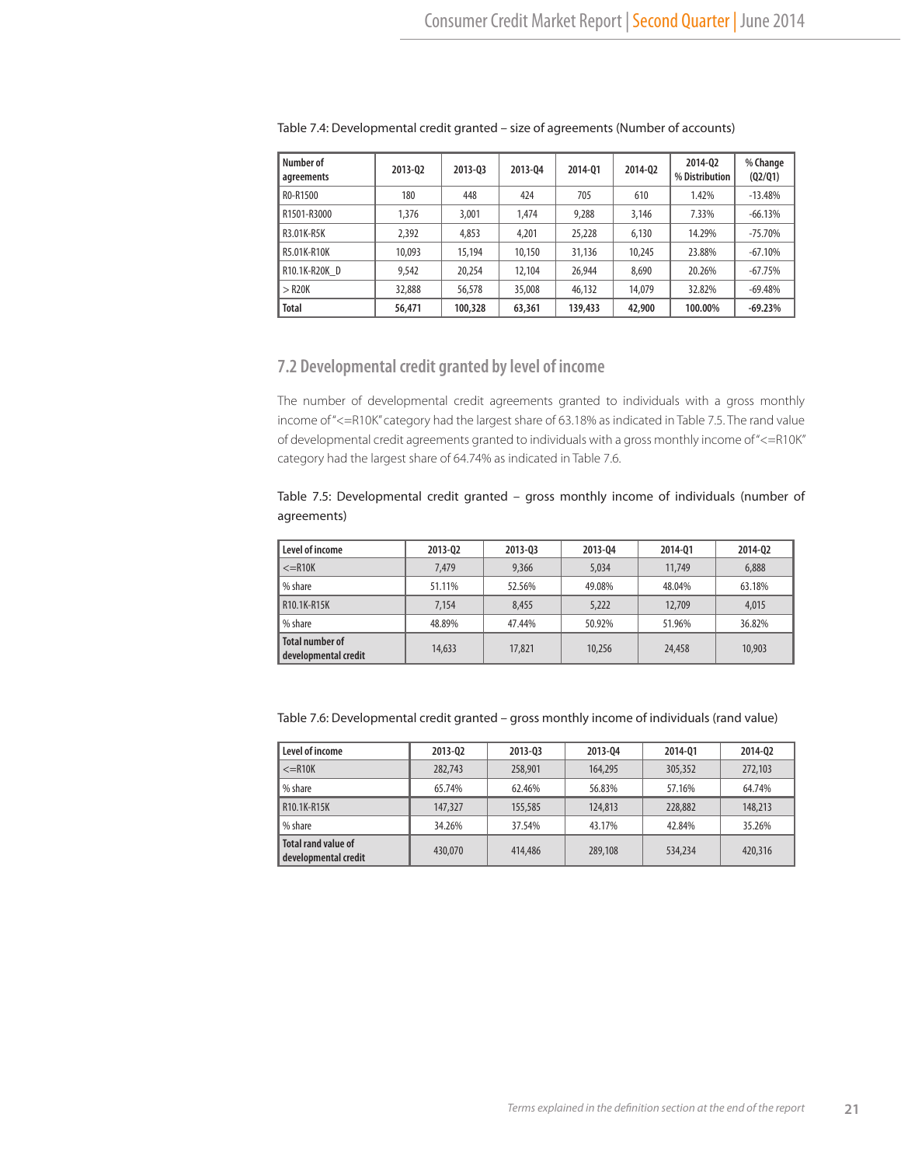| Number of<br>agreements | 2013-02 | 2013-03 | 2013-04 | 2014-01 | 2014-02 | 2014-02<br>% Distribution | % Change<br>(Q2/Q1) |
|-------------------------|---------|---------|---------|---------|---------|---------------------------|---------------------|
| RO-R1500                | 180     | 448     | 424     | 705     | 610     | 1.42%                     | $-13.48%$           |
| R1501-R3000             | 1,376   | 3,001   | 1.474   | 9,288   | 3,146   | 7.33%                     | $-66.13%$           |
| R3.01K-R5K              | 2,392   | 4,853   | 4,201   | 25,228  | 6.130   | 14.29%                    | $-75.70%$           |
| R5.01K-R10K             | 10.093  | 15,194  | 10,150  | 31,136  | 10,245  | 23.88%                    | $-67.10%$           |
| R10.1K-R20K D           | 9,542   | 20,254  | 12,104  | 26.944  | 8,690   | 20.26%                    | $-67.75%$           |
| $>$ R <sub>20</sub> K   | 32,888  | 56,578  | 35,008  | 46,132  | 14,079  | 32.82%                    | $-69.48%$           |
| <b>Total</b>            | 56,471  | 100,328 | 63,361  | 139,433 | 42,900  | 100.00%                   | $-69.23%$           |

Table 7.4: Developmental credit granted – size of agreements (Number of accounts)

# **7.2 Developmental credit granted by level of income**

The number of developmental credit agreements granted to individuals with a gross monthly income of "<=R10K" category had the largest share of 63.18% as indicated in Table 7.5. The rand value of developmental credit agreements granted to individuals with a gross monthly income of "<=R10K" category had the largest share of 64.74% as indicated in Table 7.6.

Table 7.5: Developmental credit granted – gross monthly income of individuals (number of agreements)

| Level of income                                | 2013-02 | 2013-03 | 2013-04 | 2014-01 | 2014-02 |
|------------------------------------------------|---------|---------|---------|---------|---------|
| $\leq$ =R10K                                   | 7.479   | 9,366   | 5,034   | 11,749  | 6,888   |
| % share                                        | 51.11%  | 52.56%  | 49.08%  | 48.04%  | 63.18%  |
| <b>R10.1K-R15K</b>                             | 7,154   | 8.455   | 5.222   | 12,709  | 4,015   |
| % share                                        | 48.89%  | 47.44%  | 50.92%  | 51.96%  | 36.82%  |
| <b>Total number of</b><br>developmental credit | 14,633  | 17,821  | 10,256  | 24,458  | 10,903  |

Table 7.6: Developmental credit granted – gross monthly income of individuals (rand value)

| Level of income                             | 2013-02 | 2013-03 | 2013-04 | 2014-01 | 2014-02 |
|---------------------------------------------|---------|---------|---------|---------|---------|
| $\leq$ =R10K                                | 282,743 | 258,901 | 164,295 | 305,352 | 272,103 |
| % share                                     | 65.74%  | 62.46%  | 56.83%  | 57.16%  | 64.74%  |
| R10.1K-R15K                                 | 147,327 | 155,585 | 124,813 | 228,882 | 148,213 |
| % share                                     | 34.26%  | 37.54%  | 43.17%  | 42.84%  | 35.26%  |
| Total rand value of<br>developmental credit | 430,070 | 414,486 | 289,108 | 534,234 | 420,316 |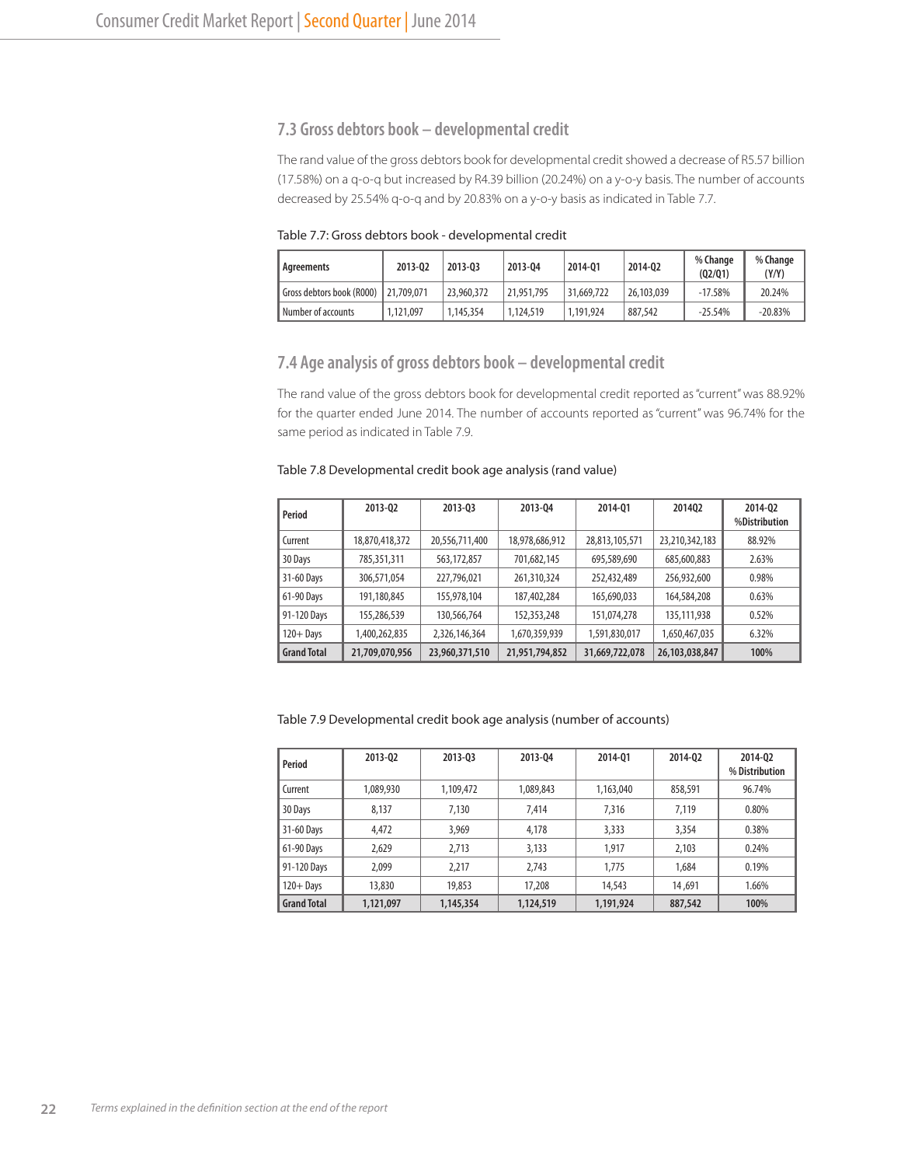#### **7.3 Gross debtors book – developmental credit**

The rand value of the gross debtors book for developmental credit showed a decrease of R5.57 billion (17.58%) on a q-o-q but increased by R4.39 billion (20.24%) on a y-o-y basis. The number of accounts decreased by 25.54% q-o-q and by 20.83% on a y-o-y basis as indicated in Table 7.7.

Table 7.7: Gross debtors book - developmental credit

| Agreements                | 2013-02    | 2013-03    | 2013-04    | 2014-01    | 2014-02    | % Change<br>(02/01) | % Change<br>(Y/Y) |
|---------------------------|------------|------------|------------|------------|------------|---------------------|-------------------|
| Gross debtors book (R000) | 21,709,071 | 23,960,372 | 21,951,795 | 31,669,722 | 26,103,039 | $-17.58%$           | 20.24%            |
| Number of accounts        | 1.121.097  | 1,145,354  | 1.124.519  | 1.191.924  | 887,542    | $-25.54%$           | $-20.83%$         |

#### **7.4 Age analysis of gross debtors book – developmental credit**

The rand value of the gross debtors book for developmental credit reported as "current" was 88.92% for the quarter ended June 2014. The number of accounts reported as "current" was 96.74% for the same period as indicated in Table 7.9.

#### Table 7.8 Developmental credit book age analysis (rand value)

| Period             | 2013-02        | 2013-03        | 2013-04        | 2014-01        | 201402         | 2014-02<br>%Distribution |
|--------------------|----------------|----------------|----------------|----------------|----------------|--------------------------|
| Current            | 18,870,418,372 | 20,556,711,400 | 18,978,686,912 | 28,813,105,571 | 23,210,342,183 | 88.92%                   |
| 30 Days            | 785,351,311    | 563,172,857    | 701,682,145    | 695,589,690    | 685,600,883    | 2.63%                    |
| 31-60 Days         | 306,571,054    | 227,796,021    | 261,310,324    | 252,432,489    | 256,932,600    | 0.98%                    |
| 61-90 Days         | 191,180,845    | 155,978,104    | 187,402,284    | 165,690,033    | 164,584,208    | 0.63%                    |
| 91-120 Days        | 155,286,539    | 130,566,764    | 152,353,248    | 151,074,278    | 135,111,938    | 0.52%                    |
| $120 +$ Days       | 1,400,262,835  | 2,326,146,364  | 1,670,359,939  | 1,591,830,017  | 1,650,467,035  | 6.32%                    |
| <b>Grand Total</b> | 21,709,070,956 | 23,960,371,510 | 21,951,794,852 | 31,669,722,078 | 26,103,038,847 | 100%                     |

Table 7.9 Developmental credit book age analysis (number of accounts)

| Period             | 2013-02   | 2013-03   | 2013-04   | 2014-01   | 2014-02 | 2014-02<br>% Distribution |
|--------------------|-----------|-----------|-----------|-----------|---------|---------------------------|
| Current            | 1,089,930 | 1,109,472 | 1,089,843 | 1,163,040 | 858,591 | 96.74%                    |
| 30 Days            | 8.137     | 7.130     | 7.414     | 7,316     | 7.119   | 0.80%                     |
| 31-60 Days         | 4,472     | 3,969     | 4,178     | 3,333     | 3,354   | 0.38%                     |
| 61-90 Days         | 2.629     | 2.713     | 3,133     | 1.917     | 2.103   | 0.24%                     |
| 91-120 Days        | 2.099     | 2.217     | 2.743     | 1,775     | 1.684   | 0.19%                     |
| $120 +$ Days       | 13,830    | 19,853    | 17,208    | 14,543    | 14,691  | 1.66%                     |
| <b>Grand Total</b> | 1,121,097 | 1,145,354 | 1,124,519 | 1,191,924 | 887,542 | 100%                      |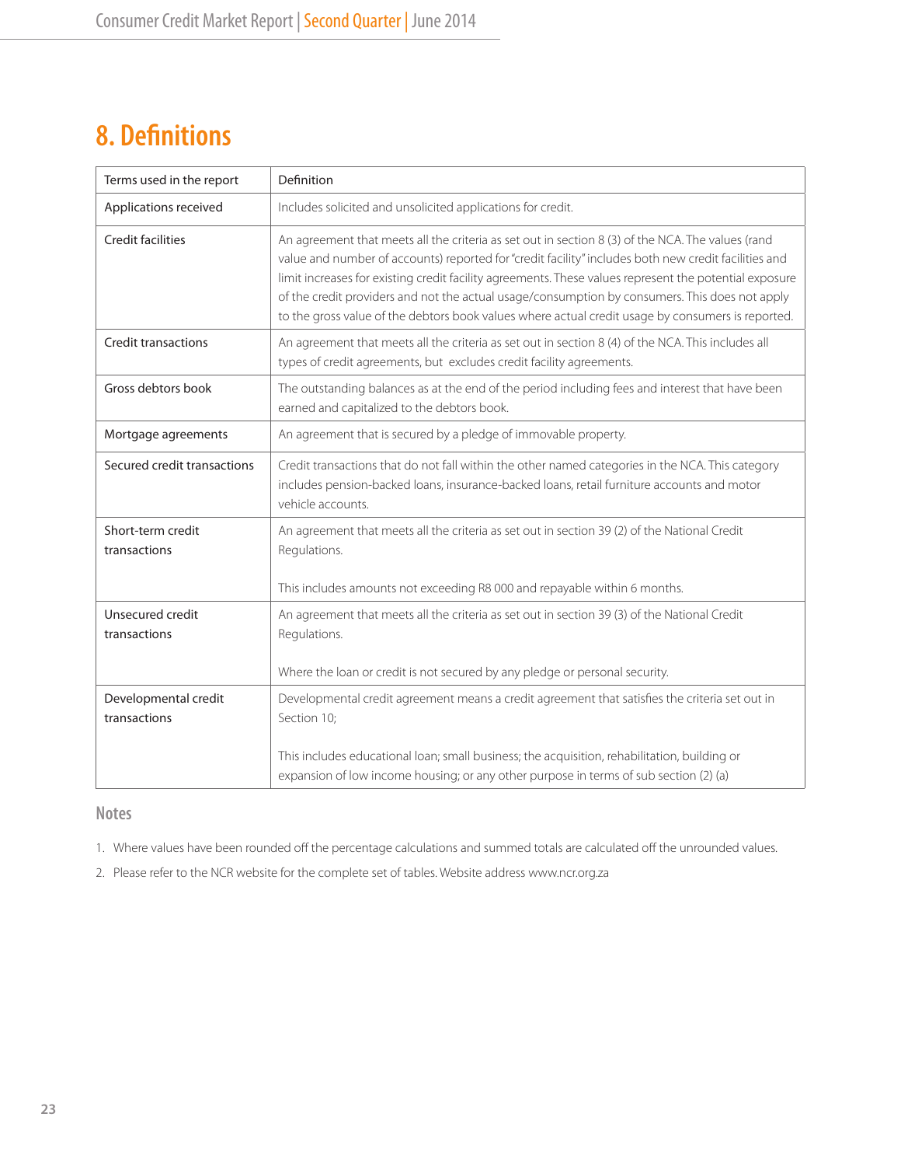# **8. Definitions**

| Terms used in the report          | Definition                                                                                                                                                                                                                                                                                                                                                                                                                                                                                                                 |
|-----------------------------------|----------------------------------------------------------------------------------------------------------------------------------------------------------------------------------------------------------------------------------------------------------------------------------------------------------------------------------------------------------------------------------------------------------------------------------------------------------------------------------------------------------------------------|
| Applications received             | Includes solicited and unsolicited applications for credit.                                                                                                                                                                                                                                                                                                                                                                                                                                                                |
| <b>Credit facilities</b>          | An agreement that meets all the criteria as set out in section 8 (3) of the NCA. The values (rand<br>value and number of accounts) reported for "credit facility" includes both new credit facilities and<br>limit increases for existing credit facility agreements. These values represent the potential exposure<br>of the credit providers and not the actual usage/consumption by consumers. This does not apply<br>to the gross value of the debtors book values where actual credit usage by consumers is reported. |
| <b>Credit transactions</b>        | An agreement that meets all the criteria as set out in section 8 (4) of the NCA. This includes all<br>types of credit agreements, but excludes credit facility agreements.                                                                                                                                                                                                                                                                                                                                                 |
| Gross debtors book                | The outstanding balances as at the end of the period including fees and interest that have been<br>earned and capitalized to the debtors book.                                                                                                                                                                                                                                                                                                                                                                             |
| Mortgage agreements               | An agreement that is secured by a pledge of immovable property.                                                                                                                                                                                                                                                                                                                                                                                                                                                            |
| Secured credit transactions       | Credit transactions that do not fall within the other named categories in the NCA. This category<br>includes pension-backed loans, insurance-backed loans, retail furniture accounts and motor<br>vehicle accounts.                                                                                                                                                                                                                                                                                                        |
| Short-term credit<br>transactions | An agreement that meets all the criteria as set out in section 39 (2) of the National Credit<br>Regulations.                                                                                                                                                                                                                                                                                                                                                                                                               |
|                                   | This includes amounts not exceeding R8 000 and repayable within 6 months.                                                                                                                                                                                                                                                                                                                                                                                                                                                  |
| Unsecured credit<br>transactions  | An agreement that meets all the criteria as set out in section 39 (3) of the National Credit<br>Regulations.<br>Where the loan or credit is not secured by any pledge or personal security.                                                                                                                                                                                                                                                                                                                                |
| Developmental credit              | Developmental credit agreement means a credit agreement that satisfies the criteria set out in                                                                                                                                                                                                                                                                                                                                                                                                                             |
| transactions                      | Section 10;                                                                                                                                                                                                                                                                                                                                                                                                                                                                                                                |
|                                   | This includes educational loan; small business; the acquisition, rehabilitation, building or<br>expansion of low income housing; or any other purpose in terms of sub section (2) (a)                                                                                                                                                                                                                                                                                                                                      |

# **Notes**

1. Where values have been rounded off the percentage calculations and summed totals are calculated off the unrounded values.

2. Please refer to the NCR website for the complete set of tables. Website address www.ncr.org.za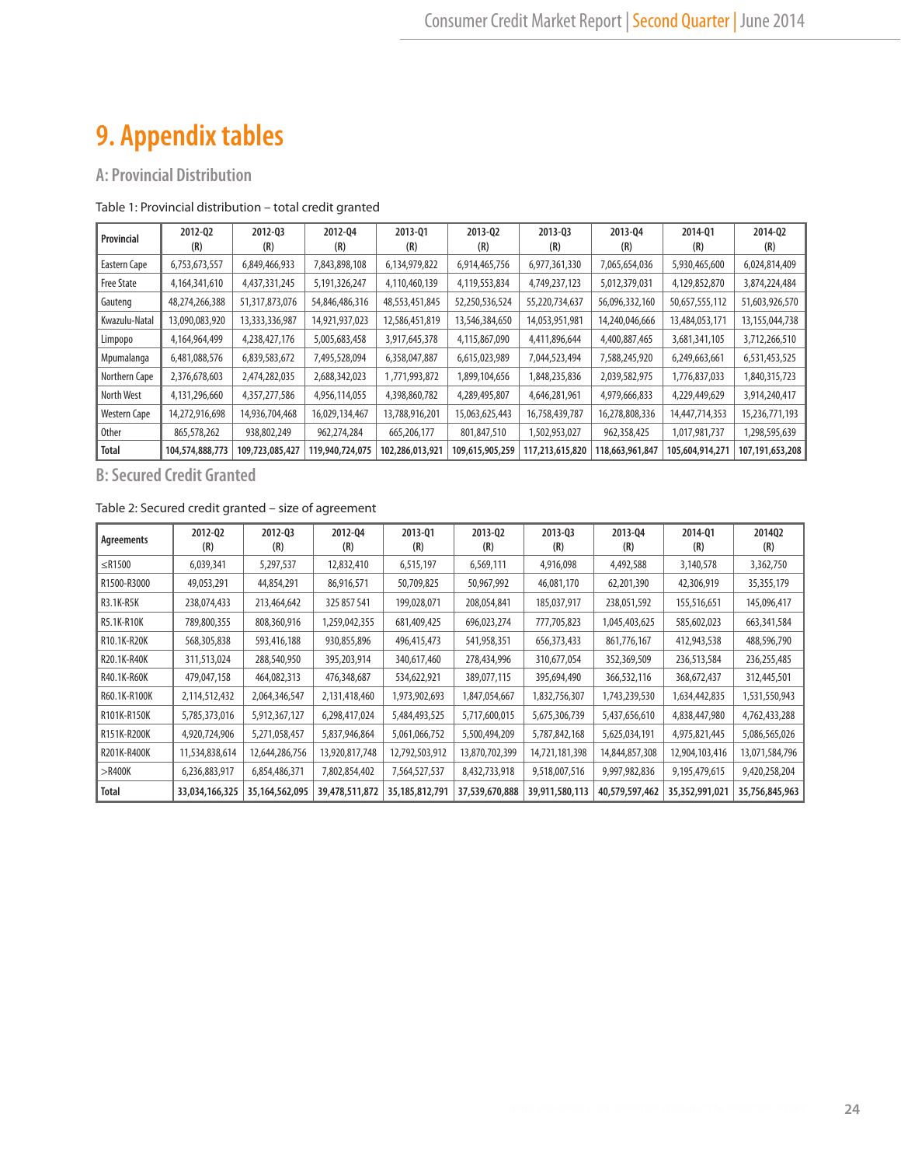# **9. Appendix tables**

# **A: Provincial Distribution**

#### Table 1: Provincial distribution – total credit granted

| Provincial        | 2012-02<br>(R)   | 2012-03<br>(R)  | 2012-04<br>(R)  | 2013-01<br>(R)  | 2013-02<br>(R)  | 2013-03<br>(R)  | 2013-04<br>(R)  | 2014-01<br>(R)  | 2014-02<br>(R)    |
|-------------------|------------------|-----------------|-----------------|-----------------|-----------------|-----------------|-----------------|-----------------|-------------------|
| Eastern Cape      | 6,753,673,557    | 6,849,466,933   | 7,843,898,108   | 6,134,979,822   | 6,914,465,756   | 6,977,361,330   | 7,065,654,036   | 5,930,465,600   | 6,024,814,409     |
| <b>Free State</b> | 4, 164, 341, 610 | 4,437,331,245   | 5,191,326,247   | 4,110,460,139   | 4,119,553,834   | 4,749,237,123   | 5,012,379,031   | 4,129,852,870   | 3,874,224,484     |
| Gauteng           | 48,274,266,388   | 51,317,873,076  | 54,846,486,316  | 48,553,451,845  | 52,250,536,524  | 55,220,734,637  | 56,096,332,160  | 50,657,555,112  | 51,603,926,570    |
| Kwazulu-Natal     | 13,090,083,920   | 13,333,336,987  | 14,921,937,023  | 12,586,451,819  | 13,546,384,650  | 14,053,951,981  | 14,240,046,666  | 13,484,053,171  | 13, 155, 044, 738 |
| Limpopo           | 4,164,964,499    | 4,238,427,176   | 5,005,683,458   | 3,917,645,378   | 4,115,867,090   | 4,411,896,644   | 4,400,887,465   | 3,681,341,105   | 3,712,266,510     |
| Mpumalanga        | 6,481,088,576    | 6,839,583,672   | 7,495,528,094   | 6,358,047,887   | 6,615,023,989   | 7,044,523,494   | 7,588,245,920   | 6,249,663,661   | 6,531,453,525     |
| Northern Cape     | 2,376,678,603    | 2,474,282,035   | 2,688,342,023   | 1,771,993,872   | 1,899,104,656   | 1,848,235,836   | 2,039,582,975   | 1,776,837,033   | 1,840,315,723     |
| North West        | 4,131,296,660    | 4,357,277,586   | 4,956,114,055   | 4,398,860,782   | 4,289,495,807   | 4,646,281,961   | 4,979,666,833   | 4,229,449,629   | 3,914,240,417     |
| Western Cape      | 14,272,916,698   | 14,936,704,468  | 16,029,134,467  | 13,788,916,201  | 15,063,625,443  | 16,758,439,787  | 16,278,808,336  | 14,447,714,353  | 15,236,771,193    |
| <b>Other</b>      | 865,578,262      | 938,802,249     | 962,274,284     | 665,206,177     | 801,847,510     | 1,502,953,027   | 962,358,425     | 1,017,981,737   | 1,298,595,639     |
| <b>Total</b>      | 104,574,888,773  | 109,723,085,427 | 119,940,724,075 | 102,286,013,921 | 109,615,905,259 | 117,213,615,820 | 118,663,961,847 | 105,604,914,271 | 107,191,653,208   |

**B: Secured Credit Granted**

#### Table 2: Secured credit granted – size of agreement

| Agreements   | 2012-02<br>(R) | 2012-03<br>(R) | 2012-04<br>(R) | 2013-01<br>(R)    | 2013-02<br>(R) | 2013-03<br>(R) | 2013-04<br>(R) | 2014-01<br>(R) | 201402<br>(R)  |
|--------------|----------------|----------------|----------------|-------------------|----------------|----------------|----------------|----------------|----------------|
| $\leq$ R1500 | 6,039,341      | 5,297,537      | 12,832,410     | 6,515,197         | 6,569,111      | 4,916,098      | 4,492,588      | 3,140,578      | 3,362,750      |
| R1500-R3000  | 49,053,291     | 44,854,291     | 86,916,571     | 50,709,825        | 50,967,992     | 46,081,170     | 62,201,390     | 42,306,919     | 35,355,179     |
| R3.1K-R5K    | 238,074,433    | 213,464,642    | 325 857 541    | 199,028,071       | 208,054,841    | 185,037,917    | 238,051,592    | 155,516,651    | 145,096,417    |
| R5.1K-R10K   | 789,800,355    | 808,360,916    | 1,259,042,355  | 681,409,425       | 696,023,274    | 777,705,823    | 1,045,403,625  | 585,602,023    | 663, 341, 584  |
| R10.1K-R20K  | 568,305,838    | 593,416,188    | 930,855,896    | 496,415,473       | 541,958,351    | 656,373,433    | 861,776,167    | 412,943,538    | 488,596,790    |
| R20.1K-R40K  | 311,513,024    | 288,540,950    | 395,203,914    | 340,617,460       | 278,434,996    | 310,677,054    | 352,369,509    | 236,513,584    | 236,255,485    |
| R40.1K-R60K  | 479,047,158    | 464,082,313    | 476,348,687    | 534,622,921       | 389,077,115    | 395,694,490    | 366,532,116    | 368,672,437    | 312,445,501    |
| R60.1K-R100K | 2,114,512,432  | 2,064,346,547  | 2,131,418,460  | 1,973,902,693     | 1,847,054,667  | 1,832,756,307  | 1,743,239,530  | 1,634,442,835  | 1,531,550,943  |
| R101K-R150K  | 5,785,373,016  | 5,912,367,127  | 6,298,417,024  | 5,484,493,525     | 5,717,600,015  | 5,675,306,739  | 5,437,656,610  | 4,838,447,980  | 4,762,433,288  |
| R151K-R200K  | 4,920,724,906  | 5,271,058,457  | 5,837,946,864  | 5,061,066,752     | 5,500,494,209  | 5,787,842,168  | 5,625,034,191  | 4,975,821,445  | 5,086,565,026  |
| R201K-R400K  | 11,534,838,614 | 12,644,286,756 | 13,920,817,748 | 12,792,503,912    | 13,870,702,399 | 14,721,181,398 | 14,844,857,308 | 12,904,103,416 | 13,071,584,796 |
| $>\,$ R400K  | 6,236,883,917  | 6,854,486,371  | 7,802,854,402  | 7,564,527,537     | 8,432,733,918  | 9,518,007,516  | 9,997,982,836  | 9,195,479,615  | 9,420,258,204  |
| <b>Total</b> | 33,034,166,325 | 35,164,562,095 | 39,478,511,872 | 35, 185, 812, 791 | 37,539,670,888 | 39,911,580,113 | 40,579,597,462 | 35,352,991,021 | 35,756,845,963 |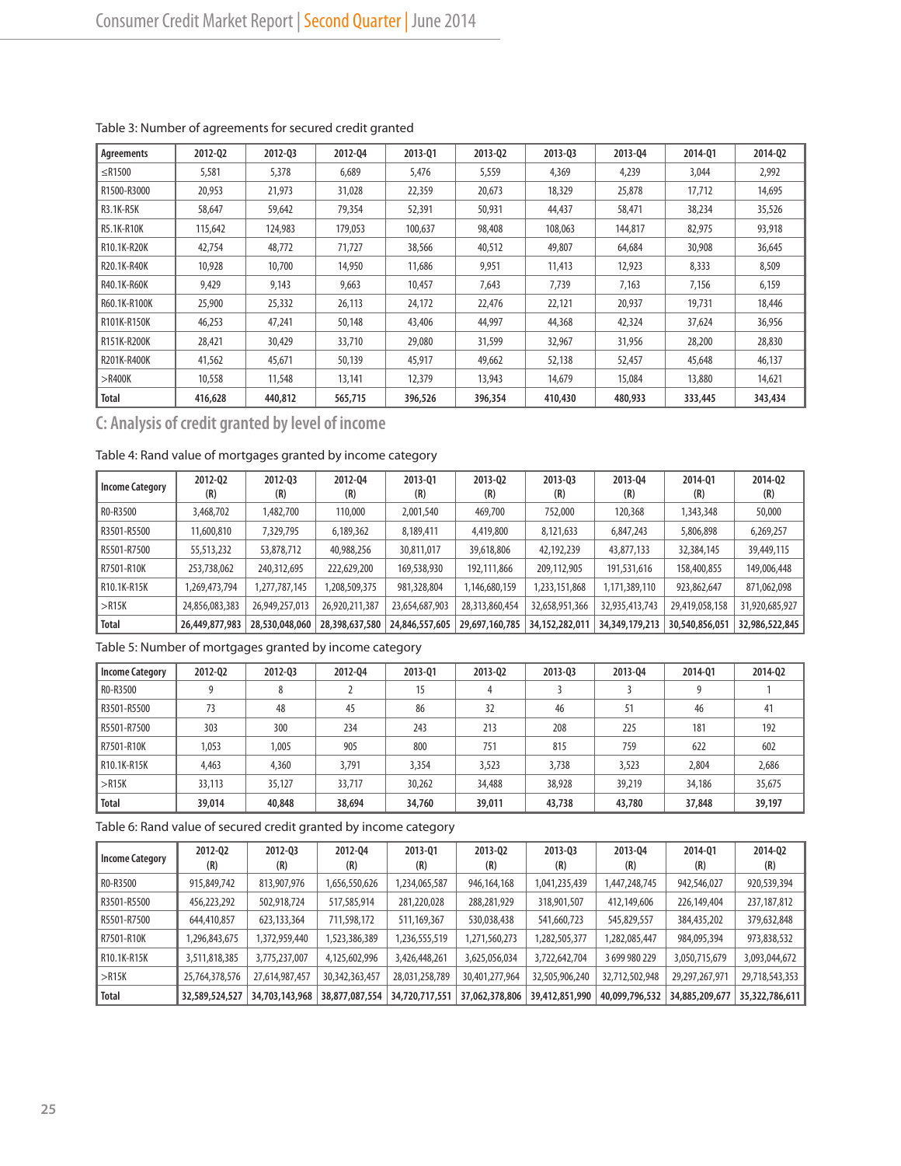| Agreements   | 2012-02 | 2012-03 | 2012-04 | 2013-01 | 2013-02 | 2013-03 | 2013-04 | 2014-01 | 2014-02 |
|--------------|---------|---------|---------|---------|---------|---------|---------|---------|---------|
| $\leq$ R1500 | 5,581   | 5,378   | 6,689   | 5,476   | 5,559   | 4,369   | 4,239   | 3,044   | 2,992   |
| R1500-R3000  | 20,953  | 21,973  | 31,028  | 22,359  | 20,673  | 18,329  | 25,878  | 17,712  | 14,695  |
| R3.1K-R5K    | 58,647  | 59,642  | 79,354  | 52,391  | 50,931  | 44,437  | 58,471  | 38,234  | 35,526  |
| R5.1K-R10K   | 115,642 | 124,983 | 179,053 | 100.637 | 98,408  | 108,063 | 144,817 | 82,975  | 93,918  |
| R10.1K-R20K  | 42,754  | 48,772  | 71,727  | 38,566  | 40,512  | 49,807  | 64,684  | 30,908  | 36,645  |
| R20.1K-R40K  | 10,928  | 10,700  | 14,950  | 11,686  | 9,951   | 11,413  | 12,923  | 8,333   | 8,509   |
| R40.1K-R60K  | 9,429   | 9,143   | 9,663   | 10,457  | 7,643   | 7.739   | 7,163   | 7,156   | 6,159   |
| R60.1K-R100K | 25,900  | 25,332  | 26,113  | 24,172  | 22,476  | 22,121  | 20,937  | 19,731  | 18,446  |
| R101K-R150K  | 46,253  | 47,241  | 50,148  | 43,406  | 44,997  | 44,368  | 42,324  | 37,624  | 36,956  |
| R151K-R200K  | 28.421  | 30,429  | 33,710  | 29,080  | 31,599  | 32,967  | 31,956  | 28,200  | 28,830  |
| R201K-R400K  | 41,562  | 45,671  | 50,139  | 45,917  | 49,662  | 52,138  | 52,457  | 45,648  | 46,137  |
| $>$ R400K    | 10,558  | 11,548  | 13,141  | 12,379  | 13,943  | 14,679  | 15,084  | 13,880  | 14,621  |
| Total        | 416,628 | 440,812 | 565,715 | 396,526 | 396,354 | 410,430 | 480,933 | 333,445 | 343,434 |

#### Table 3: Number of agreements for secured credit granted

**C: Analysis of credit granted by level of income**

# Table 4: Rand value of mortgages granted by income category

| <b>Income Category</b> | 2012-02<br>(R) | 2012-03<br>(R) | 2012-04<br>(R) | 2013-01<br>(R) | 2013-02<br>(R) | 2013-03<br>(R) | 2013-04<br>(R) | 2014-01<br>(R) | 2014-02<br>(R) |
|------------------------|----------------|----------------|----------------|----------------|----------------|----------------|----------------|----------------|----------------|
| RO-R3500               | 3,468,702      | 1,482,700      | 110,000        | 2,001,540      | 469,700        | 752,000        | 120,368        | 1,343,348      | 50,000         |
| R3501-R5500            | 11,600,810     | 7,329,795      | 6,189,362      | 8,189,411      | 4,419,800      | 8,121,633      | 6,847,243      | 5,806,898      | 6,269,257      |
| R5501-R7500            | 55,513,232     | 53,878,712     | 40,988,256     | 30,811,017     | 39,618,806     | 42,192,239     | 43,877,133     | 32,384,145     | 39,449,115     |
| R7501-R10K             | 253,738,062    | 240,312,695    | 222,629,200    | 169,538,930    | 192.111.866    | 209,112,905    | 191,531,616    | 158,400,855    | 149,006,448    |
| R10.1K-R15K            | 1,269,473,794  | 1,277,787,145  | ,208,509,375   | 981,328,804    | 1,146,680,159  | 1,233,151,868  | 1,171,389,110  | 923,862,647    | 871,062,098    |
| >R15K                  | 24,856,083,383 | 26,949,257,013 | 26,920,211,387 | 23,654,687,903 | 28,313,860,454 | 32,658,951,366 | 32,935,413,743 | 29,419,058,158 | 31,920,685,927 |
| Total                  | 26,449,877,983 | 28,530,048,060 | 28,398,637,580 | 24,846,557,605 | 29,697,160,785 | 34,152,282,011 | 34,349,179,213 | 30,540,856,051 | 32,986,522,845 |

Table 5: Number of mortgages granted by income category

| <b>Income Category</b> | 2012-02 | 2012-03 | 2012-04 | 2013-01 | 2013-02 | 2013-03 | 2013-04 | 2014-01 | 2014-02 |
|------------------------|---------|---------|---------|---------|---------|---------|---------|---------|---------|
| RO-R3500               |         | ŏ       |         | 15      | 4       |         |         | 9       |         |
| R3501-R5500            | 73      | 48      | 45      | 86      | 32      | 46      | 51      | 46      | 41      |
| R5501-R7500            | 303     | 300     | 234     | 243     | 213     | 208     | 225     | 181     | 192     |
| R7501-R10K             | 1,053   | 1.005   | 905     | 800     | 751     | 815     | 759     | 622     | 602     |
| R10.1K-R15K            | 4,463   | 4,360   | 3,791   | 3,354   | 3,523   | 3,738   | 3,523   | 2,804   | 2,686   |
| $>$ R15K               | 33,113  | 35,127  | 33,717  | 30,262  | 34,488  | 38,928  | 39,219  | 34,186  | 35,675  |
| <b>Total</b>           | 39,014  | 40,848  | 38,694  | 34,760  | 39,011  | 43,738  | 43,780  | 37,848  | 39,197  |

Table 6: Rand value of secured credit granted by income category

| <b>Income Category</b> | 2012-02<br>(R) | 2012-03<br>(R) | 2012-04<br>(R)    | 2013-01<br>(R) | 2013-02<br>(R) | 2013-03<br>(R) | 2013-04<br>(R) | 2014-01<br>(R) | 2014-Q2<br>(R) |
|------------------------|----------------|----------------|-------------------|----------------|----------------|----------------|----------------|----------------|----------------|
| RO-R3500               | 915,849,742    | 813,907,976    | 1,656,550,626     | 1,234,065,587  | 946,164,168    | 1,041,235,439  | 1,447,248,745  | 942,546,027    | 920,539,394    |
| R3501-R5500            | 456,223,292    | 502,918,724    | 517,585,914       | 281,220,028    | 288,281,929    | 318,901,507    | 412,149,606    | 226,149,404    | 237,187,812    |
| R5501-R7500            | 644,410,857    | 623,133,364    | 711,598,172       | 511,169,367    | 530,038,438    | 541,660,723    | 545,829,557    | 384,435,202    | 379,632,848    |
| R7501-R10K             | 1,296,843,675  | 1,372,959,440  | 1,523,386,389     | 1,236,555,519  | 1,271,560,273  | 1,282,505,377  | 1,282,085,447  | 984,095,394    | 973,838,532    |
| R10.1K-R15K            | 3,511,818,385  | 3,775,237,007  | 4,125,602,996     | 3,426,448,261  | 3,625,056,034  | 3,722,642,704  | 3 699 980 229  | 3,050,715,679  | 3,093,044,672  |
| $>$ R15K               | 25,764,378,576 | 27,614,987,457 | 30, 342, 363, 457 | 28,031,258,789 | 30,401,277,964 | 32,505,906,240 | 32,712,502,948 | 29,297,267,971 | 29,718,543,353 |
| <b>Total</b>           | 32,589,524,527 | 34,703,143,968 | 38,877,087,554    | 34,720,717,551 | 37,062,378,806 | 39,412,851,990 | 40,099,796,532 | 34,885,209,677 | 35,322,786,611 |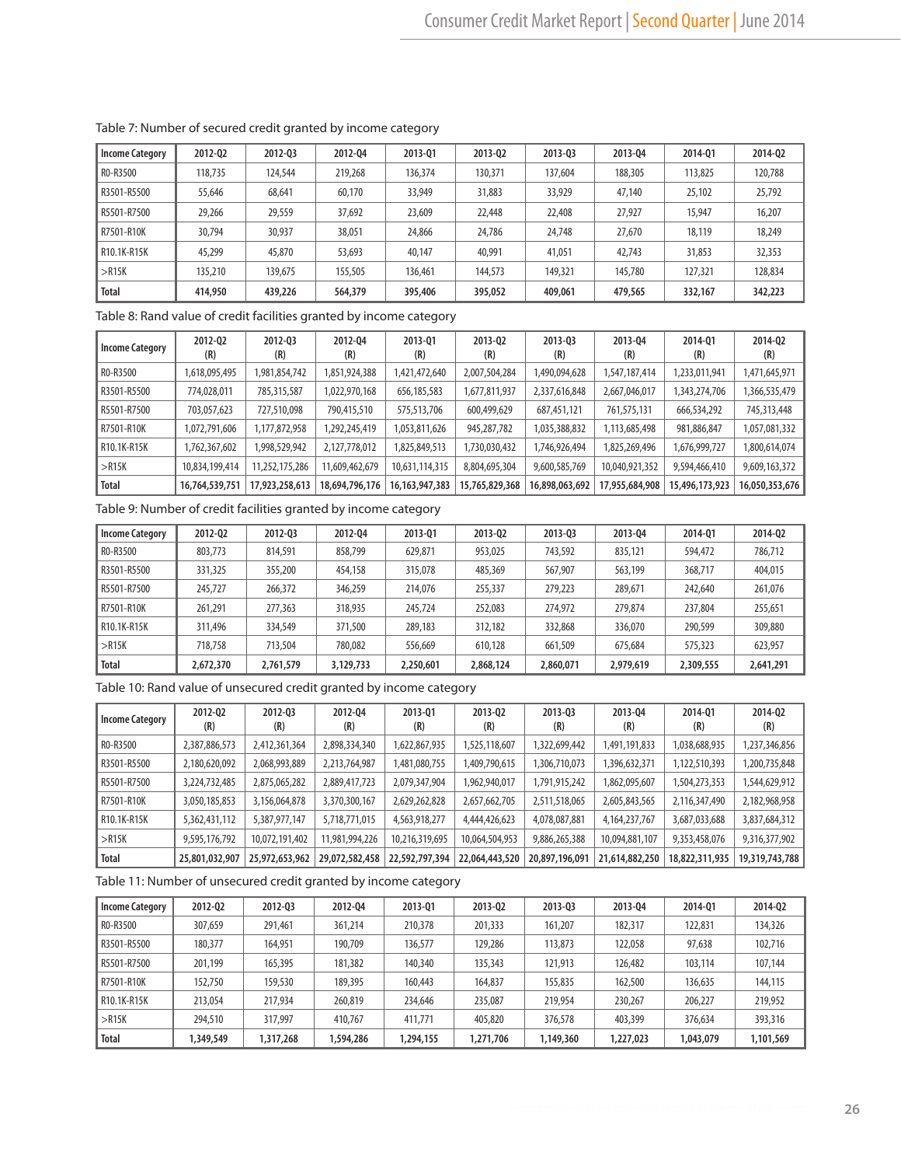| <b>Income Category</b> | 2012-02 | 2012-03 | 2012-04 | 2013-01 | 2013-02 | 2013-03 | 2013-04 | 2014-01 | 2014-Q2 |
|------------------------|---------|---------|---------|---------|---------|---------|---------|---------|---------|
| R0-R3500               | 118,735 | 124,544 | 219,268 | 136,374 | 130,371 | 137.604 | 188,305 | 113,825 | 120,788 |
| R3501-R5500            | 55,646  | 68,641  | 60.170  | 33,949  | 31,883  | 33,929  | 47,140  | 25,102  | 25,792  |
| R5501-R7500            | 29,266  | 29,559  | 37,692  | 23,609  | 22,448  | 22,408  | 27,927  | 15,947  | 16,207  |
| R7501-R10K             | 30,794  | 30,937  | 38,051  | 24,866  | 24,786  | 24,748  | 27,670  | 18,119  | 18,249  |
| R10.1K-R15K            | 45,299  | 45,870  | 53,693  | 40,147  | 40,991  | 41,051  | 42,743  | 31,853  | 32,353  |
| $>$ R15K               | 135,210 | 139.675 | 155,505 | 136,461 | 144,573 | 149,321 | 145,780 | 127,321 | 128,834 |
| <b>Total</b>           | 414,950 | 439,226 | 564,379 | 395,406 | 395,052 | 409,061 | 479,565 | 332,167 | 342,223 |

#### Table 7: Number of secured credit granted by income category

Table 8: Rand value of credit facilities granted by income category

| Income Category | 2012-02<br>(R) | 2012-03<br>(R) | 2012-04<br>(R) | 2013-01<br>(R)    | 2013-02<br>(R) | 2013-03<br>(R) | 2013-04<br>(R) | 2014-01<br>(R) | 2014-02<br>(R) |
|-----------------|----------------|----------------|----------------|-------------------|----------------|----------------|----------------|----------------|----------------|
| R0-R3500        | 1,618,095,495  | 1,981,854,742  | 1,851,924,388  | 1,421,472,640     | 2,007,504,284  | 1,490,094,628  | 1,547,187,414  | 1,233,011,941  | 1,471,645,971  |
| R3501-R5500     | 774,028,011    | 785,315,587    | 1,022,970,168  | 656,185,583       | 1,677,811,937  | 2,337,616,848  | 2,667,046,017  | 1,343,274,706  | 1,366,535,479  |
| l R5501-R7500   | 703,057,623    | 727,510,098    | 790,415,510    | 575,513,706       | 600,499,629    | 687,451,121    | 761,575,131    | 666,534,292    | 745,313,448    |
| l R7501-R10K    | 1,072,791,606  | 1,177,872,958  | 1,292,245,419  | 1,053,811,626     | 945,287,782    | 1,035,388,832  | 1,113,685,498  | 981,886,847    | 1,057,081,332  |
| R10.1K-R15K     | 1,762,367,602  | 1,998,529,942  | 2,127,778,012  | 1,825,849,513     | 1,730,030,432  | 1,746,926,494  | 1,825,269,496  | 1,676,999,727  | 1,800,614,074  |
| >R15K           | 10,834,199,414 | 11,252,175,286 | 11,609,462,679 | 10,631,114,315    | 8,804,695,304  | 9,600,585,769  | 10,040,921,352 | 9,594,466,410  | 9,609,163,372  |
| <b>Total</b>    | 16,764,539,751 | 17,923,258,613 | 18,694,796,176 | 16, 163, 947, 383 | 15,765,829,368 | 16,898,063,692 | 17,955,684,908 | 15,496,173,923 | 16,050,353,676 |

Table 9: Number of credit facilities granted by income category

| <b>Income Category</b> | 2012-02   | 2012-03   | 2012-04   | 2013-01   | 2013-02   | 2013-03   | 2013-04   | 2014-01   | 2014-02   |
|------------------------|-----------|-----------|-----------|-----------|-----------|-----------|-----------|-----------|-----------|
| R0-R3500               | 803,773   | 814,591   | 858,799   | 629,871   | 953,025   | 743,592   | 835,121   | 594,472   | 786,712   |
| R3501-R5500            | 331,325   | 355,200   | 454,158   | 315,078   | 485,369   | 567.907   | 563,199   | 368,717   | 404,015   |
| R5501-R7500            | 245,727   | 266,372   | 346.259   | 214,076   | 255,337   | 279,223   | 289,671   | 242,640   | 261,076   |
| R7501-R10K             | 261.291   | 277,363   | 318,935   | 245,724   | 252,083   | 274,972   | 279,874   | 237,804   | 255,651   |
| R10.1K-R15K            | 311,496   | 334,549   | 371,500   | 289,183   | 312,182   | 332,868   | 336,070   | 290,599   | 309,880   |
| $>$ R15K               | 718.758   | 713,504   | 780.082   | 556,669   | 610,128   | 661,509   | 675.684   | 575,323   | 623,957   |
| <b>Total</b>           | 2,672,370 | 2,761,579 | 3,129,733 | 2,250,601 | 2,868,124 | 2,860,071 | 2,979,619 | 2,309,555 | 2,641,291 |

Table 10: Rand value of unsecured credit granted by income category

| <b>Income Category</b> | 2012-02<br>(R) | 2012-03<br>(R) | 2012-04<br>(R) | 2013-01<br>(R) | 2013-02<br>(R) | 2013-03<br>(R) | 2013-04<br>(R)   | 2014-01<br>(R) | 2014-02<br>(R) |
|------------------------|----------------|----------------|----------------|----------------|----------------|----------------|------------------|----------------|----------------|
| RO-R3500               | 2,387,886,573  | 2,412,361,364  | 2,898,334,340  | 1,622,867,935  | 1,525,118,607  | 1,322,699,442  | 1,491,191,833    | 1,038,688,935  | 1,237,346,856  |
| R3501-R5500            | 2,180,620,092  | 2,068,993,889  | 2,213,764,987  | 1,481,080,755  | 1,409,790,615  | 306,710,073    | 1,396,632,371    | 1,122,510,393  | 1,200,735,848  |
| R5501-R7500            | 3,224,732,485  | 2,875,065,282  | 2,889,417,723  | 2,079,347,904  | 1,962,940,017  | 1,791,915,242  | 1,862,095,607    | 1,504,273,353  | 1,544,629,912  |
| R7501-R10K             | 3,050,185,853  | 3,156,064,878  | 3,370,300,167  | 2,629,262,828  | 2,657,662,705  | 2,511,518,065  | 2,605,843,565    | 2,116,347,490  | 2,182,968,958  |
| R10.1K-R15K            | 5,362,431,112  | 5,387,977,147  | 5,718,771,015  | 4,563,918,277  | 4,444,426,623  | 4,078,087,881  | 4, 164, 237, 767 | 3,687,033,688  | 3,837,684,312  |
| $>$ R15K               | 9,595,176,792  | 10,072,191,402 | 11,981,994,226 | 10,216,319,695 | 10,064,504,953 | 9,886,265,388  | 10,094,881,107   | 9,353,458,076  | 9,316,377,902  |
| <b>Total</b>           | 25,801,032,907 | 25,972,653,962 | 29,072,582,458 | 22,592,797,394 | 22,064,443,520 | 20,897,196,091 | 21,614,882,250   | 18,822,311,935 | 19,319,743,788 |

Table 11: Number of unsecured credit granted by income category

| <b>Income Category</b> | 2012-02  | 2012-03   | 2012-04   | 2013-01   | 2013-02   | 2013-03   | 2013-04   | 2014-01   | 2014-02   |
|------------------------|----------|-----------|-----------|-----------|-----------|-----------|-----------|-----------|-----------|
| RO-R3500               | 307,659  | 291,461   | 361,214   | 210,378   | 201,333   | 161,207   | 182,317   | 122,831   | 134,326   |
| R3501-R5500            | 180.377  | 164.951   | 190.709   | 136,577   | 129,286   | 113,873   | 122,058   | 97.638    | 102,716   |
| R5501-R7500            | 201.199  | 165,395   | 181,382   | 140,340   | 135,343   | 121,913   | 126,482   | 103,114   | 107,144   |
| R7501-R10K             | 152,750  | 159,530   | 189,395   | 160,443   | 164,837   | 155,835   | 162,500   | 136,635   | 144,115   |
| l R10.1K-R15K          | 213,054  | 217.934   | 260,819   | 234,646   | 235,087   | 219,954   | 230,267   | 206.227   | 219,952   |
| >R15K                  | 294,510  | 317.997   | 410,767   | 411,771   | 405,820   | 376,578   | 403,399   | 376,634   | 393,316   |
| <b>Total</b>           | ,349,549 | 1,317,268 | 1,594,286 | 1,294,155 | 1,271,706 | 1,149,360 | 1,227,023 | 1.043.079 | 1,101,569 |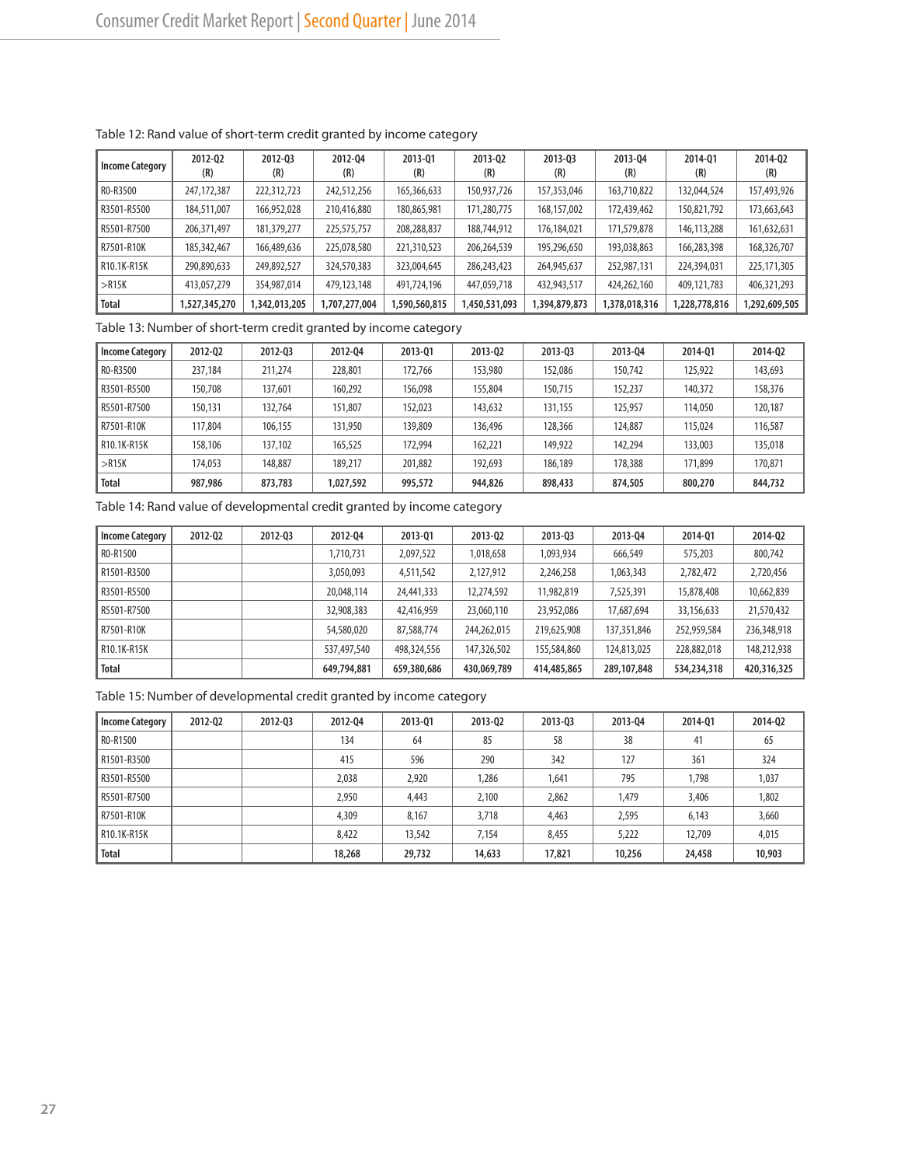| <b>Income Category</b> | 2012-02<br>(R) | 2012-03<br>(R) | 2012-04<br>(R) | 2013-01<br>(R) | 2013-02<br>(R) | 2013-03<br>(R) | 2013-04<br>(R) | 2014-01<br>(R) | 2014-02<br>(R) |
|------------------------|----------------|----------------|----------------|----------------|----------------|----------------|----------------|----------------|----------------|
| RO-R3500               | 247, 172, 387  | 222,312,723    | 242,512,256    | 165,366,633    | 150,937,726    | 157,353,046    | 163,710,822    | 132,044,524    | 157,493,926    |
| R3501-R5500            | 184,511,007    | 166,952,028    | 210,416,880    | 180,865,981    | 171,280,775    | 168,157,002    | 172,439,462    | 150,821,792    | 173,663,643    |
| R5501-R7500            | 206,371,497    | 181,379,277    | 225,575,757    | 208,288,837    | 188,744,912    | 176,184,021    | 171,579,878    | 146,113,288    | 161,632,631    |
| R7501-R10K             | 185,342,467    | 166,489,636    | 225,078,580    | 221,310,523    | 206,264,539    | 195,296,650    | 193,038,863    | 166,283,398    | 168,326,707    |
| l R10.1K-R15K          | 290,890,633    | 249,892,527    | 324,570,383    | 323,004,645    | 286,243,423    | 264,945,637    | 252,987,131    | 224,394,031    | 225,171,305    |
| >R15K                  | 413,057,279    | 354,987,014    | 479,123,148    | 491,724,196    | 447,059,718    | 432,943,517    | 424,262,160    | 409,121,783    | 406,321,293    |
| <b>Total</b>           | ,527,345,270   | ,342,013,205   | 1,707,277,004  | 1,590,560,815  | 1,450,531,093  | 1,394,879,873  | 1,378,018,316  | 1,228,778,816  | 1,292,609,505  |

## Table 12: Rand value of short-term credit granted by income category

Table 13: Number of short-term credit granted by income category

| <b>Income Category</b> | 2012-02 | 2012-03 | 2012-04   | 2013-01 | 2013-02 | 2013-03 | 2013-04 | 2014-01 | 2014-02 |
|------------------------|---------|---------|-----------|---------|---------|---------|---------|---------|---------|
| RO-R3500               | 237,184 | 211,274 | 228,801   | 172.766 | 153,980 | 152,086 | 150,742 | 125,922 | 143,693 |
| R3501-R5500            | 150.708 | 137,601 | 160.292   | 156.098 | 155,804 | 150.715 | 152,237 | 140,372 | 158,376 |
| R5501-R7500            | 150,131 | 132,764 | 151,807   | 152,023 | 143,632 | 131.155 | 125,957 | 114,050 | 120,187 |
| I R7501-R10K           | 17,804  | 106.155 | 131,950   | 139,809 | 136.496 | 128,366 | 124,887 | 115,024 | 116,587 |
| l R10.1K-R15K          | 158,106 | 137,102 | 165,525   | 172,994 | 162,221 | 149,922 | 142,294 | 133,003 | 135,018 |
| >R15K                  | 174,053 | 148,887 | 189,217   | 201.882 | 192.693 | 186,189 | 178,388 | 171,899 | 170,871 |
| <b>Total</b>           | 987,986 | 873,783 | 1,027,592 | 995,572 | 944,826 | 898,433 | 874,505 | 800,270 | 844,732 |

Table 14: Rand value of developmental credit granted by income category

| <b>Income Category</b> | 2012-02 | 2012-03 | 2012-04     | 2013-01     | 2013-02     | 2013-03     | 2013-04     | 2014-01     | 2014-02     |
|------------------------|---------|---------|-------------|-------------|-------------|-------------|-------------|-------------|-------------|
| R0-R1500               |         |         | 1,710,731   | 2,097,522   | 1,018,658   | 1,093,934   | 666,549     | 575,203     | 800,742     |
| R1501-R3500            |         |         | 3,050,093   | 4,511,542   | 2,127,912   | 2,246,258   | 1,063,343   | 2,782,472   | 2,720,456   |
| R3501-R5500            |         |         | 20,048,114  | 24,441,333  | 12,274,592  | 11.982.819  | 7,525,391   | 15,878,408  | 10,662,839  |
| R5501-R7500            |         |         | 32,908,383  | 42,416,959  | 23,060,110  | 23,952,086  | 17,687,694  | 33,156,633  | 21,570,432  |
| R7501-R10K             |         |         | 54,580,020  | 87,588,774  | 244,262,015 | 219,625,908 | 137,351,846 | 252,959,584 | 236,348,918 |
| l R10.1K-R15K          |         |         | 537,497,540 | 498,324,556 | 147,326,502 | 155,584,860 | 124,813,025 | 228,882,018 | 148,212,938 |
| Total                  |         |         | 649,794,881 | 659,380,686 | 430,069,789 | 414,485,865 | 289,107,848 | 534,234,318 | 420,316,325 |

Table 15: Number of developmental credit granted by income category

| Income Category | 2012-02 | 2012-03 | 2012-04 | 2013-01 | 2013-02 | 2013-03 | 2013-04 | 2014-01 | 2014-02 |
|-----------------|---------|---------|---------|---------|---------|---------|---------|---------|---------|
| RO-R1500        |         |         | 134     | 64      | 85      | 58      | 38      | 41      | 65      |
| R1501-R3500     |         |         | 415     | 596     | 290     | 342     | 127     | 361     | 324     |
| R3501-R5500     |         |         | 2,038   | 2,920   | ,286    | 1,641   | 795     | 1,798   | 1,037   |
| l R5501-R7500   |         |         | 2,950   | 4,443   | 2,100   | 2,862   | 1,479   | 3,406   | 1,802   |
| I R7501-R10K    |         |         | 4,309   | 8,167   | 3,718   | 4,463   | 2,595   | 6,143   | 3,660   |
| R10.1K-R15K     |         |         | 8.422   | 13,542  | 7.154   | 8,455   | 5,222   | 12,709  | 4,015   |
| <b>Total</b>    |         |         | 18,268  | 29,732  | 14,633  | 17,821  | 10,256  | 24,458  | 10,903  |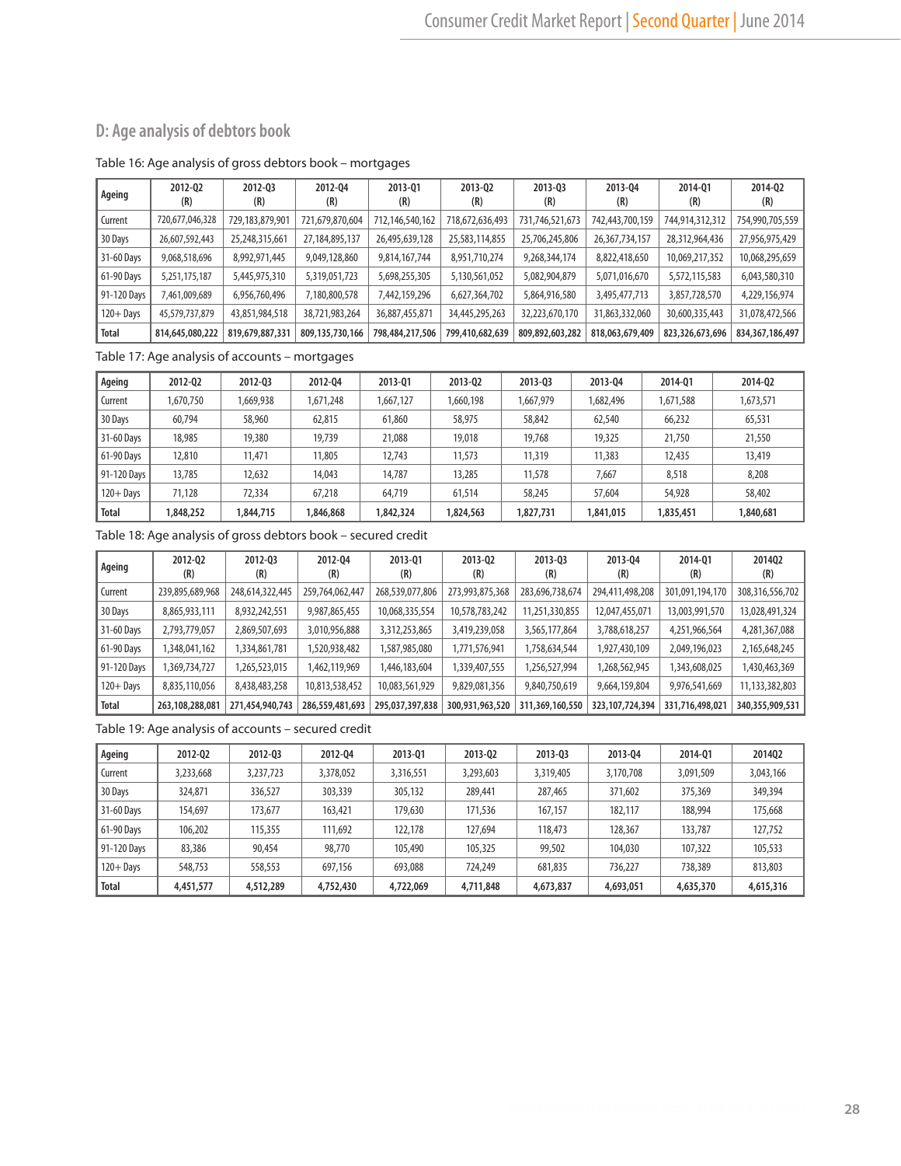# **D: Age analysis of debtors book**

#### Table 16: Age analysis of gross debtors book – mortgages

| Ageing       | 2012-02<br>(R)  | 2012-03<br>(R)  | 2012-04<br>(R)  | 2013-01<br>(R)  | 2013-02<br>(R)  | 2013-03<br>(R)  | 2013-04<br>(R)  | 2014-01<br>(R)  | 2014-02<br>(R)  |
|--------------|-----------------|-----------------|-----------------|-----------------|-----------------|-----------------|-----------------|-----------------|-----------------|
| Current      | 720,677,046,328 | 729,183,879,901 | 721,679,870,604 | 712,146,540,162 | 718,672,636,493 | 731,746,521,673 | 742,443,700,159 | 744,914,312,312 | 754,990,705,559 |
| 30 Days      | 26,607,592,443  | 25,248,315,661  | 27,184,895,137  | 26,495,639,128  | 25,583,114,855  | 25,706,245,806  | 26,367,734,157  | 28,312,964,436  | 27,956,975,429  |
| 31-60 Days   | 9,068,518,696   | 8,992,971,445   | 9,049,128,860   | 9,814,167,744   | 8,951,710,274   | 9,268,344,174   | 8,822,418,650   | 10,069,217,352  | 10,068,295,659  |
| 61-90 Days   | 5,251,175,187   | 5,445,975,310   | 5,319,051,723   | 5,698,255,305   | 5,130,561,052   | 5,082,904,879   | 5,071,016,670   | 5,572,115,583   | 6,043,580,310   |
| 91-120 Days  | 7,461,009,689   | 6,956,760,496   | 7,180,800,578   | 7,442,159,296   | 6,627,364,702   | 5,864,916,580   | 3,495,477,713   | 3,857,728,570   | 4,229,156,974   |
| $120 +$ Days | 45,579,737,879  | 43,851,984,518  | 38,721,983,264  | 36,887,455,871  | 34,445,295,263  | 32,223,670,170  | 31,863,332,060  | 30,600,335,443  | 31,078,472,566  |
| Total        | 814,645,080,222 | 819,679,887,331 | 809,135,730,166 | 798,484,217,506 | 799,410,682,639 | 809,892,603,282 | 818,063,679,409 | 823,326,673,696 | 834,367,186,497 |

Table 17: Age analysis of accounts – mortgages

| Ageing       | 2012-02   | 2012-03   | 2012-04   | 2013-01   | 2013-02   | 2013-03   | 2013-04   | 2014-01   | 2014-02   |
|--------------|-----------|-----------|-----------|-----------|-----------|-----------|-----------|-----------|-----------|
| Current      | 1,670,750 | 1,669,938 | 1,671,248 | 1,667,127 | 1,660,198 | 1,667,979 | 1,682,496 | 1,671,588 | 1,673,571 |
| 30 Days      | 60,794    | 58,960    | 62,815    | 61,860    | 58,975    | 58,842    | 62,540    | 66,232    | 65,531    |
| 31-60 Days   | 18,985    | 19,380    | 19,739    | 21,088    | 19,018    | 19,768    | 19,325    | 21,750    | 21,550    |
| 61-90 Davs   | 12,810    | 11.471    | 11,805    | 12.743    | 11,573    | 11,319    | 11,383    | 12,435    | 13,419    |
| 91-120 Davs  | 13,785    | 12,632    | 14,043    | 14,787    | 13,285    | 11,578    | 7,667     | 8,518     | 8,208     |
| $120 +$ Davs | 71,128    | 72,334    | 67,218    | 64,719    | 61,514    | 58,245    | 57,604    | 54,928    | 58,402    |
| <b>Total</b> | 1,848,252 | 1,844,715 | ,846,868  | 1,842,324 | 1,824,563 | 1,827,731 | 1,841,015 | 1,835,451 | 840,681,  |

Table 18: Age analysis of gross debtors book – secured credit

| Ageing       | 2012-02<br>(R)  | 2012-03<br>(R)  | 2012-04<br>(R)  | 2013-01<br>(R)  | 2013-02<br>(R)  | 2013-03<br>(R)  | 2013-04<br>(R)     | 2014-01<br>(R)  | 201402<br>(R)   |
|--------------|-----------------|-----------------|-----------------|-----------------|-----------------|-----------------|--------------------|-----------------|-----------------|
| Current      | 239,895,689,968 | 248,614,322,445 | 259,764,062,447 | 268,539,077,806 | 273,993,875,368 | 283,696,738,674 | 294,411,498,208    | 301,091,194,170 | 308,316,556,702 |
| 30 Days      | 8,865,933,111   | 8,932,242,551   | 9,987,865,455   | 10,068,335,554  | 10,578,783,242  | 11,251,330,855  | 12,047,455,071     | 13,003,991,570  | 13,028,491,324  |
| 31-60 Days   | 2,793,779,057   | 2,869,507,693   | 3,010,956,888   | 3,312,253,865   | 3,419,239,058   | 3,565,177,864   | 3,788,618,257      | 4,251,966,564   | 4,281,367,088   |
| 61-90 Days   | 1,348,041,162   | 1,334,861,781   | 1,520,938,482   | 1,587,985,080   | 1,771,576,941   | 1,758,634,544   | 1,927,430,109      | 2,049,196,023   | 2,165,648,245   |
| 91-120 Days  | ,369,734,727    | 1,265,523,015   | 1,462,119,969   | 1,446,183,604   | 1,339,407,555   | ,256,527,994    | ,268,562,945       | 1,343,608,025   | 1,430,463,369   |
| $120 +$ Days | 8,835,110,056   | 8,438,483,258   | 10,813,538,452  | 10,083,561,929  | 9,829,081,356   | 9,840,750,619   | 9,664,159,804      | 9,976,541,669   | 11,133,382,803  |
| Total        | 263,108,288,081 | 271,454,940,743 | 286,559,481,693 | 295,037,397,838 | 300,931,963,520 | 311,369,160,550 | 323, 107, 724, 394 | 331,716,498,021 | 340,355,909,531 |

Table 19: Age analysis of accounts – secured credit

| Ageing       | 2012-02   | 2012-03   | 2012-04   | 2013-01   | 2013-02   | 2013-03   | 2013-04   | 2014-01   | 2014Q2    |
|--------------|-----------|-----------|-----------|-----------|-----------|-----------|-----------|-----------|-----------|
| Current      | 3,233,668 | 3,237,723 | 3,378,052 | 3,316,551 | 3,293,603 | 3,319,405 | 3,170,708 | 3,091,509 | 3,043,166 |
| 30 Days      | 324.871   | 336.527   | 303,339   | 305,132   | 289,441   | 287,465   | 371,602   | 375,369   | 349,394   |
| 31-60 Days   | 154,697   | 173.677   | 163,421   | 179,630   | 171,536   | 167,157   | 182,117   | 188,994   | 175,668   |
| 61-90 Days   | 106,202   | 115,355   | 111,692   | 122,178   | 127.694   | 118,473   | 128,367   | 133,787   | 127,752   |
| 91-120 Days  | 83,386    | 90.454    | 98,770    | 105,490   | 105,325   | 99,502    | 104,030   | 107,322   | 105,533   |
| $120 +$ Days | 548.753   | 558,553   | 697.156   | 693,088   | 724,249   | 681.835   | 736.227   | 738,389   | 813,803   |
| <b>Total</b> | 4,451,577 | 4,512,289 | 4,752,430 | 4,722,069 | 4,711,848 | 4,673,837 | 4,693,051 | 4,635,370 | 4,615,316 |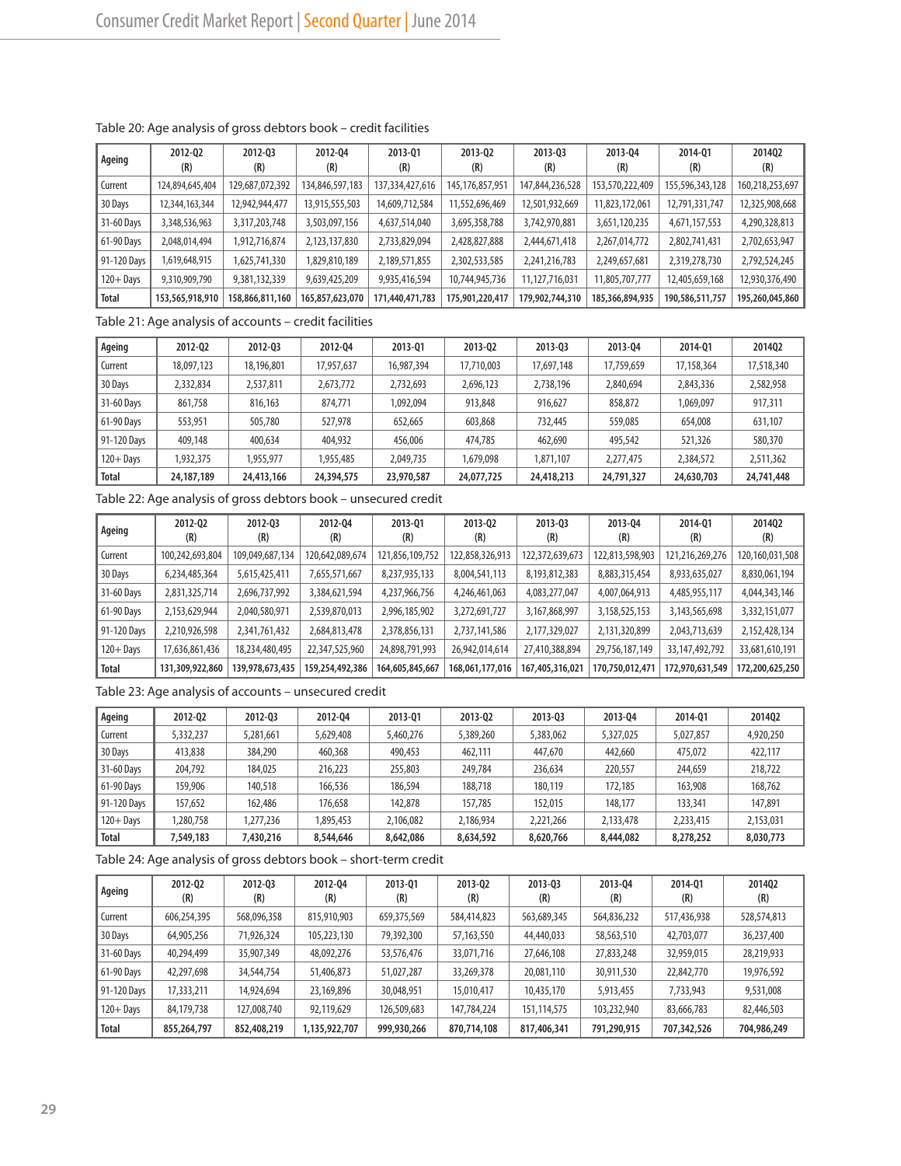| Ageing       | 2012-02<br>(R)  | 2012-03<br>(R)  | 2012-04<br>(R)  | 2013-01<br>(R)  | 2013-02<br>(R)     | 2013-03<br>(R)  | 2013-04<br>(R)  | 2014-01<br>(R)  | 201402<br>(R)   |
|--------------|-----------------|-----------------|-----------------|-----------------|--------------------|-----------------|-----------------|-----------------|-----------------|
| Current      | 124,894,645,404 | 129,687,072,392 | 134,846,597,183 | 137,334,427,616 | 145, 176, 857, 951 | 147,844,236,528 | 153,570,222,409 | 155,596,343,128 | 160,218,253,697 |
| 30 Days      | 12,344,163,344  | 12,942,944,477  | 13,915,555,503  | 14,609,712,584  | 11,552,696,469     | 12,501,932,669  | 11,823,172,061  | 12,791,331,747  | 12,325,908,668  |
| 31-60 Days   | 3,348,536,963   | 3,317,203,748   | 3,503,097,156   | 4,637,514,040   | 3,695,358,788      | 3,742,970,881   | 3,651,120,235   | 4,671,157,553   | 4,290,328,813   |
| 61-90 Days   | 2,048,014,494   | 1,912,716,874   | 2,123,137,830   | 2,733,829,094   | 2,428,827,888      | 2,444,671,418   | 2,267,014,772   | 2,802,741,431   | 2,702,653,947   |
| 91-120 Days  | 1,619,648,915   | 1,625,741,330   | 1,829,810,189   | 2,189,571,855   | 2,302,533,585      | 2,241,216,783   | 2,249,657,681   | 2,319,278,730   | 2,792,524,245   |
| $120 +$ Days | 9,310,909,790   | 9,381,132,339   | 9,639,425,209   | 9,935,416,594   | 10,744,945,736     | 11,127,716,031  | 11,805,707,777  | 12,405,659,168  | 12,930,376,490  |
| Total        | 153,565,918,910 | 158,866,811,160 | 165,857,623,070 | 171,440,471,783 | 175,901,220,417    | 179,902,744,310 | 185,366,894,935 | 190,586,511,757 | 195,260,045,860 |

#### Table 20: Age analysis of gross debtors book – credit facilities

Table 21: Age analysis of accounts – credit facilities

| Ageing       | 2012-02    | 2012-03    | 2012-04    | 2013-01    | 2013-02    | 2013-03    | 2013-04    | 2014-01    | 2014Q2     |
|--------------|------------|------------|------------|------------|------------|------------|------------|------------|------------|
| Current      | 18,097,123 | 18,196,801 | 17,957,637 | 16,987,394 | 17,710,003 | 17,697,148 | 17,759,659 | 17,158,364 | 17,518,340 |
| 30 Days      | 2,332,834  | 2,537,811  | 2,673,772  | 2,732,693  | 2,696,123  | 2,738,196  | 2,840,694  | 2,843,336  | 2,582,958  |
| 31-60 Days   | 861,758    | 816.163    | 874,771    | 1,092,094  | 913,848    | 916,627    | 858,872    | 1,069,097  | 917,311    |
| 61-90 Days   | 553,951    | 505,780    | 527,978    | 652,665    | 603,868    | 732,445    | 559,085    | 654,008    | 631,107    |
| 91-120 Days  | 409,148    | 400,634    | 404,932    | 456,006    | 474,785    | 462,690    | 495,542    | 521,326    | 580,370    |
| $120 +$ Days | .932.375   | 1,955,977  | 1,955,485  | 2,049,735  | 1,679,098  | 1,871,107  | 2,277,475  | 2,384,572  | 2,511,362  |
| Total        | 24,187,189 | 24,413,166 | 24,394,575 | 23,970,587 | 24,077,725 | 24,418,213 | 24,791,327 | 24,630,703 | 24,741,448 |

Table 22: Age analysis of gross debtors book – unsecured credit

| Ageing       | 2012-02<br>(R)  | 2012-03<br>(R)  | 2012-04<br>(R)  | 2013-01<br>(R)  | 2013-02<br>(R)  | 2013-03<br>(R)  | 2013-04<br>(R)  | 2014-01<br>(R)    | 2014Q2<br>(R)   |
|--------------|-----------------|-----------------|-----------------|-----------------|-----------------|-----------------|-----------------|-------------------|-----------------|
| Current      | 100,242,693,804 | 109,049,687,134 | 120,642,089,674 | 121,856,109,752 | 122,858,326,913 | 122,372,639,673 | 122,813,598,903 | 121,216,269,276   | 120,160,031,508 |
| 30 Days      | 6,234,485,364   | 5,615,425,411   | 7,655,571,667   | 8,237,935,133   | 8,004,541,113   | 8,193,812,383   | 8,883,315,454   | 8,933,635,027     | 8,830,061,194   |
| 31-60 Days   | 2,831,325,714   | 2,696,737,992   | 3,384,621,594   | 4,237,966,756   | 4,246,461,063   | 4,083,277,047   | 4,007,064,913   | 4,485,955,117     | 4,044,343,146   |
| 61-90 Days   | 2,153,629,944   | 2,040,580,971   | 2,539,870,013   | 2,996,185,902   | 3,272,691,727   | 3,167,868,997   | 3,158,525,153   | 3,143,565,698     | 3,332,151,077   |
| 91-120 Days  | 2,210,926,598   | 2,341,761,432   | 2,684,813,478   | 2,378,856,131   | 2,737,141,586   | 2,177,329,027   | 2,131,320,899   | 2,043,713,639     | 2,152,428,134   |
| $120 +$ Days | 17,636,861,436  | 18,234,480,495  | 22,347,525,960  | 24,898,791,993  | 26,942,014,614  | 27,410,388,894  | 29,756,187,149  | 33, 147, 492, 792 | 33,681,610,191  |
| Total        | 131,309,922,860 | 139,978,673,435 | 159,254,492,386 | 164,605,845,667 | 168,061,177,016 | 167,405,316,021 | 170,750,012,471 | 172,970,631,549   | 172,200,625,250 |

Table 23: Age analysis of accounts – unsecured credit

| Ageing       | 2012-02   | 2012-03   | 2012-04   | 2013-01   | 2013-02   | 2013-03   | 2013-04   | 2014-01   | 2014Q2    |
|--------------|-----------|-----------|-----------|-----------|-----------|-----------|-----------|-----------|-----------|
| Current      | 5,332,237 | 5,281,661 | 5,629,408 | 5,460,276 | 5,389,260 | 5,383,062 | 5,327,025 | 5,027,857 | 4,920,250 |
| 30 Days      | 413,838   | 384,290   | 460,368   | 490,453   | 462,111   | 447,670   | 442,660   | 475,072   | 422,117   |
| 131-60 Days  | 204.792   | 184,025   | 216,223   | 255,803   | 249,784   | 236.634   | 220,557   | 244,659   | 218,722   |
| 61-90 Days   | 159,906   | 140,518   | 166,536   | 186.594   | 188,718   | 180.119   | 172,185   | 163,908   | 168,762   |
| 91-120 Days  | 157.652   | 162,486   | 176,658   | 142,878   | 157.785   | 152,015   | 148,177   | 133,341   | 147,891   |
| $120 +$ Days | ,280,758  | 1,277,236 | 1,895,453 | 2,106,082 | 2,186,934 | 2,221,266 | 2,133,478 | 2,233,415 | 2,153,031 |
| Total        | ,549,183  | 7,430,216 | 8,544,646 | 8,642,086 | 8,634,592 | 8,620,766 | 8,444,082 | 8,278,252 | 8,030,773 |

Table 24: Age analysis of gross debtors book – short-term credit

| Ageing        | 2012-02<br>(R) | 2012-03<br>(R) | 2012-04<br>(R) | 2013-01<br>(R) | 2013-02<br>(R) | 2013-03<br>(R) | 2013-04<br>(R) | 2014-01<br>(R) | 201402<br>(R) |
|---------------|----------------|----------------|----------------|----------------|----------------|----------------|----------------|----------------|---------------|
| l Current     | 606,254,395    | 568,096,358    | 815,910,903    | 659,375,569    | 584,414,823    | 563,689,345    | 564,836,232    | 517,436,938    | 528,574,813   |
| 30 Days       | 64,905,256     | 71,926,324     | 105,223,130    | 79,392,300     | 57,163,550     | 44,440,033     | 58,563,510     | 42,703,077     | 36,237,400    |
| 31-60 Days    | 40,294,499     | 35,907,349     | 48,092,276     | 53,576,476     | 33,071,716     | 27,646,108     | 27,833,248     | 32,959,015     | 28,219,933    |
| 61-90 Days    | 42,297,698     | 34,544,754     | 51,406,873     | 51,027,287     | 33,269,378     | 20,081,110     | 30,911,530     | 22,842,770     | 19,976,592    |
| 91-120 Days   | 17,333,211     | 14,924,694     | 23,169,896     | 30,048,951     | 15.010.417     | 10,435,170     | 5,913,455      | 7,733,943      | 9,531,008     |
| $ 120 +$ Days | 84,179,738     | 127,008,740    | 92,119,629     | 126,509,683    | 147,784,224    | 151,114,575    | 103,232,940    | 83,666,783     | 82,446,503    |
| Total         | 855,264,797    | 852,408,219    | 1,135,922,707  | 999,930,266    | 870,714,108    | 817,406,341    | 791,290,915    | 707,342,526    | 704,986,249   |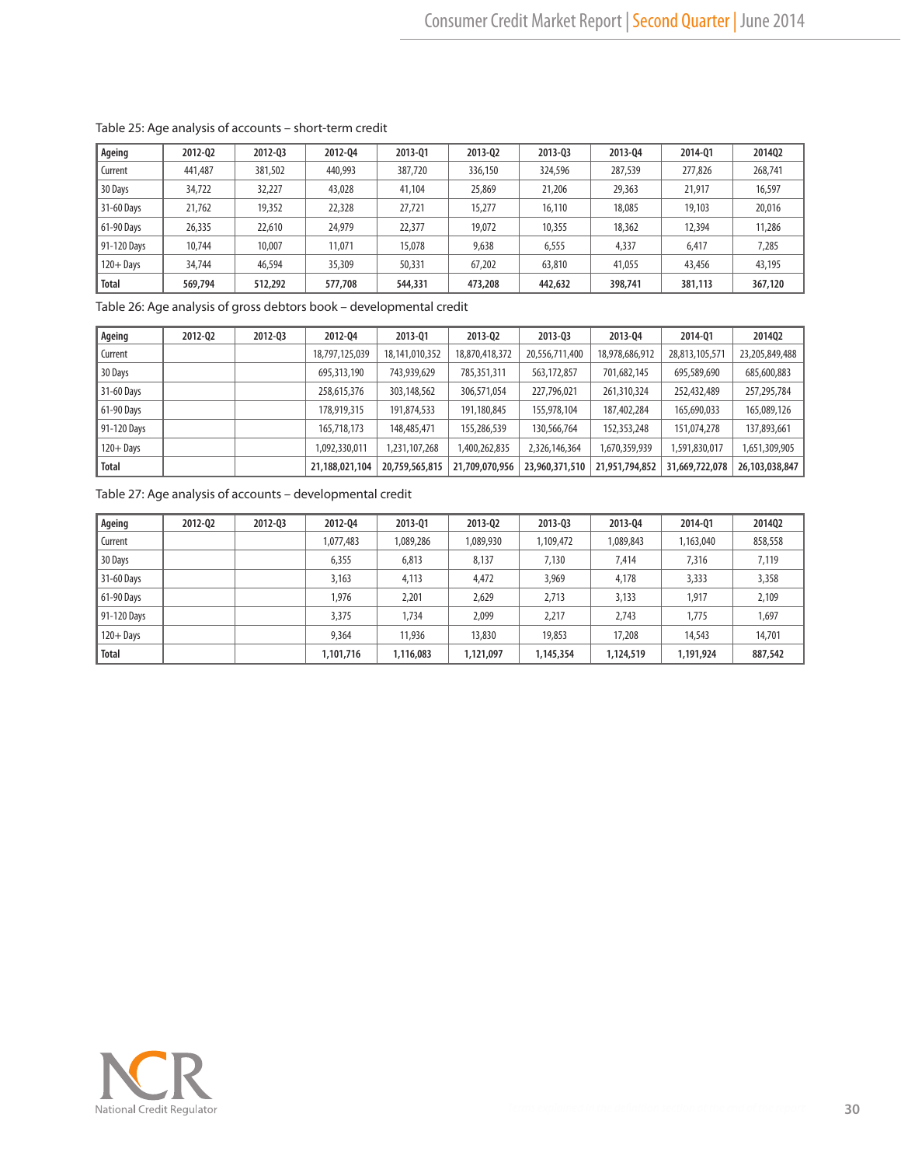| Ageing       | 2012-02 | 2012-03 | 2012-04 | 2013-01 | 2013-02 | 2013-03 | 2013-04 | 2014-01 | 2014Q2  |
|--------------|---------|---------|---------|---------|---------|---------|---------|---------|---------|
| Current      | 441,487 | 381,502 | 440,993 | 387,720 | 336,150 | 324,596 | 287,539 | 277,826 | 268,741 |
| 30 Days      | 34,722  | 32,227  | 43,028  | 41,104  | 25,869  | 21,206  | 29,363  | 21,917  | 16,597  |
| 31-60 Days   | 21,762  | 19,352  | 22,328  | 27,721  | 15,277  | 16,110  | 18,085  | 19,103  | 20,016  |
| 61-90 Davs   | 26,335  | 22,610  | 24.979  | 22,377  | 19,072  | 10,355  | 18,362  | 12,394  | 11,286  |
| 91-120 Days  | 10,744  | 10,007  | 11,071  | 15,078  | 9,638   | 6,555   | 4,337   | 6,417   | 7,285   |
| $120 +$ Davs | 34,744  | 46,594  | 35,309  | 50,331  | 67,202  | 63,810  | 41,055  | 43,456  | 43,195  |
| Total        | 569,794 | 512,292 | 577,708 | 544,331 | 473,208 | 442,632 | 398,741 | 381,113 | 367,120 |

#### Table 25: Age analysis of accounts – short-term credit

Table 26: Age analysis of gross debtors book – developmental credit

| Ageing       | 2012-02 | 2012-03 | 2012-04        | 2013-01        | 2013-02        | 2013-03        | 2013-04        | 2014-01        | 201402         |
|--------------|---------|---------|----------------|----------------|----------------|----------------|----------------|----------------|----------------|
| Current      |         |         | 18,797,125,039 | 18,141,010,352 | 18,870,418,372 | 20,556,711,400 | 18,978,686,912 | 28,813,105,571 | 23,205,849,488 |
| 30 Days      |         |         | 695,313,190    | 743,939,629    | 785,351,311    | 563,172,857    | 701,682,145    | 695,589,690    | 685,600,883    |
| 31-60 Days   |         |         | 258,615,376    | 303,148,562    | 306,571,054    | 227,796,021    | 261,310,324    | 252,432,489    | 257,295,784    |
| 61-90 Days   |         |         | 178,919,315    | 191,874,533    | 191,180,845    | 155,978,104    | 187,402,284    | 165,690,033    | 165,089,126    |
| 91-120 Days  |         |         | 165,718,173    | 148,485,471    | 155,286,539    | 130,566,764    | 152,353,248    | 151,074,278    | 137,893,661    |
| $120 +$ Days |         |         | 1,092,330,011  | 1,231,107,268  | 1,400,262,835  | 2,326,146,364  | 1,670,359,939  | 1,591,830,017  | 1,651,309,905  |
| <b>Total</b> |         |         | 21,188,021,104 | 20,759,565,815 | 21,709,070,956 | 23,960,371,510 | 21,951,794,852 | 31,669,722,078 | 26,103,038,847 |

Table 27: Age analysis of accounts – developmental credit

| Ageing       | 2012-02 | 2012-03 | 2012-04   | 2013-01   | 2013-02   | 2013-03   | 2013-04   | 2014-01   | 201402  |
|--------------|---------|---------|-----------|-----------|-----------|-----------|-----------|-----------|---------|
| Current      |         |         | 1,077,483 | 1,089,286 | 1,089,930 | 1,109,472 | 1,089,843 | 1,163,040 | 858,558 |
| 30 Days      |         |         | 6,355     | 6,813     | 8,137     | 7,130     | 7,414     | 7,316     | 7,119   |
| 31-60 Days   |         |         | 3,163     | 4,113     | 4,472     | 3,969     | 4,178     | 3,333     | 3,358   |
| 61-90 Days   |         |         | 1,976     | 2,201     | 2,629     | 2,713     | 3,133     | 1.917     | 2,109   |
| 91-120 Days  |         |         | 3,375     | 1,734     | 2,099     | 2,217     | 2,743     | 1,775     | 1,697   |
| $120 +$ Days |         |         | 9,364     | 11,936    | 13,830    | 19,853    | 17,208    | 14,543    | 14,701  |
| <b>Total</b> |         |         | 1,101,716 | 1,116,083 | 1,121,097 | 1,145,354 | 1,124,519 | 1,191,924 | 887,542 |